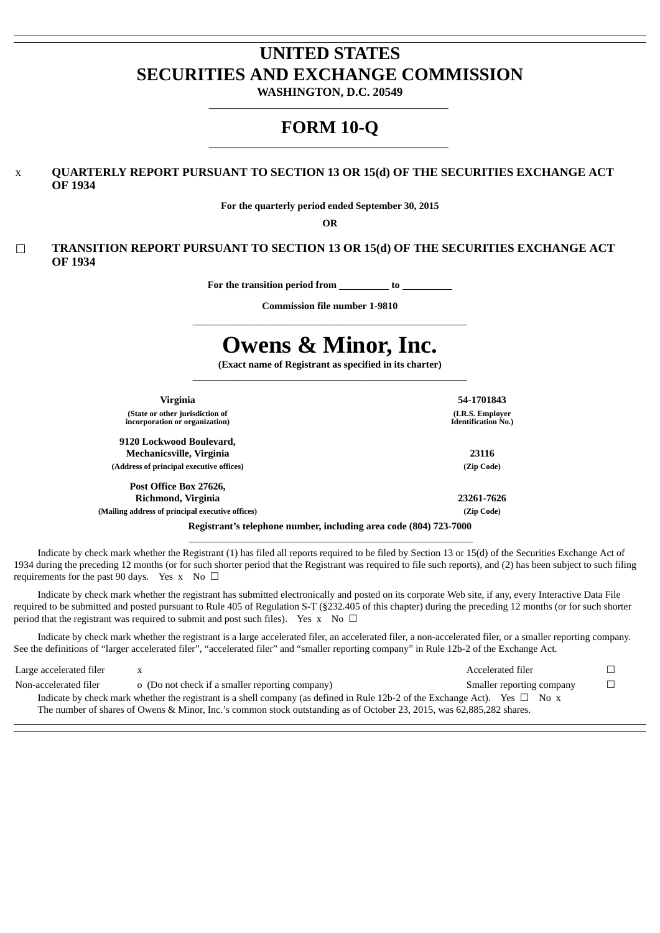## **UNITED STATES SECURITIES AND EXCHANGE COMMISSION**

**WASHINGTON, D.C. 20549** \_\_\_\_\_\_\_\_\_\_\_\_\_\_\_\_\_\_\_\_\_\_\_\_\_\_\_\_\_\_\_\_\_\_\_\_\_\_\_\_\_\_\_\_\_\_\_\_

## **FORM 10-Q** \_\_\_\_\_\_\_\_\_\_\_\_\_\_\_\_\_\_\_\_\_\_\_\_\_\_\_\_\_\_\_\_\_\_\_\_\_\_\_\_\_\_\_\_\_\_\_\_

## x **QUARTERLY REPORT PURSUANT TO SECTION 13 OR 15(d) OF THE SECURITIES EXCHANGE ACT OF 1934**

**For the quarterly period ended September 30, 2015**

**OR**

☐ **TRANSITION REPORT PURSUANT TO SECTION 13 OR 15(d) OF THE SECURITIES EXCHANGE ACT OF 1934**

**For the transition period from to**

**Commission file number 1-9810** \_\_\_\_\_\_\_\_\_\_\_\_\_\_\_\_\_\_\_\_\_\_\_\_\_\_\_\_\_\_\_\_\_\_\_\_\_\_\_\_\_\_\_\_\_\_\_\_\_\_\_\_\_\_\_

# **Owens & Minor, Inc.**

**(Exact name of Registrant as specified in its charter)** \_\_\_\_\_\_\_\_\_\_\_\_\_\_\_\_\_\_\_\_\_\_\_\_\_\_\_\_\_\_\_\_\_\_\_\_\_\_\_\_\_\_\_\_\_\_\_\_\_\_\_\_\_\_\_

| Virginia                                                          | 54-1701843                                      |
|-------------------------------------------------------------------|-------------------------------------------------|
| (State or other jurisdiction of<br>incorporation or organization) | (I.R.S. Employer)<br><b>Identification No.)</b> |
| 9120 Lockwood Boulevard,                                          |                                                 |
| Mechanicsville, Virginia                                          | 23116                                           |
| (Address of principal executive offices)                          | (Zip Code)                                      |
| Post Office Box 27626,                                            |                                                 |
| Richmond, Virginia                                                | 23261-7626                                      |
| (Mailing address of principal executive offices)                  | (Zip Code)                                      |
| Registrant's telephone number, including area code (804) 723-7000 |                                                 |

Indicate by check mark whether the Registrant (1) has filed all reports required to be filed by Section 13 or 15(d) of the Securities Exchange Act of 1934 during the preceding 12 months (or for such shorter period that the Registrant was required to file such reports), and (2) has been subject to such filing requirements for the past 90 days. Yes x No  $\Box$ 

\_\_\_\_\_\_\_\_\_\_\_\_\_\_\_\_\_\_\_\_\_\_\_\_\_\_\_\_\_\_\_\_\_\_\_\_\_\_\_\_\_\_\_\_\_\_\_\_\_\_\_\_\_\_\_\_\_

Indicate by check mark whether the registrant has submitted electronically and posted on its corporate Web site, if any, every Interactive Data File required to be submitted and posted pursuant to Rule 405 of Regulation S-T (§232.405 of this chapter) during the preceding 12 months (or for such shorter period that the registrant was required to submit and post such files). Yes  $x \to No \Box$ 

Indicate by check mark whether the registrant is a large accelerated filer, an accelerated filer, a non-accelerated filer, or a smaller reporting company. See the definitions of "larger accelerated filer", "accelerated filer" and "smaller reporting company" in Rule 12b-2 of the Exchange Act.

| Large accelerated filer                                                                                               | X                                                                                                                                   | Accelerated filer         | □      |  |  |  |  |  |
|-----------------------------------------------------------------------------------------------------------------------|-------------------------------------------------------------------------------------------------------------------------------------|---------------------------|--------|--|--|--|--|--|
| Non-accelerated filer                                                                                                 | o (Do not check if a smaller reporting company)                                                                                     | Smaller reporting company | $\Box$ |  |  |  |  |  |
|                                                                                                                       | Indicate by check mark whether the registrant is a shell company (as defined in Rule 12b-2 of the Exchange Act). Yes $\square$ No x |                           |        |  |  |  |  |  |
| The number of shares of Owens & Minor, Inc.'s common stock outstanding as of October 23, 2015, was 62,885,282 shares. |                                                                                                                                     |                           |        |  |  |  |  |  |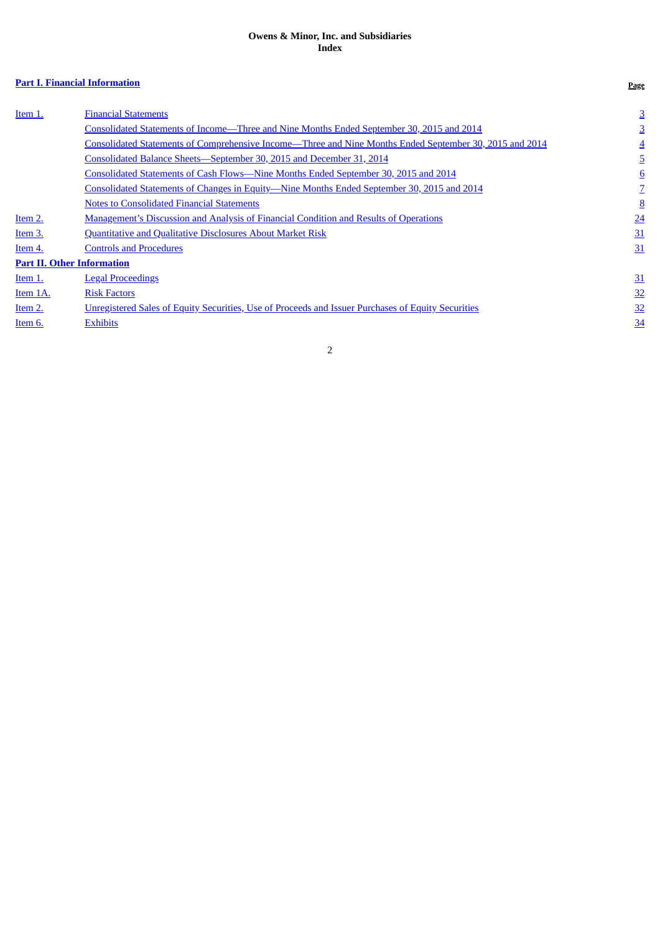## **Owens & Minor, Inc. and Subsidiaries Index**

## **Part I. Financial [Information](#page-1-0) Page**

<span id="page-1-0"></span>

| Item 1.  | <b>Financial Statements</b>                                                                             | 3               |
|----------|---------------------------------------------------------------------------------------------------------|-----------------|
|          | Consolidated Statements of Income—Three and Nine Months Ended September 30, 2015 and 2014               |                 |
|          | Consolidated Statements of Comprehensive Income—Three and Nine Months Ended September 30, 2015 and 2014 | $\overline{4}$  |
|          | Consolidated Balance Sheets-September 30, 2015 and December 31, 2014                                    |                 |
|          | <b>Consolidated Statements of Cash Flows—Nine Months Ended September 30, 2015 and 2014</b>              | $6\phantom{1}6$ |
|          | Consolidated Statements of Changes in Equity—Nine Months Ended September 30, 2015 and 2014              |                 |
|          | <b>Notes to Consolidated Financial Statements</b>                                                       | <u>8</u>        |
| Item 2.  | Management's Discussion and Analysis of Financial Condition and Results of Operations                   | 24              |
| Item 3.  | <b>Quantitative and Qualitative Disclosures About Market Risk</b>                                       | 31              |
| Item 4.  | <b>Controls and Procedures</b>                                                                          | 31              |
|          | <b>Part II. Other Information</b>                                                                       |                 |
| Item 1.  | <b>Legal Proceedings</b>                                                                                | <u>31</u>       |
| Item 1A. | <b>Risk Factors</b>                                                                                     | 32              |
| Item 2.  | Unregistered Sales of Equity Securities, Use of Proceeds and Issuer Purchases of Equity Securities      | 32              |
| Item 6.  | <b>Exhibits</b>                                                                                         | 34              |
|          |                                                                                                         |                 |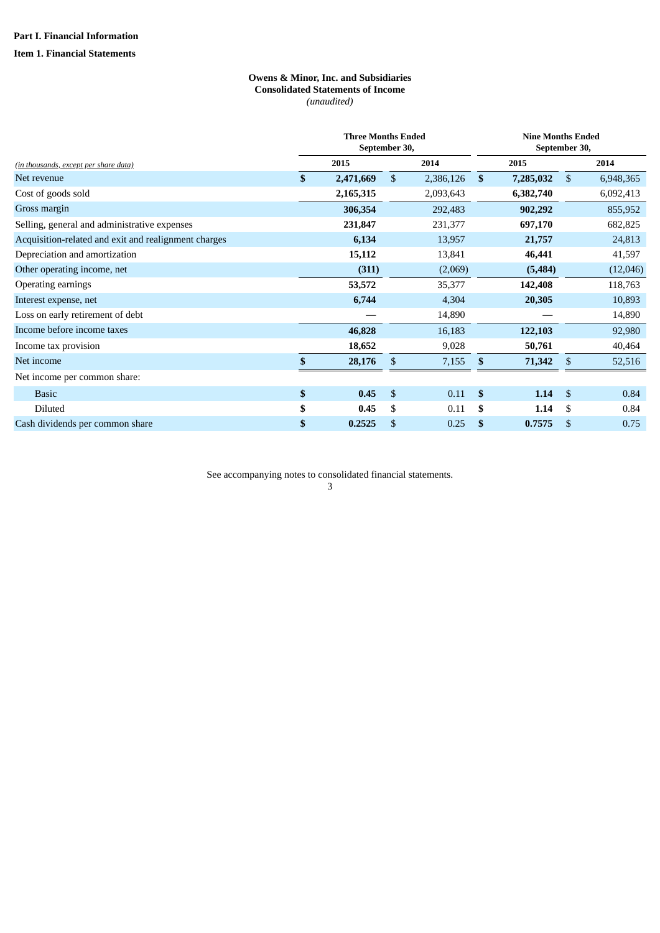<span id="page-2-1"></span><span id="page-2-0"></span>**Item 1. Financial Statements**

## **Owens & Minor, Inc. and Subsidiaries Consolidated Statements of Income** *(unaudited)*

|                                                      | <b>Three Months Ended</b><br>September 30, |              | <b>Nine Months Ended</b><br>September 30, |              |           |                |           |  |
|------------------------------------------------------|--------------------------------------------|--------------|-------------------------------------------|--------------|-----------|----------------|-----------|--|
| (in thousands, except per share data)                | 2015                                       |              | 2014                                      |              | 2015      |                | 2014      |  |
| Net revenue                                          | \$<br>2,471,669                            | $\mathbb{S}$ | 2,386,126                                 | \$           | 7,285,032 | $\mathfrak{S}$ | 6,948,365 |  |
| Cost of goods sold                                   | 2,165,315                                  |              | 2,093,643                                 |              | 6,382,740 |                | 6,092,413 |  |
| Gross margin                                         | 306,354                                    |              | 292,483                                   |              | 902,292   |                | 855,952   |  |
| Selling, general and administrative expenses         | 231,847                                    |              | 231,377                                   |              | 697,170   |                | 682,825   |  |
| Acquisition-related and exit and realignment charges | 6,134                                      |              | 13,957                                    |              | 21,757    |                | 24,813    |  |
| Depreciation and amortization                        | 15,112                                     |              | 13,841                                    |              | 46,441    |                | 41,597    |  |
| Other operating income, net                          | (311)                                      |              | (2,069)                                   |              | (5, 484)  |                | (12,046)  |  |
| <b>Operating earnings</b>                            | 53,572                                     |              | 35,377                                    |              | 142,408   |                | 118,763   |  |
| Interest expense, net                                | 6,744                                      |              | 4,304                                     |              | 20,305    |                | 10,893    |  |
| Loss on early retirement of debt                     |                                            |              | 14,890                                    |              |           |                | 14,890    |  |
| Income before income taxes                           | 46,828                                     |              | 16,183                                    |              | 122,103   |                | 92,980    |  |
| Income tax provision                                 | 18,652                                     |              | 9,028                                     |              | 50,761    |                | 40,464    |  |
| Net income                                           | \$<br>28,176                               | \$.          | 7,155                                     | \$           | 71,342    | \$             | 52,516    |  |
| Net income per common share:                         |                                            |              |                                           |              |           |                |           |  |
| <b>Basic</b>                                         | \$<br>0.45                                 | \$           | 0.11                                      | $\mathbf{s}$ | 1.14      | \$             | 0.84      |  |
| Diluted                                              | \$<br>0.45                                 | \$.          | 0.11                                      | \$           | 1.14      | \$             | 0.84      |  |
| Cash dividends per common share                      | \$<br>0.2525                               | \$           | 0.25                                      | \$           | 0.7575    | \$             | 0.75      |  |

<span id="page-2-2"></span>See accompanying notes to consolidated financial statements.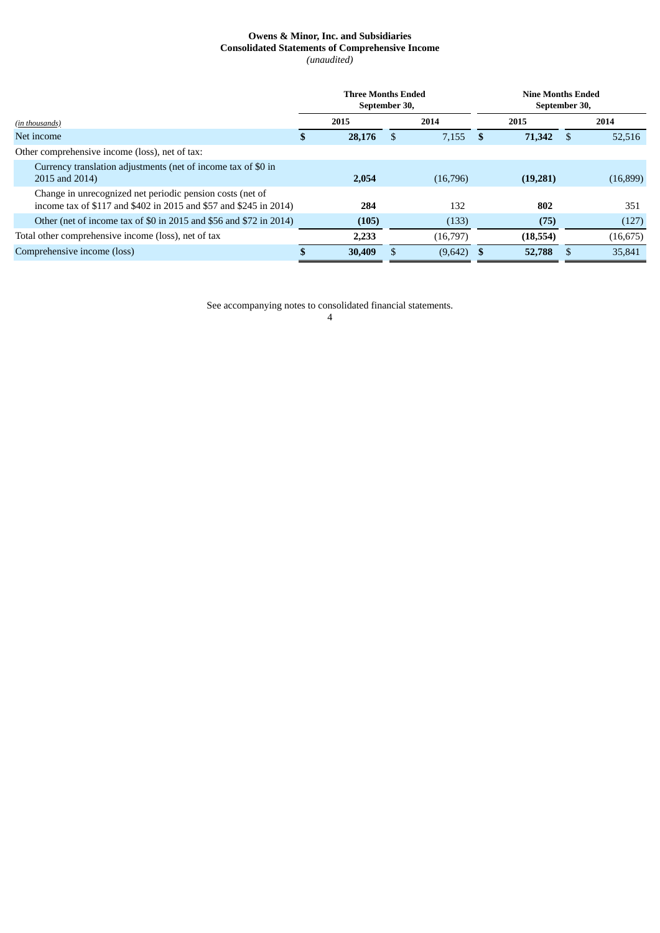## **Owens & Minor, Inc. and Subsidiaries Consolidated Statements of Comprehensive Income** *(unaudited)*

|                                                                                                                                | <b>Three Months Ended</b><br>September 30, |        |  |            |  | <b>Nine Months Ended</b> |               | September 30, |  |  |
|--------------------------------------------------------------------------------------------------------------------------------|--------------------------------------------|--------|--|------------|--|--------------------------|---------------|---------------|--|--|
| (in thousands)                                                                                                                 |                                            | 2015   |  | 2014       |  | 2015                     |               | 2014          |  |  |
| Net income                                                                                                                     | D                                          | 28,176 |  | $7,155$ \$ |  | 71,342                   | <sup>\$</sup> | 52,516        |  |  |
| Other comprehensive income (loss), net of tax:                                                                                 |                                            |        |  |            |  |                          |               |               |  |  |
| Currency translation adjustments (net of income tax of \$0 in<br>2015 and 2014)                                                |                                            | 2,054  |  | (16,796)   |  | (19,281)                 |               | (16,899)      |  |  |
| Change in unrecognized net periodic pension costs (net of<br>income tax of \$117 and \$402 in 2015 and \$57 and \$245 in 2014) |                                            | 284    |  | 132        |  | 802                      |               | 351           |  |  |
| Other (net of income tax of \$0 in 2015 and \$56 and \$72 in 2014)                                                             |                                            | (105)  |  | (133)      |  | (75)                     |               | (127)         |  |  |
| Total other comprehensive income (loss), net of tax                                                                            |                                            | 2,233  |  | (16,797)   |  | (18, 554)                |               | (16, 675)     |  |  |
| Comprehensive income (loss)                                                                                                    |                                            | 30,409 |  | (9,642)    |  | 52,788                   | .S            | 35,841        |  |  |

<span id="page-3-0"></span>See accompanying notes to consolidated financial statements.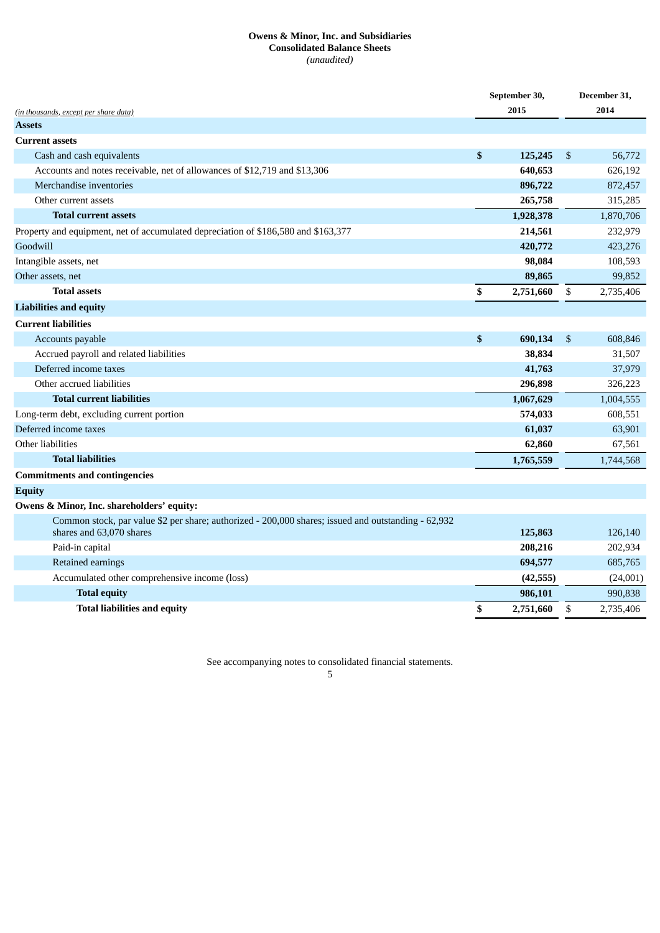## **Owens & Minor, Inc. and Subsidiaries Consolidated Balance Sheets** *(unaudited)*

| 2014<br>2015<br>(in thousands, except per share data)<br><b>Assets</b><br><b>Current assets</b><br>\$<br>Cash and cash equivalents<br>125,245<br>\$<br>Accounts and notes receivable, net of allowances of \$12,719 and \$13,306<br>640,653<br>Merchandise inventories<br>896,722<br>265,758<br>Other current assets<br><b>Total current assets</b><br>1,928,378<br>Property and equipment, net of accumulated depreciation of \$186,580 and \$163,377<br>214,561<br>Goodwill<br>420,772<br>Intangible assets, net<br>98,084<br>89,865<br>Other assets, net<br><b>Total assets</b><br>\$<br>\$<br>2,751,660<br><b>Liabilities and equity</b><br><b>Current liabilities</b><br>\$<br>690,134<br>\$<br>Accounts payable<br>38,834<br>Accrued payroll and related liabilities<br>Deferred income taxes<br>41,763<br>Other accrued liabilities<br>296,898<br><b>Total current liabilities</b><br>1,067,629<br>Long-term debt, excluding current portion<br>574,033<br>Deferred income taxes<br>61,037<br>Other liabilities<br>62,860<br><b>Total liabilities</b><br>1,765,559<br><b>Commitments and contingencies</b><br><b>Equity</b><br>Owens & Minor, Inc. shareholders' equity:<br>Common stock, par value \$2 per share; authorized - 200,000 shares; issued and outstanding - 62,932<br>shares and 63,070 shares<br>125,863<br>Paid-in capital<br>208,216<br>694,577<br>Retained earnings<br>Accumulated other comprehensive income (loss)<br>(42, 555)<br><b>Total equity</b><br>986,101 |                                     | September 30, |           |    | December 31, |
|---------------------------------------------------------------------------------------------------------------------------------------------------------------------------------------------------------------------------------------------------------------------------------------------------------------------------------------------------------------------------------------------------------------------------------------------------------------------------------------------------------------------------------------------------------------------------------------------------------------------------------------------------------------------------------------------------------------------------------------------------------------------------------------------------------------------------------------------------------------------------------------------------------------------------------------------------------------------------------------------------------------------------------------------------------------------------------------------------------------------------------------------------------------------------------------------------------------------------------------------------------------------------------------------------------------------------------------------------------------------------------------------------------------------------------------------------------------------------------------------|-------------------------------------|---------------|-----------|----|--------------|
|                                                                                                                                                                                                                                                                                                                                                                                                                                                                                                                                                                                                                                                                                                                                                                                                                                                                                                                                                                                                                                                                                                                                                                                                                                                                                                                                                                                                                                                                                             |                                     |               |           |    |              |
|                                                                                                                                                                                                                                                                                                                                                                                                                                                                                                                                                                                                                                                                                                                                                                                                                                                                                                                                                                                                                                                                                                                                                                                                                                                                                                                                                                                                                                                                                             |                                     |               |           |    |              |
|                                                                                                                                                                                                                                                                                                                                                                                                                                                                                                                                                                                                                                                                                                                                                                                                                                                                                                                                                                                                                                                                                                                                                                                                                                                                                                                                                                                                                                                                                             |                                     |               |           |    |              |
|                                                                                                                                                                                                                                                                                                                                                                                                                                                                                                                                                                                                                                                                                                                                                                                                                                                                                                                                                                                                                                                                                                                                                                                                                                                                                                                                                                                                                                                                                             |                                     |               |           |    | 56,772       |
|                                                                                                                                                                                                                                                                                                                                                                                                                                                                                                                                                                                                                                                                                                                                                                                                                                                                                                                                                                                                                                                                                                                                                                                                                                                                                                                                                                                                                                                                                             |                                     |               |           |    | 626,192      |
|                                                                                                                                                                                                                                                                                                                                                                                                                                                                                                                                                                                                                                                                                                                                                                                                                                                                                                                                                                                                                                                                                                                                                                                                                                                                                                                                                                                                                                                                                             |                                     |               |           |    | 872,457      |
|                                                                                                                                                                                                                                                                                                                                                                                                                                                                                                                                                                                                                                                                                                                                                                                                                                                                                                                                                                                                                                                                                                                                                                                                                                                                                                                                                                                                                                                                                             |                                     |               |           |    | 315,285      |
|                                                                                                                                                                                                                                                                                                                                                                                                                                                                                                                                                                                                                                                                                                                                                                                                                                                                                                                                                                                                                                                                                                                                                                                                                                                                                                                                                                                                                                                                                             |                                     |               |           |    | 1,870,706    |
|                                                                                                                                                                                                                                                                                                                                                                                                                                                                                                                                                                                                                                                                                                                                                                                                                                                                                                                                                                                                                                                                                                                                                                                                                                                                                                                                                                                                                                                                                             |                                     |               |           |    | 232,979      |
|                                                                                                                                                                                                                                                                                                                                                                                                                                                                                                                                                                                                                                                                                                                                                                                                                                                                                                                                                                                                                                                                                                                                                                                                                                                                                                                                                                                                                                                                                             |                                     |               |           |    | 423,276      |
|                                                                                                                                                                                                                                                                                                                                                                                                                                                                                                                                                                                                                                                                                                                                                                                                                                                                                                                                                                                                                                                                                                                                                                                                                                                                                                                                                                                                                                                                                             |                                     |               |           |    | 108,593      |
|                                                                                                                                                                                                                                                                                                                                                                                                                                                                                                                                                                                                                                                                                                                                                                                                                                                                                                                                                                                                                                                                                                                                                                                                                                                                                                                                                                                                                                                                                             |                                     |               |           |    | 99,852       |
|                                                                                                                                                                                                                                                                                                                                                                                                                                                                                                                                                                                                                                                                                                                                                                                                                                                                                                                                                                                                                                                                                                                                                                                                                                                                                                                                                                                                                                                                                             |                                     |               |           |    | 2,735,406    |
|                                                                                                                                                                                                                                                                                                                                                                                                                                                                                                                                                                                                                                                                                                                                                                                                                                                                                                                                                                                                                                                                                                                                                                                                                                                                                                                                                                                                                                                                                             |                                     |               |           |    |              |
|                                                                                                                                                                                                                                                                                                                                                                                                                                                                                                                                                                                                                                                                                                                                                                                                                                                                                                                                                                                                                                                                                                                                                                                                                                                                                                                                                                                                                                                                                             |                                     |               |           |    |              |
|                                                                                                                                                                                                                                                                                                                                                                                                                                                                                                                                                                                                                                                                                                                                                                                                                                                                                                                                                                                                                                                                                                                                                                                                                                                                                                                                                                                                                                                                                             |                                     |               |           |    | 608,846      |
|                                                                                                                                                                                                                                                                                                                                                                                                                                                                                                                                                                                                                                                                                                                                                                                                                                                                                                                                                                                                                                                                                                                                                                                                                                                                                                                                                                                                                                                                                             |                                     |               |           |    | 31,507       |
|                                                                                                                                                                                                                                                                                                                                                                                                                                                                                                                                                                                                                                                                                                                                                                                                                                                                                                                                                                                                                                                                                                                                                                                                                                                                                                                                                                                                                                                                                             |                                     |               |           |    | 37,979       |
|                                                                                                                                                                                                                                                                                                                                                                                                                                                                                                                                                                                                                                                                                                                                                                                                                                                                                                                                                                                                                                                                                                                                                                                                                                                                                                                                                                                                                                                                                             |                                     |               |           |    | 326,223      |
|                                                                                                                                                                                                                                                                                                                                                                                                                                                                                                                                                                                                                                                                                                                                                                                                                                                                                                                                                                                                                                                                                                                                                                                                                                                                                                                                                                                                                                                                                             |                                     |               |           |    | 1,004,555    |
|                                                                                                                                                                                                                                                                                                                                                                                                                                                                                                                                                                                                                                                                                                                                                                                                                                                                                                                                                                                                                                                                                                                                                                                                                                                                                                                                                                                                                                                                                             |                                     |               |           |    | 608,551      |
|                                                                                                                                                                                                                                                                                                                                                                                                                                                                                                                                                                                                                                                                                                                                                                                                                                                                                                                                                                                                                                                                                                                                                                                                                                                                                                                                                                                                                                                                                             |                                     |               |           |    | 63,901       |
|                                                                                                                                                                                                                                                                                                                                                                                                                                                                                                                                                                                                                                                                                                                                                                                                                                                                                                                                                                                                                                                                                                                                                                                                                                                                                                                                                                                                                                                                                             |                                     |               |           |    | 67,561       |
|                                                                                                                                                                                                                                                                                                                                                                                                                                                                                                                                                                                                                                                                                                                                                                                                                                                                                                                                                                                                                                                                                                                                                                                                                                                                                                                                                                                                                                                                                             |                                     |               |           |    | 1,744,568    |
|                                                                                                                                                                                                                                                                                                                                                                                                                                                                                                                                                                                                                                                                                                                                                                                                                                                                                                                                                                                                                                                                                                                                                                                                                                                                                                                                                                                                                                                                                             |                                     |               |           |    |              |
|                                                                                                                                                                                                                                                                                                                                                                                                                                                                                                                                                                                                                                                                                                                                                                                                                                                                                                                                                                                                                                                                                                                                                                                                                                                                                                                                                                                                                                                                                             |                                     |               |           |    |              |
|                                                                                                                                                                                                                                                                                                                                                                                                                                                                                                                                                                                                                                                                                                                                                                                                                                                                                                                                                                                                                                                                                                                                                                                                                                                                                                                                                                                                                                                                                             |                                     |               |           |    |              |
|                                                                                                                                                                                                                                                                                                                                                                                                                                                                                                                                                                                                                                                                                                                                                                                                                                                                                                                                                                                                                                                                                                                                                                                                                                                                                                                                                                                                                                                                                             |                                     |               |           |    | 126,140      |
|                                                                                                                                                                                                                                                                                                                                                                                                                                                                                                                                                                                                                                                                                                                                                                                                                                                                                                                                                                                                                                                                                                                                                                                                                                                                                                                                                                                                                                                                                             |                                     |               |           |    | 202,934      |
|                                                                                                                                                                                                                                                                                                                                                                                                                                                                                                                                                                                                                                                                                                                                                                                                                                                                                                                                                                                                                                                                                                                                                                                                                                                                                                                                                                                                                                                                                             |                                     |               |           |    | 685,765      |
|                                                                                                                                                                                                                                                                                                                                                                                                                                                                                                                                                                                                                                                                                                                                                                                                                                                                                                                                                                                                                                                                                                                                                                                                                                                                                                                                                                                                                                                                                             |                                     |               |           |    | (24,001)     |
|                                                                                                                                                                                                                                                                                                                                                                                                                                                                                                                                                                                                                                                                                                                                                                                                                                                                                                                                                                                                                                                                                                                                                                                                                                                                                                                                                                                                                                                                                             |                                     |               |           |    | 990,838      |
|                                                                                                                                                                                                                                                                                                                                                                                                                                                                                                                                                                                                                                                                                                                                                                                                                                                                                                                                                                                                                                                                                                                                                                                                                                                                                                                                                                                                                                                                                             | <b>Total liabilities and equity</b> | \$            | 2,751,660 | \$ | 2,735,406    |

<span id="page-4-0"></span>See accompanying notes to consolidated financial statements.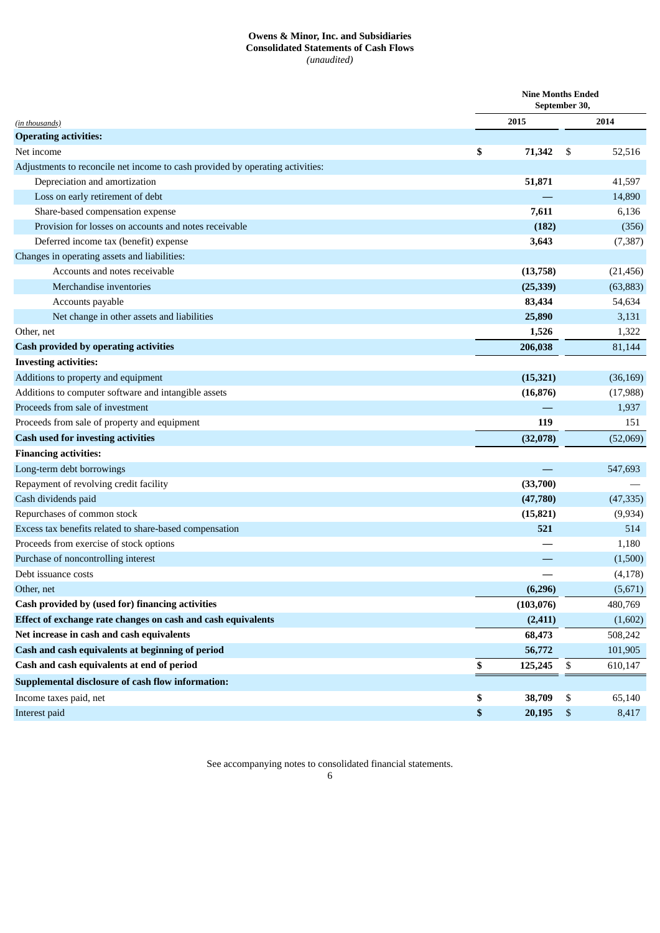## **Owens & Minor, Inc. and Subsidiaries Consolidated Statements of Cash Flows** *(unaudited)*

|                                                                               | <b>Nine Months Ended</b><br>September 30, |    |           |  |  |  |  |
|-------------------------------------------------------------------------------|-------------------------------------------|----|-----------|--|--|--|--|
| (in thousands)                                                                | 2015                                      |    | 2014      |  |  |  |  |
| <b>Operating activities:</b>                                                  |                                           |    |           |  |  |  |  |
| Net income                                                                    | \$<br>71,342                              | \$ | 52,516    |  |  |  |  |
| Adjustments to reconcile net income to cash provided by operating activities: |                                           |    |           |  |  |  |  |
| Depreciation and amortization                                                 | 51,871                                    |    | 41,597    |  |  |  |  |
| Loss on early retirement of debt                                              |                                           |    | 14,890    |  |  |  |  |
| Share-based compensation expense                                              | 7,611                                     |    | 6,136     |  |  |  |  |
| Provision for losses on accounts and notes receivable                         | (182)                                     |    | (356)     |  |  |  |  |
| Deferred income tax (benefit) expense                                         | 3,643                                     |    | (7, 387)  |  |  |  |  |
| Changes in operating assets and liabilities:                                  |                                           |    |           |  |  |  |  |
| Accounts and notes receivable                                                 | (13,758)                                  |    | (21, 456) |  |  |  |  |
| Merchandise inventories                                                       | (25, 339)                                 |    | (63, 883) |  |  |  |  |
| Accounts payable                                                              | 83,434                                    |    | 54,634    |  |  |  |  |
| Net change in other assets and liabilities                                    | 25,890                                    |    | 3,131     |  |  |  |  |
| Other, net                                                                    | 1,526                                     |    | 1,322     |  |  |  |  |
| <b>Cash provided by operating activities</b>                                  | 206,038                                   |    | 81,144    |  |  |  |  |
| <b>Investing activities:</b>                                                  |                                           |    |           |  |  |  |  |
| Additions to property and equipment                                           | (15, 321)                                 |    | (36, 169) |  |  |  |  |
| Additions to computer software and intangible assets                          | (16, 876)                                 |    | (17,988)  |  |  |  |  |
| Proceeds from sale of investment                                              |                                           |    | 1,937     |  |  |  |  |
| Proceeds from sale of property and equipment                                  | 119                                       |    | 151       |  |  |  |  |
| <b>Cash used for investing activities</b>                                     | (32,078)                                  |    | (52,069)  |  |  |  |  |
| <b>Financing activities:</b>                                                  |                                           |    |           |  |  |  |  |
| Long-term debt borrowings                                                     |                                           |    | 547,693   |  |  |  |  |
| Repayment of revolving credit facility                                        | (33,700)                                  |    |           |  |  |  |  |
| Cash dividends paid                                                           | (47,780)                                  |    | (47, 335) |  |  |  |  |
| Repurchases of common stock                                                   | (15, 821)                                 |    | (9, 934)  |  |  |  |  |
| Excess tax benefits related to share-based compensation                       | 521                                       |    | 514       |  |  |  |  |
| Proceeds from exercise of stock options                                       |                                           |    | 1,180     |  |  |  |  |
| Purchase of noncontrolling interest                                           |                                           |    | (1,500)   |  |  |  |  |
| Debt issuance costs                                                           |                                           |    | (4, 178)  |  |  |  |  |
| Other, net                                                                    | (6,296)                                   |    | (5,671)   |  |  |  |  |
| Cash provided by (used for) financing activities                              | (103, 076)                                |    | 480,769   |  |  |  |  |
| Effect of exchange rate changes on cash and cash equivalents                  | (2, 411)                                  |    | (1,602)   |  |  |  |  |
| Net increase in cash and cash equivalents                                     | 68,473                                    |    | 508,242   |  |  |  |  |
| Cash and cash equivalents at beginning of period                              | 56,772                                    |    | 101,905   |  |  |  |  |
| Cash and cash equivalents at end of period                                    | \$<br>125,245                             | \$ | 610,147   |  |  |  |  |
| Supplemental disclosure of cash flow information:                             |                                           |    |           |  |  |  |  |
| Income taxes paid, net                                                        | \$<br>38,709                              | \$ | 65,140    |  |  |  |  |
| Interest paid                                                                 | \$<br>20,195                              | \$ | 8,417     |  |  |  |  |

<span id="page-5-0"></span>See accompanying notes to consolidated financial statements.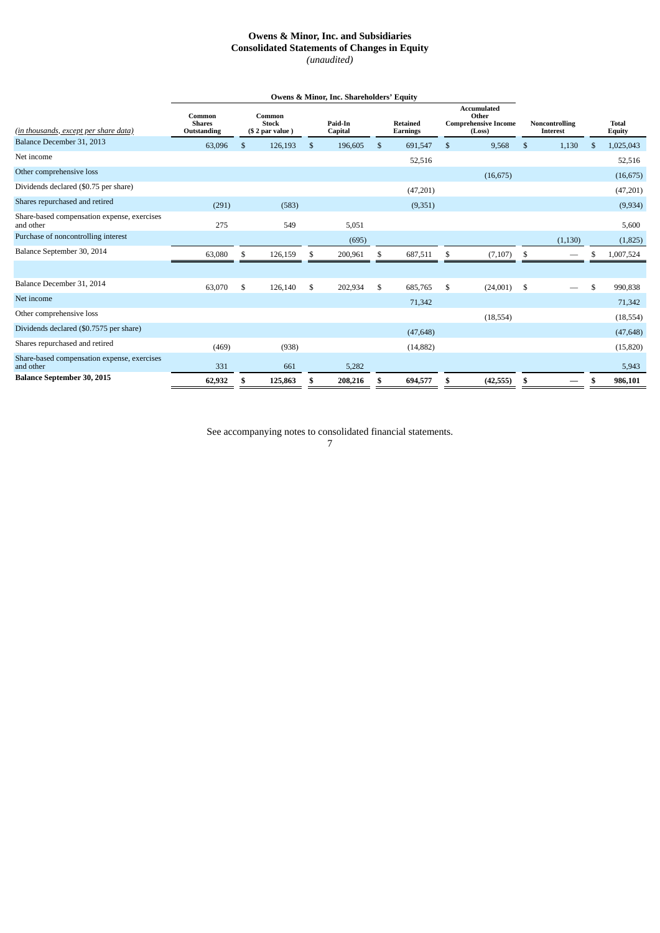## **Owens & Minor, Inc. and Subsidiaries Consolidated Statements of Changes in Equity** *(unaudited)*

| Owens & Minor, Inc. Shareholders' Equity                 |                                        |              |                                           |    |                    |                                    |           |    |           |                                |                |           |  |  |  |  |  |  |  |  |  |  |  |  |  |                                                                      |  |                                   |  |                        |
|----------------------------------------------------------|----------------------------------------|--------------|-------------------------------------------|----|--------------------|------------------------------------|-----------|----|-----------|--------------------------------|----------------|-----------|--|--|--|--|--|--|--|--|--|--|--|--|--|----------------------------------------------------------------------|--|-----------------------------------|--|------------------------|
| (in thousands, except per share data)                    | Common<br><b>Shares</b><br>Outstanding |              | Common<br><b>Stock</b><br>$$2$ par value) |    | Paid-In<br>Capital | <b>Retained</b><br><b>Earnings</b> |           |    |           |                                |                |           |  |  |  |  |  |  |  |  |  |  |  |  |  | <b>Accumulated</b><br>Other<br><b>Comprehensive Income</b><br>(Loss) |  | Noncontrolling<br><b>Interest</b> |  | <b>Total</b><br>Equity |
| Balance December 31, 2013                                | 63,096                                 | $\mathbb{S}$ | 126,193                                   | \$ | 196,605            | \$                                 | 691,547   | \$ | 9,568     | \$<br>1,130                    | $\mathfrak{S}$ | 1,025,043 |  |  |  |  |  |  |  |  |  |  |  |  |  |                                                                      |  |                                   |  |                        |
| Net income                                               |                                        |              |                                           |    |                    |                                    | 52,516    |    |           |                                |                | 52,516    |  |  |  |  |  |  |  |  |  |  |  |  |  |                                                                      |  |                                   |  |                        |
| Other comprehensive loss                                 |                                        |              |                                           |    |                    |                                    |           |    | (16, 675) |                                |                | (16, 675) |  |  |  |  |  |  |  |  |  |  |  |  |  |                                                                      |  |                                   |  |                        |
| Dividends declared (\$0.75 per share)                    |                                        |              |                                           |    |                    |                                    | (47,201)  |    |           |                                |                | (47, 201) |  |  |  |  |  |  |  |  |  |  |  |  |  |                                                                      |  |                                   |  |                        |
| Shares repurchased and retired                           | (291)                                  |              | (583)                                     |    |                    |                                    | (9,351)   |    |           |                                |                | (9, 934)  |  |  |  |  |  |  |  |  |  |  |  |  |  |                                                                      |  |                                   |  |                        |
| Share-based compensation expense, exercises<br>and other | 275                                    |              | 549                                       |    | 5,051              |                                    |           |    |           |                                |                | 5,600     |  |  |  |  |  |  |  |  |  |  |  |  |  |                                                                      |  |                                   |  |                        |
| Purchase of noncontrolling interest                      |                                        |              |                                           |    | (695)              |                                    |           |    |           | (1, 130)                       |                | (1,825)   |  |  |  |  |  |  |  |  |  |  |  |  |  |                                                                      |  |                                   |  |                        |
| Balance September 30, 2014                               | 63,080                                 | S            | 126,159                                   | \$ | 200,961            | S                                  | 687,511   | \$ | (7, 107)  | \$                             | \$             | 1,007,524 |  |  |  |  |  |  |  |  |  |  |  |  |  |                                                                      |  |                                   |  |                        |
|                                                          |                                        |              |                                           |    |                    |                                    |           |    |           |                                |                |           |  |  |  |  |  |  |  |  |  |  |  |  |  |                                                                      |  |                                   |  |                        |
| Balance December 31, 2014                                | 63,070                                 | \$           | 126,140                                   | \$ | 202,934            | \$                                 | 685,765   | \$ | (24,001)  | \$<br>$\overline{\phantom{0}}$ | \$             | 990,838   |  |  |  |  |  |  |  |  |  |  |  |  |  |                                                                      |  |                                   |  |                        |
| Net income                                               |                                        |              |                                           |    |                    |                                    | 71,342    |    |           |                                |                | 71,342    |  |  |  |  |  |  |  |  |  |  |  |  |  |                                                                      |  |                                   |  |                        |
| Other comprehensive loss                                 |                                        |              |                                           |    |                    |                                    |           |    | (18, 554) |                                |                | (18, 554) |  |  |  |  |  |  |  |  |  |  |  |  |  |                                                                      |  |                                   |  |                        |
| Dividends declared (\$0.7575 per share)                  |                                        |              |                                           |    |                    |                                    | (47, 648) |    |           |                                |                | (47, 648) |  |  |  |  |  |  |  |  |  |  |  |  |  |                                                                      |  |                                   |  |                        |
| Shares repurchased and retired                           | (469)                                  |              | (938)                                     |    |                    |                                    | (14, 882) |    |           |                                |                | (15, 820) |  |  |  |  |  |  |  |  |  |  |  |  |  |                                                                      |  |                                   |  |                        |
| Share-based compensation expense, exercises<br>and other | 331                                    |              | 661                                       |    | 5,282              |                                    |           |    |           |                                |                | 5,943     |  |  |  |  |  |  |  |  |  |  |  |  |  |                                                                      |  |                                   |  |                        |
| <b>Balance September 30, 2015</b>                        | 62,932                                 | \$           | 125,863                                   | \$ | 208,216            | S                                  | 694,577   | S  | (42, 555) | \$                             | \$             | 986,101   |  |  |  |  |  |  |  |  |  |  |  |  |  |                                                                      |  |                                   |  |                        |

<span id="page-6-0"></span>See accompanying notes to consolidated financial statements.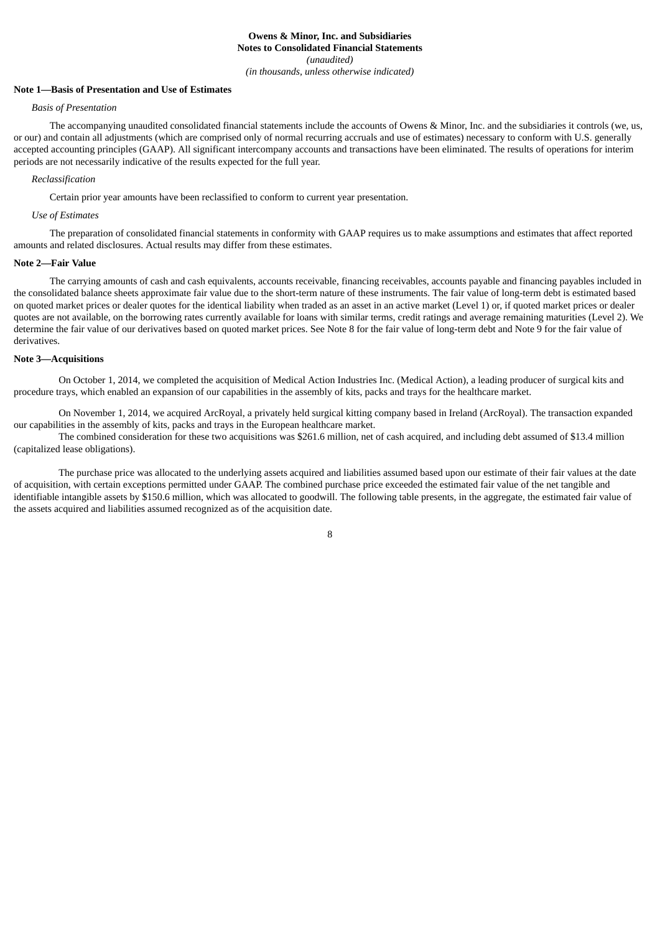## **Owens & Minor, Inc. and Subsidiaries Notes to Consolidated Financial Statements** *(unaudited)*

*(in thousands, unless otherwise indicated)*

#### **Note 1—Basis of Presentation and Use of Estimates**

#### *Basis of Presentation*

The accompanying unaudited consolidated financial statements include the accounts of Owens & Minor, Inc. and the subsidiaries it controls (we, us, or our) and contain all adjustments (which are comprised only of normal recurring accruals and use of estimates) necessary to conform with U.S. generally accepted accounting principles (GAAP). All significant intercompany accounts and transactions have been eliminated. The results of operations for interim periods are not necessarily indicative of the results expected for the full year.

#### *Reclassification*

Certain prior year amounts have been reclassified to conform to current year presentation.

#### *Use of Estimates*

The preparation of consolidated financial statements in conformity with GAAP requires us to make assumptions and estimates that affect reported amounts and related disclosures. Actual results may differ from these estimates.

#### **Note 2—Fair Value**

The carrying amounts of cash and cash equivalents, accounts receivable, financing receivables, accounts payable and financing payables included in the consolidated balance sheets approximate fair value due to the short-term nature of these instruments. The fair value of long-term debt is estimated based on quoted market prices or dealer quotes for the identical liability when traded as an asset in an active market (Level 1) or, if quoted market prices or dealer quotes are not available, on the borrowing rates currently available for loans with similar terms, credit ratings and average remaining maturities (Level 2). We determine the fair value of our derivatives based on quoted market prices. See Note 8 for the fair value of long-term debt and Note 9 for the fair value of derivatives.

#### **Note 3—Acquisitions**

On October 1, 2014, we completed the acquisition of Medical Action Industries Inc. (Medical Action), a leading producer of surgical kits and procedure trays, which enabled an expansion of our capabilities in the assembly of kits, packs and trays for the healthcare market.

On November 1, 2014, we acquired ArcRoyal, a privately held surgical kitting company based in Ireland (ArcRoyal). The transaction expanded our capabilities in the assembly of kits, packs and trays in the European healthcare market.

The combined consideration for these two acquisitions was \$261.6 million, net of cash acquired, and including debt assumed of \$13.4 million (capitalized lease obligations).

The purchase price was allocated to the underlying assets acquired and liabilities assumed based upon our estimate of their fair values at the date of acquisition, with certain exceptions permitted under GAAP. The combined purchase price exceeded the estimated fair value of the net tangible and identifiable intangible assets by \$150.6 million, which was allocated to goodwill. The following table presents, in the aggregate, the estimated fair value of the assets acquired and liabilities assumed recognized as of the acquisition date.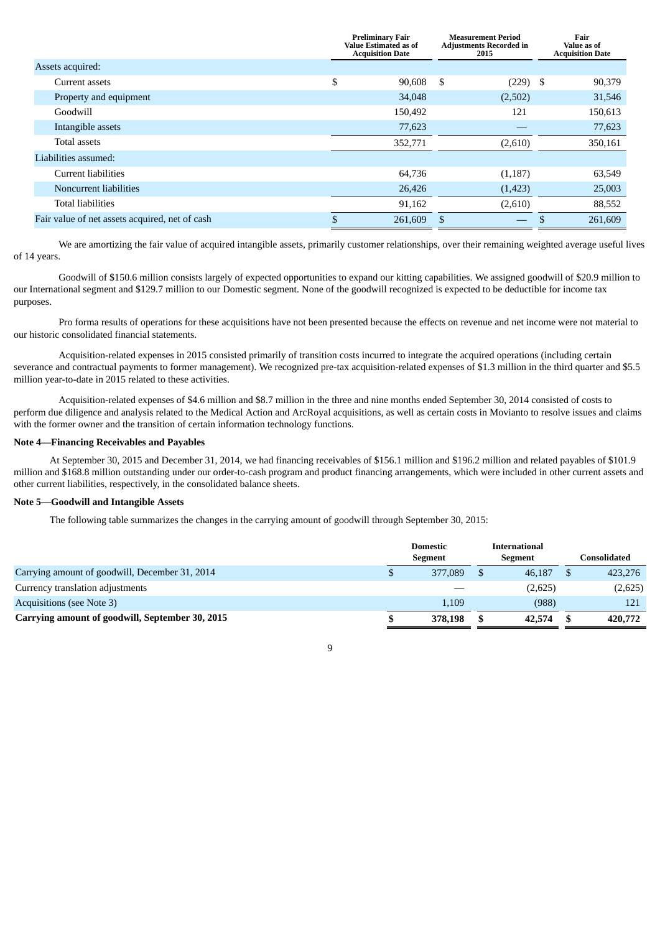|                                                | <b>Preliminary Fair</b><br>Value Estimated as of<br><b>Acquisition Date</b> |         |    | <b>Measurement Period</b><br><b>Adjustments Recorded in</b><br>2015 | Fair<br>Value as of<br><b>Acquisition Date</b> |
|------------------------------------------------|-----------------------------------------------------------------------------|---------|----|---------------------------------------------------------------------|------------------------------------------------|
| Assets acquired:                               |                                                                             |         |    |                                                                     |                                                |
| Current assets                                 | \$                                                                          | 90,608  | \$ | $(229)$ \$                                                          | 90,379                                         |
| Property and equipment                         |                                                                             | 34,048  |    | (2,502)                                                             | 31,546                                         |
| Goodwill                                       |                                                                             | 150,492 |    | 121                                                                 | 150,613                                        |
| Intangible assets                              |                                                                             | 77,623  |    |                                                                     | 77,623                                         |
| Total assets                                   |                                                                             | 352,771 |    | (2,610)                                                             | 350,161                                        |
| Liabilities assumed:                           |                                                                             |         |    |                                                                     |                                                |
| Current liabilities                            |                                                                             | 64,736  |    | (1, 187)                                                            | 63,549                                         |
| Noncurrent liabilities                         |                                                                             | 26,426  |    | (1,423)                                                             | 25,003                                         |
| <b>Total liabilities</b>                       |                                                                             | 91,162  |    | (2,610)                                                             | 88,552                                         |
| Fair value of net assets acquired, net of cash |                                                                             | 261,609 | \$ |                                                                     | 261,609                                        |

We are amortizing the fair value of acquired intangible assets, primarily customer relationships, over their remaining weighted average useful lives of 14 years.

Goodwill of \$150.6 million consists largely of expected opportunities to expand our kitting capabilities. We assigned goodwill of \$20.9 million to our International segment and \$129.7 million to our Domestic segment. None of the goodwill recognized is expected to be deductible for income tax purposes.

Pro forma results of operations for these acquisitions have not been presented because the effects on revenue and net income were not material to our historic consolidated financial statements.

Acquisition-related expenses in 2015 consisted primarily of transition costs incurred to integrate the acquired operations (including certain severance and contractual payments to former management). We recognized pre-tax acquisition-related expenses of \$1.3 million in the third quarter and \$5.5 million year-to-date in 2015 related to these activities.

Acquisition-related expenses of \$4.6 million and \$8.7 million in the three and nine months ended September 30, 2014 consisted of costs to perform due diligence and analysis related to the Medical Action and ArcRoyal acquisitions, as well as certain costs in Movianto to resolve issues and claims with the former owner and the transition of certain information technology functions.

## **Note 4—Financing Receivables and Payables**

At September 30, 2015 and December 31, 2014, we had financing receivables of \$156.1 million and \$196.2 million and related payables of \$101.9 million and \$168.8 million outstanding under our order-to-cash program and product financing arrangements, which were included in other current assets and other current liabilities, respectively, in the consolidated balance sheets.

## **Note 5—Goodwill and Intangible Assets**

The following table summarizes the changes in the carrying amount of goodwill through September 30, 2015:

|                                                 | <b>Domestic</b><br>Segment | <b>International</b><br>Segment | Consolidated |
|-------------------------------------------------|----------------------------|---------------------------------|--------------|
| Carrying amount of goodwill, December 31, 2014  | 377,089                    | 46.187                          | 423,276      |
| Currency translation adjustments                |                            | (2,625)                         | (2,625)      |
| Acquisitions (see Note 3)                       | 1,109                      | (988)                           | 121          |
| Carrying amount of goodwill, September 30, 2015 | 378,198                    | 42,574                          | 420,772      |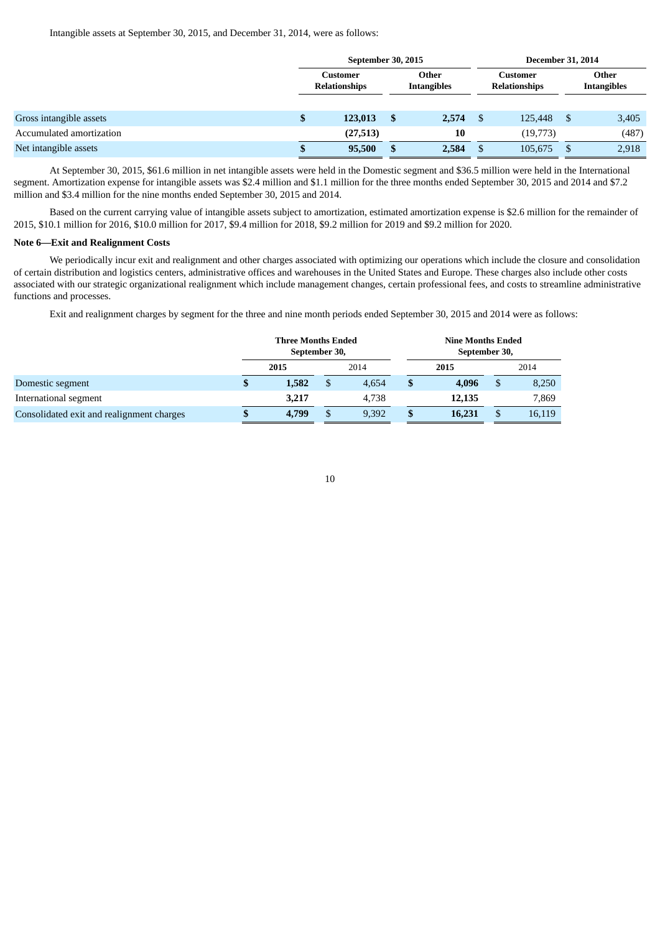Intangible assets at September 30, 2015, and December 31, 2014, were as follows:

|                          | September 30, 2015 |                                         |  |                             | <b>December 31, 2014</b> |                                  |    |                             |  |
|--------------------------|--------------------|-----------------------------------------|--|-----------------------------|--------------------------|----------------------------------|----|-----------------------------|--|
|                          |                    | <b>Customer</b><br><b>Relationships</b> |  | Other<br><b>Intangibles</b> |                          | Customer<br><b>Relationships</b> |    | Other<br><b>Intangibles</b> |  |
|                          |                    |                                         |  |                             |                          |                                  |    |                             |  |
| Gross intangible assets  | \$                 | 123,013                                 |  | 2,574                       |                          | 125,448                          | \$ | 3,405                       |  |
| Accumulated amortization |                    | (27, 513)                               |  | 10                          |                          | (19,773)                         |    | (487)                       |  |
| Net intangible assets    |                    | 95,500                                  |  | 2,584                       |                          | 105,675                          | S  | 2,918                       |  |

At September 30, 2015, \$61.6 million in net intangible assets were held in the Domestic segment and \$36.5 million were held in the International segment. Amortization expense for intangible assets was \$2.4 million and \$1.1 million for the three months ended September 30, 2015 and 2014 and \$7.2 million and \$3.4 million for the nine months ended September 30, 2015 and 2014.

Based on the current carrying value of intangible assets subject to amortization, estimated amortization expense is \$2.6 million for the remainder of 2015, \$10.1 million for 2016, \$10.0 million for 2017, \$9.4 million for 2018, \$9.2 million for 2019 and \$9.2 million for 2020.

#### **Note 6—Exit and Realignment Costs**

We periodically incur exit and realignment and other charges associated with optimizing our operations which include the closure and consolidation of certain distribution and logistics centers, administrative offices and warehouses in the United States and Europe. These charges also include other costs associated with our strategic organizational realignment which include management changes, certain professional fees, and costs to streamline administrative functions and processes.

Exit and realignment charges by segment for the three and nine month periods ended September 30, 2015 and 2014 were as follows:

|                                           | <b>Three Months Ended</b><br>September 30, |       | <b>Nine Months Ended</b><br>September 30, |      |        |
|-------------------------------------------|--------------------------------------------|-------|-------------------------------------------|------|--------|
|                                           | 2015                                       | 2014  | 2015                                      | 2014 |        |
| Domestic segment                          | \$<br>1,582                                | 4.654 | \$<br>4,096                               | \$   | 8,250  |
| International segment                     | 3.217                                      | 4,738 | 12,135                                    |      | 7,869  |
| Consolidated exit and realignment charges | 4,799                                      | 9,392 | \$<br>16,231                              | \$   | 16,119 |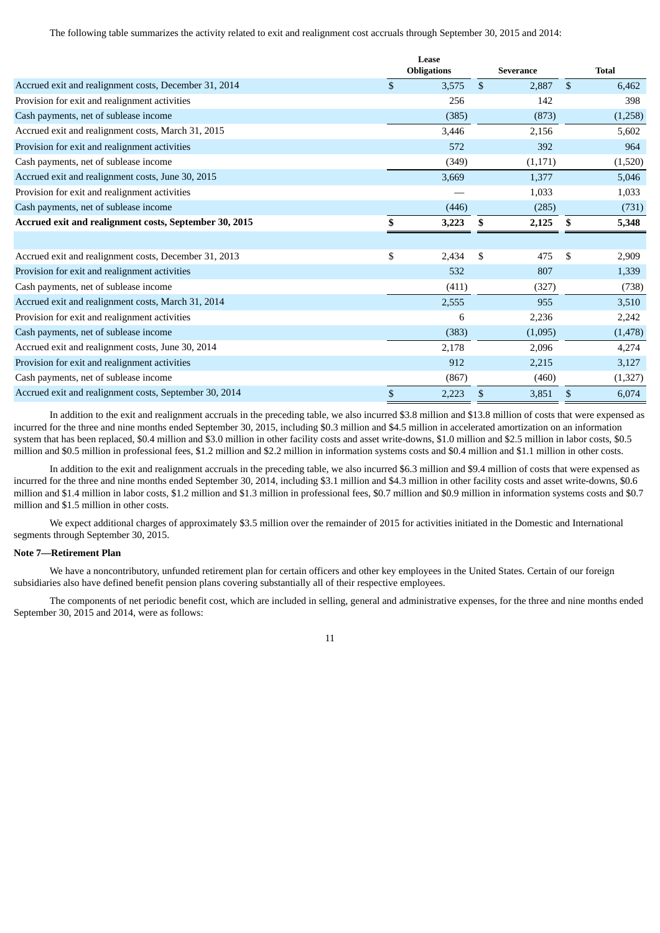The following table summarizes the activity related to exit and realignment cost accruals through September 30, 2015 and 2014:

| 3,575<br>256<br>(385)<br>3,446<br>572<br>(349)<br>3,669<br>(446)<br>3,223 | $\mathfrak{S}$<br>2,887<br>142<br>(873)<br>2,156<br>392<br>(1,171)<br>1,377<br>1,033<br>(285) | $\mathbb{S}$ | 6,462<br>398<br>(1,258)<br>5,602<br>964<br>(1,520)<br>5,046<br>1,033<br>(731) |
|---------------------------------------------------------------------------|-----------------------------------------------------------------------------------------------|--------------|-------------------------------------------------------------------------------|
|                                                                           |                                                                                               |              |                                                                               |
|                                                                           |                                                                                               |              |                                                                               |
|                                                                           |                                                                                               |              |                                                                               |
|                                                                           |                                                                                               |              |                                                                               |
|                                                                           |                                                                                               |              |                                                                               |
|                                                                           |                                                                                               |              |                                                                               |
|                                                                           |                                                                                               |              |                                                                               |
|                                                                           |                                                                                               |              |                                                                               |
|                                                                           |                                                                                               |              |                                                                               |
|                                                                           | \$<br>2,125                                                                                   | \$           | 5,348                                                                         |
|                                                                           |                                                                                               |              |                                                                               |
| 2,434                                                                     | \$<br>475                                                                                     | \$           | 2,909                                                                         |
| 532                                                                       | 807                                                                                           |              | 1,339                                                                         |
| (411)                                                                     | (327)                                                                                         |              | (738)                                                                         |
| 2,555                                                                     | 955                                                                                           |              | 3,510                                                                         |
| 6                                                                         | 2,236                                                                                         |              | 2,242                                                                         |
| (383)                                                                     | (1,095)                                                                                       |              | (1, 478)                                                                      |
| 2,178                                                                     | 2,096                                                                                         |              | 4,274                                                                         |
| 912                                                                       | 2,215                                                                                         |              | 3,127                                                                         |
|                                                                           | (460)                                                                                         |              | (1, 327)                                                                      |
| (867)                                                                     |                                                                                               |              | 6,074                                                                         |
|                                                                           |                                                                                               |              | \$<br>3,851<br>\$<br>2,223                                                    |

In addition to the exit and realignment accruals in the preceding table, we also incurred \$3.8 million and \$13.8 million of costs that were expensed as incurred for the three and nine months ended September 30, 2015, including \$0.3 million and \$4.5 million in accelerated amortization on an information system that has been replaced, \$0.4 million and \$3.0 million in other facility costs and asset write-downs, \$1.0 million and \$2.5 million in labor costs, \$0.5 million and \$0.5 million in professional fees, \$1.2 million and \$2.2 million in information systems costs and \$0.4 million and \$1.1 million in other costs.

In addition to the exit and realignment accruals in the preceding table, we also incurred \$6.3 million and \$9.4 million of costs that were expensed as incurred for the three and nine months ended September 30, 2014, including \$3.1 million and \$4.3 million in other facility costs and asset write-downs, \$0.6 million and \$1.4 million in labor costs, \$1.2 million and \$1.3 million in professional fees, \$0.7 million and \$0.9 million in information systems costs and \$0.7 million and \$1.5 million in other costs.

We expect additional charges of approximately \$3.5 million over the remainder of 2015 for activities initiated in the Domestic and International segments through September 30, 2015.

#### **Note 7—Retirement Plan**

We have a noncontributory, unfunded retirement plan for certain officers and other key employees in the United States. Certain of our foreign subsidiaries also have defined benefit pension plans covering substantially all of their respective employees.

The components of net periodic benefit cost, which are included in selling, general and administrative expenses, for the three and nine months ended September 30, 2015 and 2014, were as follows: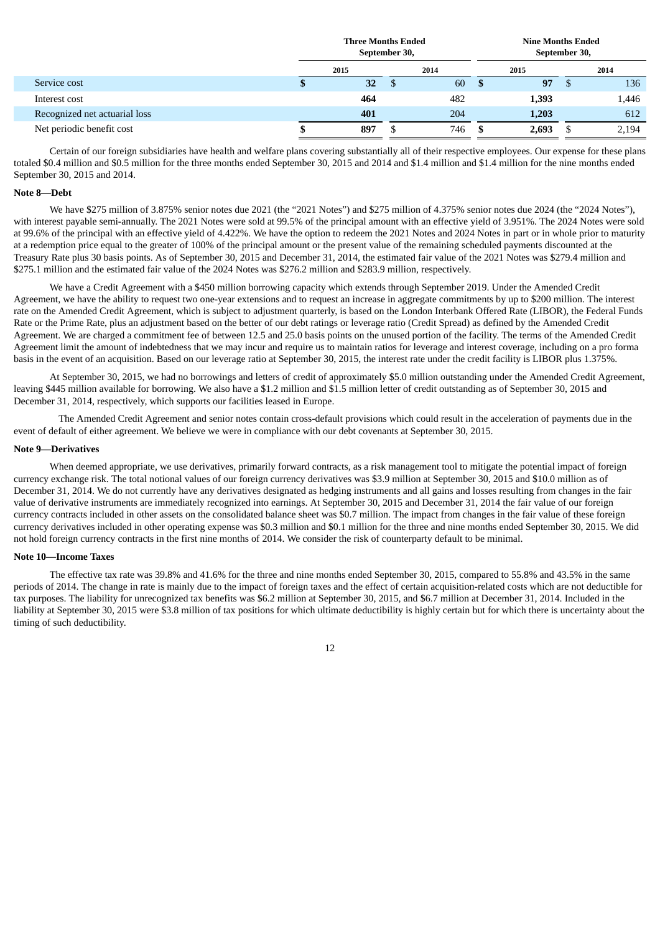|                               | <b>Three Months Ended</b><br>September 30, |     |  |      |      | <b>Nine Months Ended</b><br>September 30, |    |       |  |  |
|-------------------------------|--------------------------------------------|-----|--|------|------|-------------------------------------------|----|-------|--|--|
|                               | 2015                                       |     |  | 2014 | 2015 |                                           |    |       |  |  |
| Service cost                  |                                            | 32  |  | 60   |      | 97                                        | P. | 136   |  |  |
| Interest cost                 |                                            | 464 |  | 482  |      | 1,393                                     |    | 1,446 |  |  |
| Recognized net actuarial loss |                                            | 401 |  | 204  |      | 1,203                                     |    | 612   |  |  |
| Net periodic benefit cost     |                                            | 897 |  | 746  |      | 2,693                                     |    | 2,194 |  |  |

Certain of our foreign subsidiaries have health and welfare plans covering substantially all of their respective employees. Our expense for these plans totaled \$0.4 million and \$0.5 million for the three months ended September 30, 2015 and 2014 and \$1.4 million and \$1.4 million for the nine months ended September 30, 2015 and 2014.

#### **Note 8—Debt**

We have \$275 million of 3.875% senior notes due 2021 (the "2021 Notes") and \$275 million of 4.375% senior notes due 2024 (the "2024 Notes"), with interest payable semi-annually. The 2021 Notes were sold at 99.5% of the principal amount with an effective yield of 3.951%. The 2024 Notes were sold at 99.6% of the principal with an effective yield of 4.422%. We have the option to redeem the 2021 Notes and 2024 Notes in part or in whole prior to maturity at a redemption price equal to the greater of 100% of the principal amount or the present value of the remaining scheduled payments discounted at the Treasury Rate plus 30 basis points. As of September 30, 2015 and December 31, 2014, the estimated fair value of the 2021 Notes was \$279.4 million and \$275.1 million and the estimated fair value of the 2024 Notes was \$276.2 million and \$283.9 million, respectively.

We have a Credit Agreement with a \$450 million borrowing capacity which extends through September 2019. Under the Amended Credit Agreement, we have the ability to request two one-year extensions and to request an increase in aggregate commitments by up to \$200 million. The interest rate on the Amended Credit Agreement, which is subject to adjustment quarterly, is based on the London Interbank Offered Rate (LIBOR), the Federal Funds Rate or the Prime Rate, plus an adjustment based on the better of our debt ratings or leverage ratio (Credit Spread) as defined by the Amended Credit Agreement. We are charged a commitment fee of between 12.5 and 25.0 basis points on the unused portion of the facility. The terms of the Amended Credit Agreement limit the amount of indebtedness that we may incur and require us to maintain ratios for leverage and interest coverage, including on a pro forma basis in the event of an acquisition. Based on our leverage ratio at September 30, 2015, the interest rate under the credit facility is LIBOR plus 1.375%.

At September 30, 2015, we had no borrowings and letters of credit of approximately \$5.0 million outstanding under the Amended Credit Agreement, leaving \$445 million available for borrowing. We also have a \$1.2 million and \$1.5 million letter of credit outstanding as of September 30, 2015 and December 31, 2014, respectively, which supports our facilities leased in Europe.

The Amended Credit Agreement and senior notes contain cross-default provisions which could result in the acceleration of payments due in the event of default of either agreement. We believe we were in compliance with our debt covenants at September 30, 2015.

### **Note 9—Derivatives**

When deemed appropriate, we use derivatives, primarily forward contracts, as a risk management tool to mitigate the potential impact of foreign currency exchange risk. The total notional values of our foreign currency derivatives was \$3.9 million at September 30, 2015 and \$10.0 million as of December 31, 2014. We do not currently have any derivatives designated as hedging instruments and all gains and losses resulting from changes in the fair value of derivative instruments are immediately recognized into earnings. At September 30, 2015 and December 31, 2014 the fair value of our foreign currency contracts included in other assets on the consolidated balance sheet was \$0.7 million. The impact from changes in the fair value of these foreign currency derivatives included in other operating expense was \$0.3 million and \$0.1 million for the three and nine months ended September 30, 2015. We did not hold foreign currency contracts in the first nine months of 2014. We consider the risk of counterparty default to be minimal.

#### **Note 10—Income Taxes**

The effective tax rate was 39.8% and 41.6% for the three and nine months ended September 30, 2015, compared to 55.8% and 43.5% in the same periods of 2014. The change in rate is mainly due to the impact of foreign taxes and the effect of certain acquisition-related costs which are not deductible for tax purposes. The liability for unrecognized tax benefits was \$6.2 million at September 30, 2015, and \$6.7 million at December 31, 2014. Included in the liability at September 30, 2015 were \$3.8 million of tax positions for which ultimate deductibility is highly certain but for which there is uncertainty about the timing of such deductibility.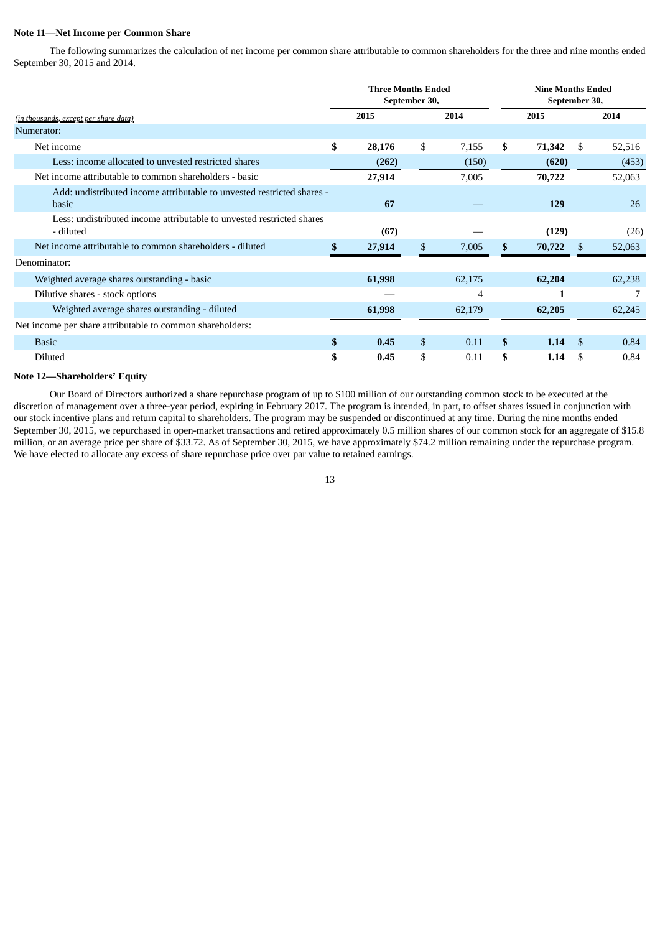#### **Note 11—Net Income per Common Share**

The following summarizes the calculation of net income per common share attributable to common shareholders for the three and nine months ended September 30, 2015 and 2014.

|                                                                                    | <b>Three Months Ended</b> | September 30,  |        |      |            | <b>Nine Months Ended</b><br>September 30, |        |  |  |  |
|------------------------------------------------------------------------------------|---------------------------|----------------|--------|------|------------|-------------------------------------------|--------|--|--|--|
| (in thousands, except per share data)                                              | 2015                      | 2014           |        | 2015 |            |                                           | 2014   |  |  |  |
| Numerator:                                                                         |                           |                |        |      |            |                                           |        |  |  |  |
| Net income                                                                         | \$<br>28,176              | \$             | 7,155  | \$   | 71,342     | S                                         | 52,516 |  |  |  |
| Less: income allocated to unvested restricted shares                               | (262)                     |                | (150)  |      | (620)      |                                           | (453)  |  |  |  |
| Net income attributable to common shareholders - basic                             | 27,914                    |                | 7,005  |      | 70,722     |                                           | 52,063 |  |  |  |
| Add: undistributed income attributable to unvested restricted shares -<br>basic    | 67                        |                |        |      | <b>129</b> |                                           | 26     |  |  |  |
| Less: undistributed income attributable to unvested restricted shares<br>- diluted | (67)                      |                |        |      | (129)      |                                           | (26)   |  |  |  |
| Net income attributable to common shareholders - diluted                           | 27,914                    | \$             | 7,005  | \$   | 70,722     | \$                                        | 52,063 |  |  |  |
| Denominator:                                                                       |                           |                |        |      |            |                                           |        |  |  |  |
| Weighted average shares outstanding - basic                                        | 61,998                    |                | 62,175 |      | 62,204     |                                           | 62,238 |  |  |  |
| Dilutive shares - stock options                                                    |                           |                | 4      |      |            |                                           |        |  |  |  |
| Weighted average shares outstanding - diluted                                      | 61,998                    |                | 62,179 |      | 62,205     |                                           | 62,245 |  |  |  |
| Net income per share attributable to common shareholders:                          |                           |                |        |      |            |                                           |        |  |  |  |
| <b>Basic</b>                                                                       | \$<br>0.45                | $\mathfrak{S}$ | 0.11   | \$   | 1.14       | <sup>\$</sup>                             | 0.84   |  |  |  |
| Diluted                                                                            | \$<br>0.45                | \$             | 0.11   | \$   | 1.14       | \$                                        | 0.84   |  |  |  |

## **Note 12—Shareholders' Equity**

Our Board of Directors authorized a share repurchase program of up to \$100 million of our outstanding common stock to be executed at the discretion of management over a three-year period, expiring in February 2017. The program is intended, in part, to offset shares issued in conjunction with our stock incentive plans and return capital to shareholders. The program may be suspended or discontinued at any time. During the nine months ended September 30, 2015, we repurchased in open-market transactions and retired approximately 0.5 million shares of our common stock for an aggregate of \$15.8 million, or an average price per share of \$33.72. As of September 30, 2015, we have approximately \$74.2 million remaining under the repurchase program. We have elected to allocate any excess of share repurchase price over par value to retained earnings.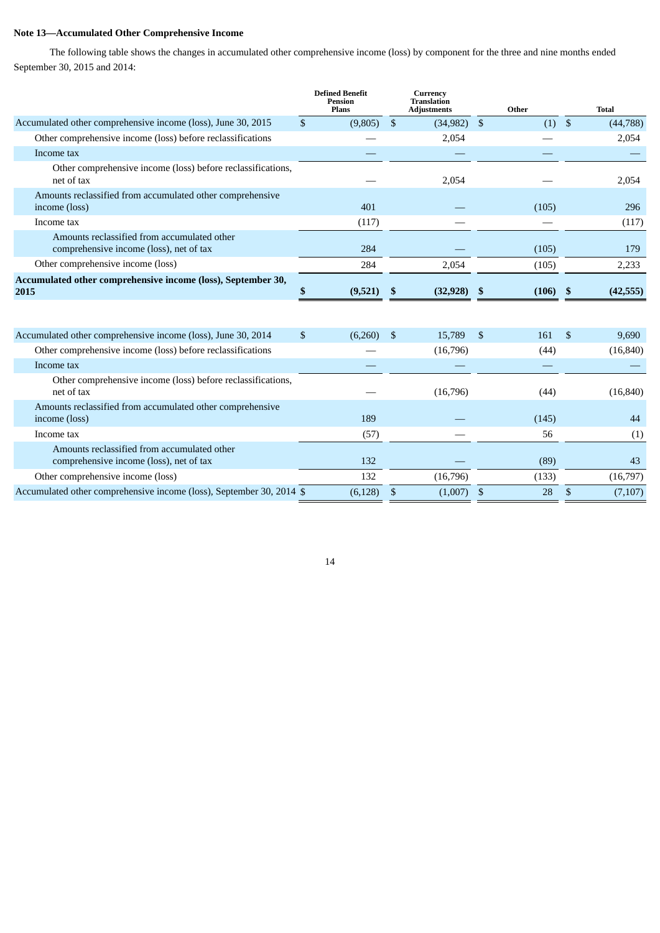## **Note 13—Accumulated Other Comprehensive Income**

The following table shows the changes in accumulated other comprehensive income (loss) by component for the three and nine months ended September 30, 2015 and 2014:

|                                                                                        |                | <b>Defined Benefit</b><br><b>Pension</b><br><b>Plans</b> |              | Currency<br><b>Translation</b><br><b>Adjustments</b> |                           | Other |                | <b>Total</b> |
|----------------------------------------------------------------------------------------|----------------|----------------------------------------------------------|--------------|------------------------------------------------------|---------------------------|-------|----------------|--------------|
| Accumulated other comprehensive income (loss), June 30, 2015                           | $\mathfrak{S}$ | (9,805)                                                  | $\mathbb{S}$ | (34, 982)                                            | $\mathfrak{F}$            | (1)   | $\mathfrak{s}$ | (44, 788)    |
| Other comprehensive income (loss) before reclassifications                             |                |                                                          |              | 2,054                                                |                           |       |                | 2,054        |
| Income tax                                                                             |                |                                                          |              |                                                      |                           |       |                |              |
| Other comprehensive income (loss) before reclassifications,<br>net of tax              |                |                                                          |              | 2,054                                                |                           |       |                | 2,054        |
| Amounts reclassified from accumulated other comprehensive<br>income (loss)             |                | 401                                                      |              |                                                      |                           | (105) |                | 296          |
| Income tax                                                                             |                | (117)                                                    |              |                                                      |                           |       |                | (117)        |
| Amounts reclassified from accumulated other<br>comprehensive income (loss), net of tax |                | 284                                                      |              |                                                      |                           | (105) |                | 179          |
| Other comprehensive income (loss)                                                      |                | 284                                                      |              | 2,054                                                |                           | (105) |                | 2,233        |
| Accumulated other comprehensive income (loss), September 30,<br>2015                   | -S             | (9,521)                                                  | \$           | (32, 928)                                            | \$                        | (106) | -\$            | (42, 555)    |
|                                                                                        |                |                                                          |              |                                                      |                           |       |                |              |
| Accumulated other comprehensive income (loss), June 30, 2014                           | $\mathfrak{S}$ | (6,260)                                                  | \$           | 15,789                                               | $\mathcal{S}$             | 161   | $\mathfrak{S}$ | 9,690        |
| Other comprehensive income (loss) before reclassifications                             |                |                                                          |              | (16,796)                                             |                           | (44)  |                | (16, 840)    |
| Income tax                                                                             |                |                                                          |              |                                                      |                           |       |                |              |
| Other comprehensive income (loss) before reclassifications,<br>net of tax              |                |                                                          |              | (16,796)                                             |                           | (44)  |                | (16, 840)    |
| Amounts reclassified from accumulated other comprehensive<br>income (loss)             |                | 189                                                      |              |                                                      |                           | (145) |                | 44           |
| Income tax                                                                             |                | (57)                                                     |              |                                                      |                           | 56    |                | (1)          |
| Amounts reclassified from accumulated other<br>comprehensive income (loss), net of tax |                | 132                                                      |              |                                                      |                           | (89)  |                | 43           |
| Other comprehensive income (loss)                                                      |                | 132                                                      |              | (16,796)                                             |                           | (133) |                | (16,797)     |
| Accumulated other comprehensive income (loss), September 30, 2014 \$                   |                | (6, 128)                                                 | \$           | (1,007)                                              | $\boldsymbol{\mathsf{S}}$ | 28    | \$             | (7, 107)     |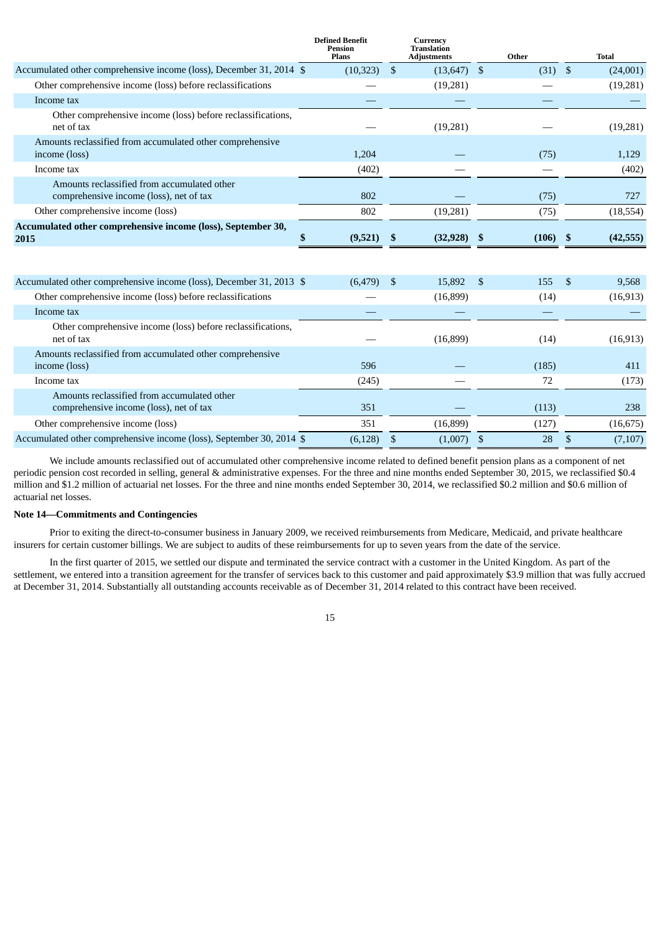|      |                                                                                        | <b>Defined Benefit</b><br><b>Pension</b><br>Plans |                           | Currency<br><b>Translation</b><br><b>Adjustments</b> |                           | Other |               | <b>Total</b> |
|------|----------------------------------------------------------------------------------------|---------------------------------------------------|---------------------------|------------------------------------------------------|---------------------------|-------|---------------|--------------|
|      | Accumulated other comprehensive income (loss), December 31, 2014 \$                    | (10, 323)                                         | $\mathbb{S}$              | (13, 647)                                            | $\mathfrak{s}$            | (31)  | - \$          | (24,001)     |
|      | Other comprehensive income (loss) before reclassifications                             |                                                   |                           | (19,281)                                             |                           |       |               | (19, 281)    |
|      | Income tax                                                                             |                                                   |                           |                                                      |                           |       |               |              |
|      | Other comprehensive income (loss) before reclassifications,<br>net of tax              |                                                   |                           | (19,281)                                             |                           |       |               | (19, 281)    |
|      | Amounts reclassified from accumulated other comprehensive<br>income (loss)             | 1,204                                             |                           |                                                      |                           | (75)  |               | 1,129        |
|      | Income tax                                                                             | (402)                                             |                           |                                                      |                           |       |               | (402)        |
|      | Amounts reclassified from accumulated other<br>comprehensive income (loss), net of tax | 802                                               |                           |                                                      |                           | (75)  |               | 727          |
|      | Other comprehensive income (loss)                                                      | 802                                               |                           | (19,281)                                             |                           | (75)  |               | (18, 554)    |
| 2015 | Accumulated other comprehensive income (loss), September 30,                           | \$<br>(9,521)                                     | \$                        | (32, 928)                                            | \$                        | (106) | -S            | (42, 555)    |
|      |                                                                                        |                                                   |                           |                                                      |                           |       |               |              |
|      | Accumulated other comprehensive income (loss), December 31, 2013 \$                    | (6, 479)                                          | $\boldsymbol{\mathsf{S}}$ | 15,892                                               | \$                        | 155   | <sup>\$</sup> | 9,568        |
|      | Other comprehensive income (loss) before reclassifications                             |                                                   |                           | (16, 899)                                            |                           | (14)  |               | (16, 913)    |
|      | Income tax                                                                             |                                                   |                           |                                                      |                           |       |               |              |
|      | Other comprehensive income (loss) before reclassifications,<br>net of tax              |                                                   |                           | (16, 899)                                            |                           | (14)  |               | (16, 913)    |
|      | Amounts reclassified from accumulated other comprehensive<br>income (loss)             | 596                                               |                           |                                                      |                           | (185) |               | 411          |
|      | Income tax                                                                             | (245)                                             |                           |                                                      |                           | 72    |               | (173)        |
|      | Amounts reclassified from accumulated other<br>comprehensive income (loss), net of tax | 351                                               |                           |                                                      |                           | (113) |               | 238          |
|      | Other comprehensive income (loss)                                                      | 351                                               |                           | (16,899)                                             |                           | (127) |               | (16, 675)    |
|      | Accumulated other comprehensive income (loss), September 30, 2014 \$                   | (6, 128)                                          | \$                        | (1,007)                                              | $\boldsymbol{\mathsf{S}}$ | 28    | \$            | (7,107)      |
|      |                                                                                        |                                                   |                           |                                                      |                           |       |               |              |

We include amounts reclassified out of accumulated other comprehensive income related to defined benefit pension plans as a component of net periodic pension cost recorded in selling, general & administrative expenses. For the three and nine months ended September 30, 2015, we reclassified \$0.4 million and \$1.2 million of actuarial net losses. For the three and nine months ended September 30, 2014, we reclassified \$0.2 million and \$0.6 million of actuarial net losses.

## **Note 14—Commitments and Contingencies**

Prior to exiting the direct-to-consumer business in January 2009, we received reimbursements from Medicare, Medicaid, and private healthcare insurers for certain customer billings. We are subject to audits of these reimbursements for up to seven years from the date of the service.

In the first quarter of 2015, we settled our dispute and terminated the service contract with a customer in the United Kingdom. As part of the settlement, we entered into a transition agreement for the transfer of services back to this customer and paid approximately \$3.9 million that was fully accrued at December 31, 2014. Substantially all outstanding accounts receivable as of December 31, 2014 related to this contract have been received.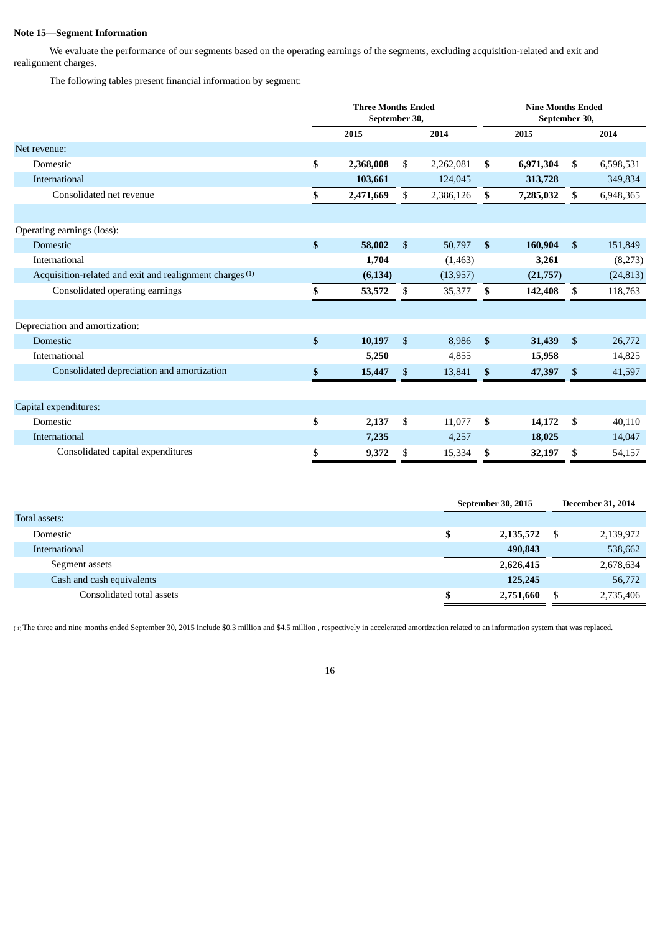## **Note 15—Segment Information**

We evaluate the performance of our segments based on the operating earnings of the segments, excluding acquisition-related and exit and realignment charges.

The following tables present financial information by segment:

|                                                                     | <b>Three Months Ended</b><br>September 30, |      |           | <b>Nine Months Ended</b><br>September 30, |           |    |           |
|---------------------------------------------------------------------|--------------------------------------------|------|-----------|-------------------------------------------|-----------|----|-----------|
|                                                                     | 2015                                       |      | 2014      |                                           | 2015      |    | 2014      |
| Net revenue:                                                        |                                            |      |           |                                           |           |    |           |
| Domestic                                                            | \$<br>2,368,008                            | \$   | 2,262,081 | \$                                        | 6,971,304 | \$ | 6,598,531 |
| International                                                       | 103,661                                    |      | 124,045   |                                           | 313,728   |    | 349,834   |
| Consolidated net revenue                                            | \$<br>2,471,669                            | \$   | 2,386,126 | \$                                        | 7,285,032 | \$ | 6,948,365 |
|                                                                     |                                            |      |           |                                           |           |    |           |
| Operating earnings (loss):                                          |                                            |      |           |                                           |           |    |           |
| Domestic                                                            | \$<br>58,002                               | \$   | 50,797    | -\$                                       | 160,904   | \$ | 151,849   |
| International                                                       | 1,704                                      |      | (1,463)   |                                           | 3,261     |    | (8,273)   |
| Acquisition-related and exit and realignment charges <sup>(1)</sup> | (6, 134)                                   |      | (13,957)  |                                           | (21,757)  |    | (24, 813) |
| Consolidated operating earnings                                     | \$<br>53,572                               | \$   | 35,377    | \$                                        | 142,408   | \$ | 118,763   |
|                                                                     |                                            |      |           |                                           |           |    |           |
| Depreciation and amortization:                                      |                                            |      |           |                                           |           |    |           |
| Domestic                                                            | \$<br>10,197                               | \$   | 8,986     | \$                                        | 31,439    | \$ | 26,772    |
| International                                                       | 5,250                                      |      | 4,855     |                                           | 15,958    |    | 14,825    |
| Consolidated depreciation and amortization                          | \$<br>15,447                               | $\$$ | 13,841    | \$                                        | 47,397    | \$ | 41,597    |
|                                                                     |                                            |      |           |                                           |           |    |           |
| Capital expenditures:                                               |                                            |      |           |                                           |           |    |           |
| Domestic                                                            | \$<br>2,137                                | \$   | 11,077    | \$                                        | 14,172    | \$ | 40,110    |
| International                                                       | 7,235                                      |      | 4,257     |                                           | 18,025    |    | 14,047    |
| Consolidated capital expenditures                                   | \$<br>9,372                                | \$   | 15,334    | \$                                        | 32,197    | \$ | 54,157    |

|      | <b>December 31, 2014</b>                                                        |
|------|---------------------------------------------------------------------------------|
|      |                                                                                 |
| - \$ | 2,139,972                                                                       |
|      | 538,662                                                                         |
|      | 2,678,634                                                                       |
|      | 56,772                                                                          |
|      | 2,735,406                                                                       |
|      | September 30, 2015<br>2,135,572<br>490,843<br>2,626,415<br>125,245<br>2,751,660 |

( 1) The three and nine months ended September 30, 2015 include \$0.3 million and \$4.5 million , respectively in accelerated amortization related to an information system that was replaced.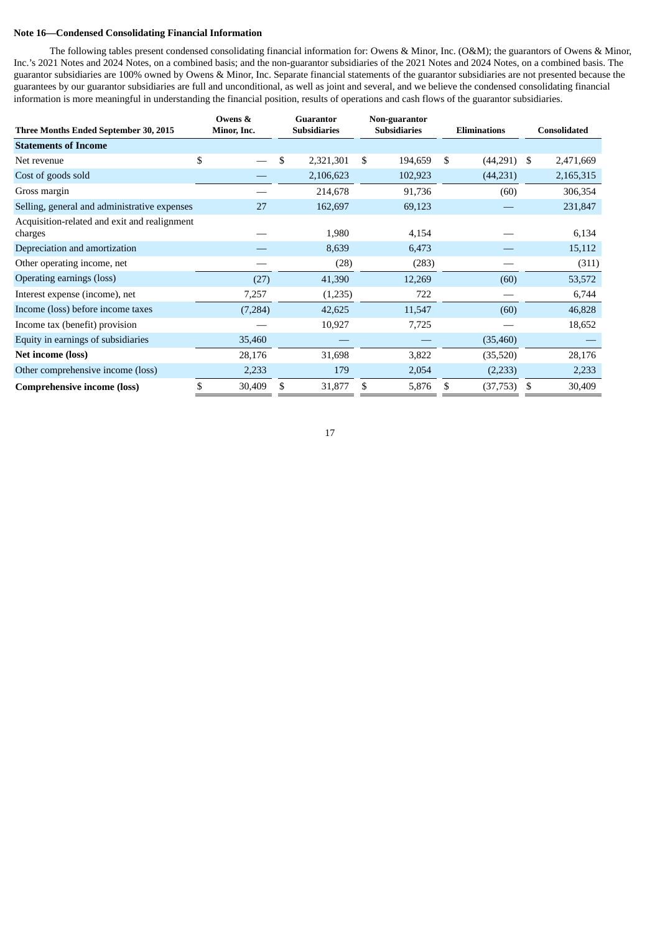## **Note 16—Condensed Consolidating Financial Information**

The following tables present condensed consolidating financial information for: Owens & Minor, Inc. (O&M); the guarantors of Owens & Minor, Inc.'s 2021 Notes and 2024 Notes, on a combined basis; and the non-guarantor subsidiaries of the 2021 Notes and 2024 Notes, on a combined basis. The guarantor subsidiaries are 100% owned by Owens & Minor, Inc. Separate financial statements of the guarantor subsidiaries are not presented because the guarantees by our guarantor subsidiaries are full and unconditional, as well as joint and several, and we believe the condensed consolidating financial information is more meaningful in understanding the financial position, results of operations and cash flows of the guarantor subsidiaries.

| Three Months Ended September 30, 2015                   | Owens &<br>Minor, Inc. | <b>Guarantor</b><br><b>Subsidiaries</b> | Non-guarantor<br><b>Subsidiaries</b> | <b>Eliminations</b> |           |      | <b>Consolidated</b> |
|---------------------------------------------------------|------------------------|-----------------------------------------|--------------------------------------|---------------------|-----------|------|---------------------|
| <b>Statements of Income</b>                             |                        |                                         |                                      |                     |           |      |                     |
| Net revenue                                             | \$                     | \$<br>2,321,301                         | \$<br>194,659                        | \$                  | (44,291)  | - \$ | 2,471,669           |
| Cost of goods sold                                      |                        | 2,106,623                               | 102,923                              |                     | (44,231)  |      | 2,165,315           |
| Gross margin                                            |                        | 214,678                                 | 91,736                               |                     | (60)      |      | 306,354             |
| Selling, general and administrative expenses            | 27                     | 162,697                                 | 69,123                               |                     |           |      | 231,847             |
| Acquisition-related and exit and realignment<br>charges |                        | 1,980                                   | 4,154                                |                     |           |      | 6,134               |
| Depreciation and amortization                           |                        | 8,639                                   | 6,473                                |                     |           |      | 15,112              |
| Other operating income, net                             |                        | (28)                                    | (283)                                |                     |           |      | (311)               |
| Operating earnings (loss)                               | (27)                   | 41,390                                  | 12,269                               |                     | (60)      |      | 53,572              |
| Interest expense (income), net                          | 7,257                  | (1,235)                                 | 722                                  |                     |           |      | 6,744               |
| Income (loss) before income taxes                       | (7,284)                | 42,625                                  | 11,547                               |                     | (60)      |      | 46,828              |
| Income tax (benefit) provision                          |                        | 10,927                                  | 7,725                                |                     |           |      | 18,652              |
| Equity in earnings of subsidiaries                      | 35,460                 |                                         |                                      |                     | (35, 460) |      |                     |
| <b>Net income (loss)</b>                                | 28,176                 | 31,698                                  | 3,822                                |                     | (35,520)  |      | 28,176              |
| Other comprehensive income (loss)                       | 2,233                  | 179                                     | 2,054                                |                     | (2,233)   |      | 2,233               |
| <b>Comprehensive income (loss)</b>                      | \$<br>30,409           | \$<br>31,877                            | \$<br>5,876                          | S                   | (37,753)  | \$   | 30,409              |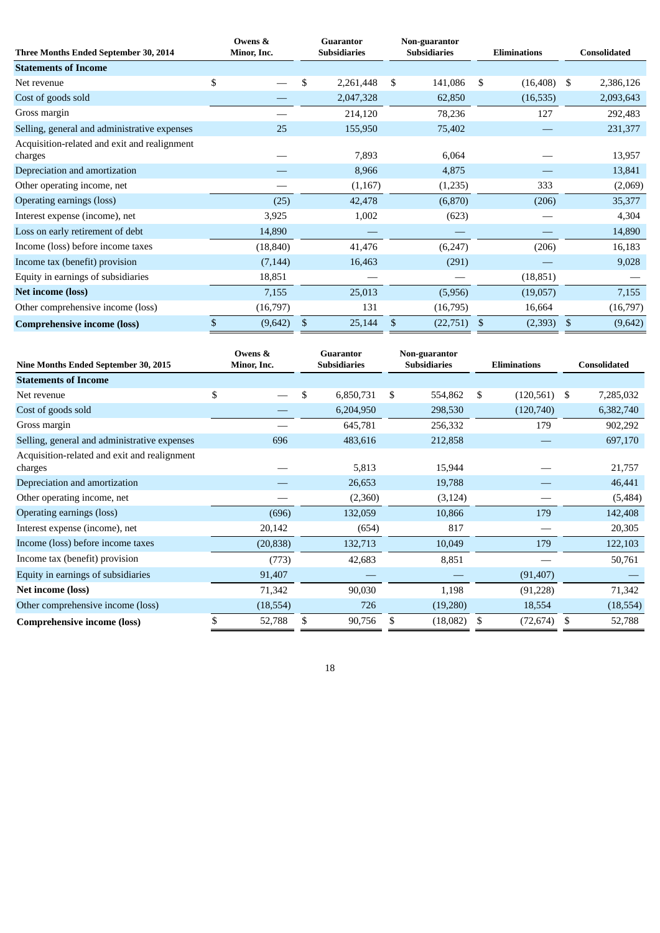| Three Months Ended September 30, 2014                   | Owens &<br>Minor, Inc. | Guarantor<br><b>Subsidiaries</b> |           | <b>Subsidiaries</b> |           | Non-guarantor |           |      |           | <b>Eliminations</b> |  |  | <b>Consolidated</b> |  |
|---------------------------------------------------------|------------------------|----------------------------------|-----------|---------------------|-----------|---------------|-----------|------|-----------|---------------------|--|--|---------------------|--|
| <b>Statements of Income</b>                             |                        |                                  |           |                     |           |               |           |      |           |                     |  |  |                     |  |
| Net revenue                                             | \$                     | \$                               | 2,261,448 | \$                  | 141,086   | \$            | (16, 408) | - \$ | 2,386,126 |                     |  |  |                     |  |
| Cost of goods sold                                      |                        |                                  | 2,047,328 |                     | 62,850    |               | (16, 535) |      | 2,093,643 |                     |  |  |                     |  |
| Gross margin                                            |                        |                                  | 214,120   |                     | 78,236    |               | 127       |      | 292,483   |                     |  |  |                     |  |
| Selling, general and administrative expenses            | 25                     |                                  | 155,950   |                     | 75,402    |               |           |      | 231,377   |                     |  |  |                     |  |
| Acquisition-related and exit and realignment<br>charges |                        |                                  | 7,893     |                     | 6,064     |               |           |      | 13,957    |                     |  |  |                     |  |
| Depreciation and amortization                           |                        |                                  | 8,966     |                     | 4,875     |               |           |      | 13,841    |                     |  |  |                     |  |
| Other operating income, net                             |                        |                                  | (1,167)   |                     | (1,235)   |               | 333       |      | (2,069)   |                     |  |  |                     |  |
| Operating earnings (loss)                               | (25)                   |                                  | 42,478    |                     | (6,870)   |               | (206)     |      | 35,377    |                     |  |  |                     |  |
| Interest expense (income), net                          | 3,925                  |                                  | 1,002     |                     | (623)     |               |           |      | 4,304     |                     |  |  |                     |  |
| Loss on early retirement of debt                        | 14,890                 |                                  |           |                     |           |               |           |      | 14,890    |                     |  |  |                     |  |
| Income (loss) before income taxes                       | (18, 840)              |                                  | 41,476    |                     | (6,247)   |               | (206)     |      | 16,183    |                     |  |  |                     |  |
| Income tax (benefit) provision                          | (7, 144)               |                                  | 16,463    |                     | (291)     |               |           |      | 9,028     |                     |  |  |                     |  |
| Equity in earnings of subsidiaries                      | 18,851                 |                                  |           |                     |           |               | (18, 851) |      |           |                     |  |  |                     |  |
| <b>Net income (loss)</b>                                | 7,155                  |                                  | 25,013    |                     | (5,956)   |               | (19,057)  |      | 7,155     |                     |  |  |                     |  |
| Other comprehensive income (loss)                       | (16,797)               |                                  | 131       |                     | (16,795)  |               | 16,664    |      | (16,797)  |                     |  |  |                     |  |
| <b>Comprehensive income (loss)</b>                      | \$<br>(9,642)          | \$                               | 25,144    | \$.                 | (22, 751) | \$            | (2,393)   | -\$  | (9,642)   |                     |  |  |                     |  |

| Nine Months Ended September 30, 2015                    | Owens &<br>Minor, Inc. | Guarantor<br><b>Subsidiaries</b> | Non-guarantor<br><b>Subsidiaries</b> |    | <b>Eliminations</b> |      | Consolidated |
|---------------------------------------------------------|------------------------|----------------------------------|--------------------------------------|----|---------------------|------|--------------|
| <b>Statements of Income</b>                             |                        |                                  |                                      |    |                     |      |              |
| Net revenue                                             | \$                     | \$<br>6,850,731                  | \$<br>554,862                        | \$ | (120, 561)          | - \$ | 7,285,032    |
| Cost of goods sold                                      |                        | 6,204,950                        | 298,530                              |    | (120,740)           |      | 6,382,740    |
| Gross margin                                            |                        | 645,781                          | 256,332                              |    | 179                 |      | 902,292      |
| Selling, general and administrative expenses            | 696                    | 483,616                          | 212,858                              |    |                     |      | 697,170      |
| Acquisition-related and exit and realignment<br>charges |                        | 5,813                            | 15,944                               |    |                     |      | 21,757       |
| Depreciation and amortization                           |                        | 26,653                           | 19,788                               |    |                     |      | 46,441       |
| Other operating income, net                             |                        | (2,360)                          | (3, 124)                             |    |                     |      | (5,484)      |
| Operating earnings (loss)                               | (696)                  | 132,059                          | 10,866                               |    | 179                 |      | 142,408      |
| Interest expense (income), net                          | 20,142                 | (654)                            | 817                                  |    |                     |      | 20,305       |
| Income (loss) before income taxes                       | (20, 838)              | 132,713                          | 10,049                               |    | 179                 |      | 122,103      |
| Income tax (benefit) provision                          | (773)                  | 42,683                           | 8,851                                |    |                     |      | 50,761       |
| Equity in earnings of subsidiaries                      | 91,407                 |                                  |                                      |    | (91, 407)           |      |              |
| Net income (loss)                                       | 71,342                 | 90,030                           | 1,198                                |    | (91, 228)           |      | 71,342       |
| Other comprehensive income (loss)                       | (18, 554)              | 726                              | (19,280)                             |    | 18,554              |      | (18, 554)    |
| <b>Comprehensive income (loss)</b>                      | 52,788                 | 90,756                           | (18,082)                             |    | (72, 674)           |      | 52,788       |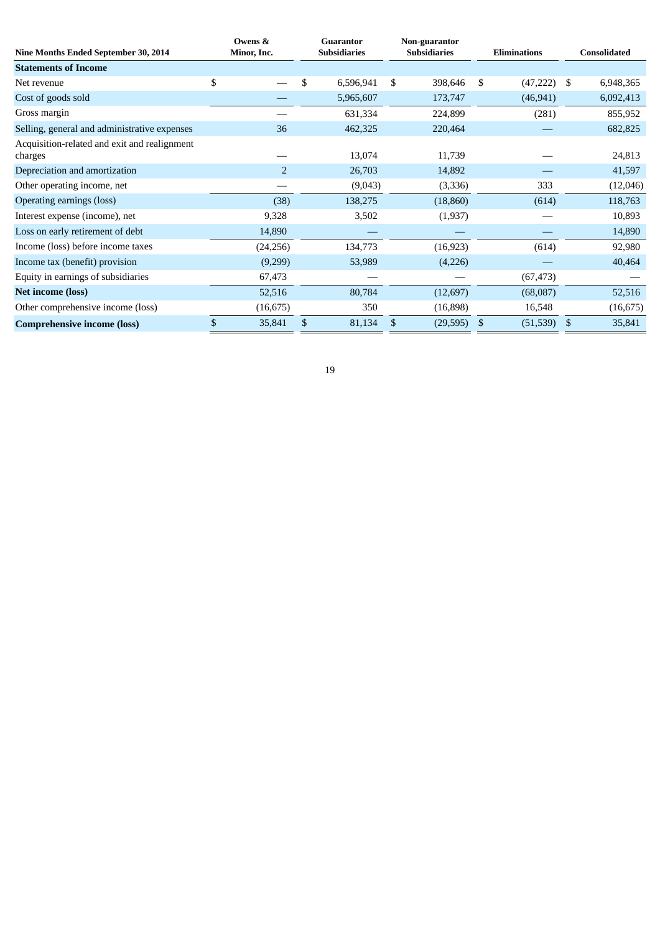| Nine Months Ended September 30, 2014                    | Owens &<br>Minor, Inc. | Guarantor<br><b>Subsidiaries</b> |           | Non-guarantor<br><b>Subsidiaries</b> |           | <b>Eliminations</b> |           |    | <b>Consolidated</b> |  |
|---------------------------------------------------------|------------------------|----------------------------------|-----------|--------------------------------------|-----------|---------------------|-----------|----|---------------------|--|
| <b>Statements of Income</b>                             |                        |                                  |           |                                      |           |                     |           |    |                     |  |
| Net revenue                                             | \$                     | \$                               | 6,596,941 | \$.                                  | 398,646   | \$                  | (47, 222) | S  | 6,948,365           |  |
| Cost of goods sold                                      |                        |                                  | 5,965,607 |                                      | 173,747   |                     | (46, 941) |    | 6,092,413           |  |
| Gross margin                                            |                        |                                  | 631,334   |                                      | 224,899   |                     | (281)     |    | 855,952             |  |
| Selling, general and administrative expenses            | 36                     |                                  | 462,325   |                                      | 220,464   |                     |           |    | 682,825             |  |
| Acquisition-related and exit and realignment<br>charges |                        |                                  | 13,074    |                                      | 11,739    |                     |           |    | 24,813              |  |
| Depreciation and amortization                           | $\overline{2}$         |                                  | 26,703    |                                      | 14,892    |                     |           |    | 41,597              |  |
| Other operating income, net                             |                        |                                  | (9,043)   |                                      | (3,336)   |                     | 333       |    | (12,046)            |  |
| Operating earnings (loss)                               | (38)                   |                                  | 138,275   |                                      | (18, 860) |                     | (614)     |    | 118,763             |  |
| Interest expense (income), net                          | 9,328                  |                                  | 3,502     |                                      | (1,937)   |                     |           |    | 10,893              |  |
| Loss on early retirement of debt                        | 14,890                 |                                  |           |                                      |           |                     |           |    | 14,890              |  |
| Income (loss) before income taxes                       | (24, 256)              |                                  | 134,773   |                                      | (16, 923) |                     | (614)     |    | 92,980              |  |
| Income tax (benefit) provision                          | (9,299)                |                                  | 53,989    |                                      | (4,226)   |                     |           |    | 40,464              |  |
| Equity in earnings of subsidiaries                      | 67,473                 |                                  |           |                                      |           |                     | (67, 473) |    |                     |  |
| <b>Net income (loss)</b>                                | 52,516                 |                                  | 80,784    |                                      | (12,697)  |                     | (68,087)  |    | 52,516              |  |
| Other comprehensive income (loss)                       | (16, 675)              |                                  | 350       |                                      | (16,898)  |                     | 16,548    |    | (16, 675)           |  |
| <b>Comprehensive income (loss)</b>                      | \$<br>35,841           | \$                               | 81,134    |                                      | (29, 595) | \$                  | (51, 539) | \$ | 35,841              |  |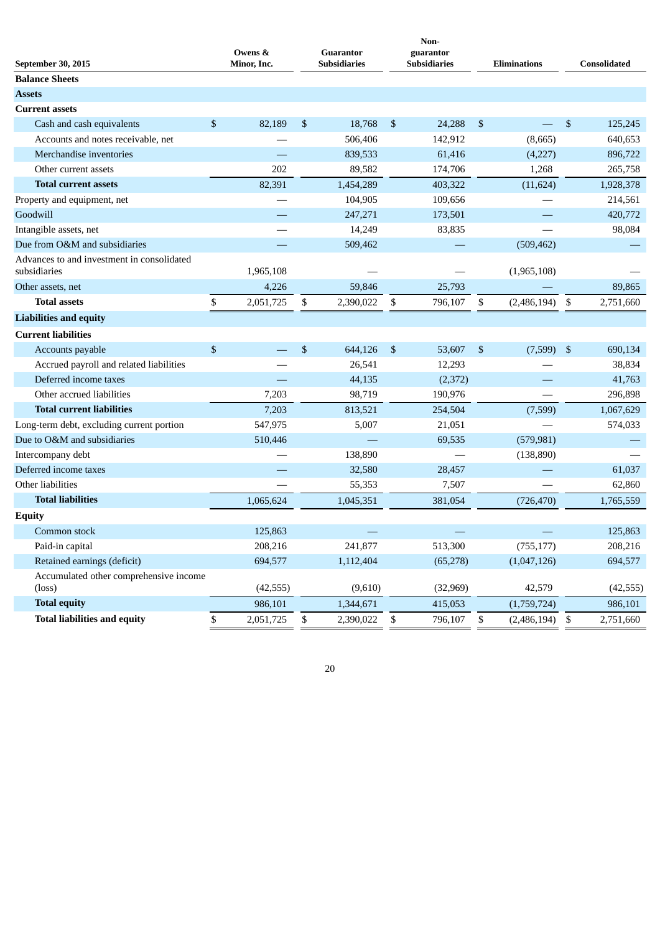| September 30, 2015                                         | Owens &<br>Minor, Inc. | Non-<br><b>Guarantor</b><br>guarantor<br><b>Subsidiaries</b><br><b>Subsidiaries</b> |           |    |           | <b>Eliminations</b> |                  |     | <b>Consolidated</b> |
|------------------------------------------------------------|------------------------|-------------------------------------------------------------------------------------|-----------|----|-----------|---------------------|------------------|-----|---------------------|
| <b>Balance Sheets</b>                                      |                        |                                                                                     |           |    |           |                     |                  |     |                     |
| <b>Assets</b>                                              |                        |                                                                                     |           |    |           |                     |                  |     |                     |
| <b>Current assets</b>                                      |                        |                                                                                     |           |    |           |                     |                  |     |                     |
| Cash and cash equivalents                                  | \$<br>82,189           | \$                                                                                  | 18,768    | \$ | 24,288    | \$                  |                  | \$  | 125,245             |
| Accounts and notes receivable, net                         |                        |                                                                                     | 506,406   |    | 142,912   |                     | (8,665)          |     | 640,653             |
| Merchandise inventories                                    |                        |                                                                                     | 839,533   |    | 61,416    |                     | (4,227)          |     | 896,722             |
| Other current assets                                       | 202                    |                                                                                     | 89,582    |    | 174,706   |                     | 1,268            |     | 265,758             |
| <b>Total current assets</b>                                | 82,391                 |                                                                                     | 1,454,289 |    | 403,322   |                     | (11, 624)        |     | 1,928,378           |
| Property and equipment, net                                |                        |                                                                                     | 104,905   |    | 109,656   |                     |                  |     | 214,561             |
| Goodwill                                                   |                        |                                                                                     | 247,271   |    | 173,501   |                     |                  |     | 420,772             |
| Intangible assets, net                                     |                        |                                                                                     | 14,249    |    | 83,835    |                     |                  |     | 98,084              |
| Due from O&M and subsidiaries                              |                        |                                                                                     | 509,462   |    |           |                     | (509, 462)       |     |                     |
| Advances to and investment in consolidated<br>subsidiaries | 1,965,108              |                                                                                     |           |    |           |                     | (1,965,108)      |     |                     |
| Other assets, net                                          | 4,226                  |                                                                                     | 59,846    |    | 25,793    |                     |                  |     | 89,865              |
| <b>Total assets</b>                                        | \$<br>2,051,725        | \$                                                                                  | 2,390,022 | \$ | 796,107   | \$                  | (2,486,194)      | \$  | 2,751,660           |
| <b>Liabilities and equity</b>                              |                        |                                                                                     |           |    |           |                     |                  |     |                     |
| <b>Current liabilities</b>                                 |                        |                                                                                     |           |    |           |                     |                  |     |                     |
| Accounts payable                                           | \$                     | \$                                                                                  | 644,126   | \$ | 53,607    | \$                  | (7,599)          | -\$ | 690,134             |
| Accrued payroll and related liabilities                    |                        |                                                                                     | 26,541    |    | 12,293    |                     |                  |     | 38,834              |
| Deferred income taxes                                      |                        |                                                                                     | 44,135    |    | (2, 372)  |                     |                  |     | 41,763              |
| Other accrued liabilities                                  | 7,203                  |                                                                                     | 98,719    |    | 190,976   |                     |                  |     | 296,898             |
| <b>Total current liabilities</b>                           | 7,203                  |                                                                                     | 813,521   |    | 254,504   |                     | (7,599)          |     | 1,067,629           |
| Long-term debt, excluding current portion                  | 547,975                |                                                                                     | 5,007     |    | 21,051    |                     |                  |     | 574,033             |
| Due to O&M and subsidiaries                                | 510,446                |                                                                                     |           |    | 69,535    |                     | (579, 981)       |     |                     |
| Intercompany debt                                          |                        |                                                                                     | 138,890   |    |           |                     | (138, 890)       |     |                     |
| Deferred income taxes                                      |                        |                                                                                     | 32,580    |    | 28,457    |                     |                  |     | 61,037              |
| Other liabilities                                          |                        |                                                                                     | 55,353    |    | 7,507     |                     |                  |     | 62,860              |
| <b>Total liabilities</b>                                   | 1,065,624              |                                                                                     | 1,045,351 |    | 381,054   |                     | (726, 470)       |     | 1,765,559           |
| <b>Equity</b>                                              |                        |                                                                                     |           |    |           |                     |                  |     |                     |
| Common stock                                               | 125,863                |                                                                                     |           |    |           |                     |                  |     | 125,863             |
| Paid-in capital                                            | 208,216                |                                                                                     | 241,877   |    | 513,300   |                     | (755, 177)       |     | 208,216             |
| Retained earnings (deficit)                                | 694,577                |                                                                                     | 1,112,404 |    | (65, 278) |                     | (1,047,126)      |     | 694,577             |
| Accumulated other comprehensive income<br>(loss)           | (42, 555)              |                                                                                     | (9,610)   |    | (32, 969) |                     | 42,579           |     | (42, 555)           |
| <b>Total equity</b>                                        | 986,101                |                                                                                     | 1,344,671 |    | 415,053   |                     | (1,759,724)      |     | 986,101             |
| <b>Total liabilities and equity</b>                        | \$<br>2,051,725        | \$                                                                                  | 2,390,022 | \$ | 796,107   | $\$$                | $(2,486,194)$ \$ |     | 2,751,660           |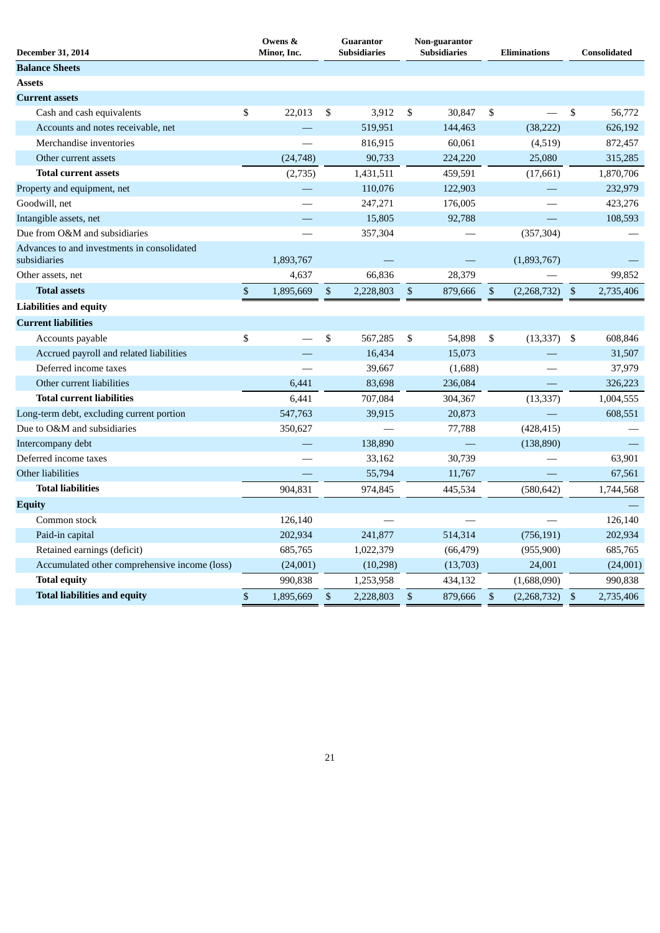| <b>December 31, 2014</b>                                    |              | Owens &<br>Minor, Inc. |      | <b>Guarantor</b><br><b>Subsidiaries</b> |                           | Non-guarantor<br><b>Subsidiaries</b> |                           | <b>Eliminations</b> |                           | <b>Consolidated</b> |
|-------------------------------------------------------------|--------------|------------------------|------|-----------------------------------------|---------------------------|--------------------------------------|---------------------------|---------------------|---------------------------|---------------------|
| <b>Balance Sheets</b>                                       |              |                        |      |                                         |                           |                                      |                           |                     |                           |                     |
| <b>Assets</b>                                               |              |                        |      |                                         |                           |                                      |                           |                     |                           |                     |
| <b>Current assets</b>                                       |              |                        |      |                                         |                           |                                      |                           |                     |                           |                     |
| Cash and cash equivalents                                   | \$           | 22,013                 | \$   | 3,912                                   | \$                        | 30,847                               | \$                        |                     | \$                        | 56,772              |
| Accounts and notes receivable, net                          |              |                        |      | 519,951                                 |                           | 144,463                              |                           | (38, 222)           |                           | 626,192             |
| Merchandise inventories                                     |              |                        |      | 816,915                                 |                           | 60,061                               |                           | (4, 519)            |                           | 872,457             |
| Other current assets                                        |              | (24, 748)              |      | 90,733                                  |                           | 224,220                              |                           | 25,080              |                           | 315,285             |
| <b>Total current assets</b>                                 |              | (2,735)                |      | 1,431,511                               |                           | 459,591                              |                           | (17, 661)           |                           | 1,870,706           |
| Property and equipment, net                                 |              |                        |      | 110,076                                 |                           | 122,903                              |                           |                     |                           | 232,979             |
| Goodwill, net                                               |              |                        |      | 247,271                                 |                           | 176,005                              |                           |                     |                           | 423,276             |
| Intangible assets, net                                      |              |                        |      | 15,805                                  |                           | 92,788                               |                           |                     |                           | 108,593             |
| Due from O&M and subsidiaries                               |              |                        |      | 357,304                                 |                           |                                      |                           | (357, 304)          |                           |                     |
| Advances to and investments in consolidated<br>subsidiaries |              | 1,893,767              |      |                                         |                           |                                      |                           | (1,893,767)         |                           |                     |
| Other assets, net                                           |              | 4,637                  |      | 66,836                                  |                           | 28,379                               |                           |                     |                           | 99,852              |
| <b>Total assets</b>                                         | \$           | 1,895,669              | $\$$ | 2,228,803                               | $\$$                      | 879,666                              | $\$$                      | (2,268,732)         | $\sqrt{3}$                | 2,735,406           |
| <b>Liabilities and equity</b>                               |              |                        |      |                                         |                           |                                      |                           |                     |                           |                     |
| <b>Current liabilities</b>                                  |              |                        |      |                                         |                           |                                      |                           |                     |                           |                     |
| Accounts payable                                            | \$           |                        | \$   | 567,285                                 | \$                        | 54,898                               | \$                        | (13, 337)           | \$                        | 608,846             |
| Accrued payroll and related liabilities                     |              |                        |      | 16,434                                  |                           | 15,073                               |                           |                     |                           | 31,507              |
| Deferred income taxes                                       |              |                        |      | 39,667                                  |                           | (1,688)                              |                           |                     |                           | 37,979              |
| Other current liabilities                                   |              | 6,441                  |      | 83,698                                  |                           | 236,084                              |                           |                     |                           | 326,223             |
| <b>Total current liabilities</b>                            |              | 6,441                  |      | 707,084                                 |                           | 304,367                              |                           | (13, 337)           |                           | 1,004,555           |
| Long-term debt, excluding current portion                   |              | 547,763                |      | 39,915                                  |                           | 20,873                               |                           |                     |                           | 608,551             |
| Due to O&M and subsidiaries                                 |              | 350,627                |      |                                         |                           | 77,788                               |                           | (428, 415)          |                           |                     |
| Intercompany debt                                           |              |                        |      | 138,890                                 |                           |                                      |                           | (138, 890)          |                           |                     |
| Deferred income taxes                                       |              |                        |      | 33,162                                  |                           | 30,739                               |                           |                     |                           | 63,901              |
| Other liabilities                                           |              |                        |      | 55,794                                  |                           | 11,767                               |                           |                     |                           | 67,561              |
| <b>Total liabilities</b>                                    |              | 904,831                |      | 974.845                                 |                           | 445,534                              |                           | (580, 642)          |                           | 1,744,568           |
| <b>Equity</b>                                               |              |                        |      |                                         |                           |                                      |                           |                     |                           |                     |
| Common stock                                                |              | 126,140                |      |                                         |                           |                                      |                           |                     |                           | 126,140             |
| Paid-in capital                                             |              | 202,934                |      | 241,877                                 |                           | 514,314                              |                           | (756, 191)          |                           | 202,934             |
| Retained earnings (deficit)                                 |              | 685,765                |      | 1,022,379                               |                           | (66, 479)                            |                           | (955, 900)          |                           | 685,765             |
| Accumulated other comprehensive income (loss)               |              | (24,001)               |      | (10, 298)                               |                           | (13,703)                             |                           | 24,001              |                           | (24,001)            |
| <b>Total equity</b>                                         |              | 990,838                |      | 1,253,958                               |                           | 434,132                              |                           | (1,688,090)         |                           | 990,838             |
| <b>Total liabilities and equity</b>                         | $\mathbb{S}$ | 1,895,669              | \$   | 2,228,803                               | $\boldsymbol{\mathsf{S}}$ | 879,666                              | $\boldsymbol{\mathsf{S}}$ | (2,268,732)         | $\boldsymbol{\mathsf{S}}$ | 2,735,406           |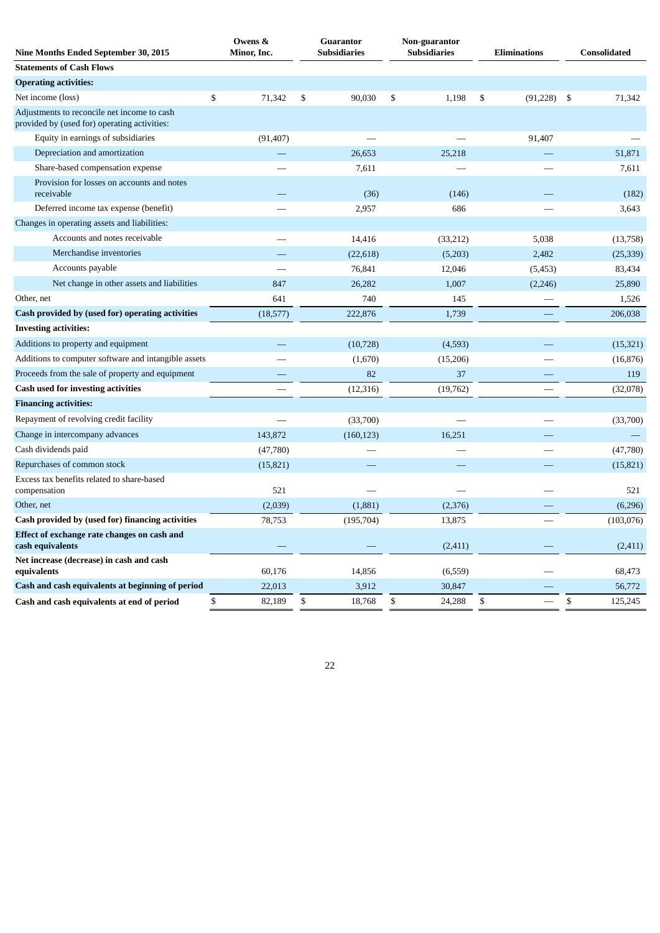|                                                                                             | Owens &      | <b>Guarantor</b>    | Non-guarantor       |                     |      |                     |
|---------------------------------------------------------------------------------------------|--------------|---------------------|---------------------|---------------------|------|---------------------|
| <b>Nine Months Ended September 30, 2015</b>                                                 | Minor, Inc.  | <b>Subsidiaries</b> | <b>Subsidiaries</b> | <b>Eliminations</b> |      | <b>Consolidated</b> |
| <b>Statements of Cash Flows</b>                                                             |              |                     |                     |                     |      |                     |
| <b>Operating activities:</b>                                                                |              |                     |                     |                     |      |                     |
| Net income (loss)                                                                           | \$<br>71,342 | \$<br>90,030        | \$<br>1,198         | \$<br>(91, 228)     | - \$ | 71,342              |
| Adjustments to reconcile net income to cash<br>provided by (used for) operating activities: |              |                     |                     |                     |      |                     |
| Equity in earnings of subsidiaries                                                          | (91, 407)    |                     |                     | 91,407              |      |                     |
| Depreciation and amortization                                                               |              | 26,653              | 25,218              |                     |      | 51,871              |
| Share-based compensation expense                                                            |              | 7,611               |                     |                     |      | 7,611               |
| Provision for losses on accounts and notes<br>receivable                                    |              | (36)                | (146)               |                     |      | (182)               |
| Deferred income tax expense (benefit)                                                       |              | 2,957               | 686                 |                     |      | 3,643               |
| Changes in operating assets and liabilities:                                                |              |                     |                     |                     |      |                     |
| Accounts and notes receivable                                                               |              | 14,416              | (33,212)            | 5,038               |      | (13,758)            |
| Merchandise inventories                                                                     |              | (22, 618)           | (5,203)             | 2,482               |      | (25, 339)           |
| Accounts payable                                                                            |              | 76,841              | 12,046              | (5,453)             |      | 83,434              |
| Net change in other assets and liabilities                                                  | 847          | 26,282              | 1,007               | (2, 246)            |      | 25,890              |
| Other, net                                                                                  | 641          | 740                 | 145                 |                     |      | 1,526               |
| Cash provided by (used for) operating activities                                            | (18, 577)    | 222,876             | 1,739               |                     |      | 206,038             |
| <b>Investing activities:</b>                                                                |              |                     |                     |                     |      |                     |
| Additions to property and equipment                                                         |              | (10,728)            | (4,593)             |                     |      | (15, 321)           |
| Additions to computer software and intangible assets                                        |              | (1,670)             | (15,206)            |                     |      | (16, 876)           |
| Proceeds from the sale of property and equipment                                            |              | 82                  | 37                  |                     |      | 119                 |
| <b>Cash used for investing activities</b>                                                   |              | (12, 316)           | (19,762)            |                     |      | (32,078)            |
| <b>Financing activities:</b>                                                                |              |                     |                     |                     |      |                     |
| Repayment of revolving credit facility                                                      |              | (33,700)            |                     |                     |      | (33,700)            |
| Change in intercompany advances                                                             | 143,872      | (160, 123)          | 16,251              |                     |      |                     |
| Cash dividends paid                                                                         | (47,780)     |                     |                     |                     |      | (47,780)            |
| Repurchases of common stock                                                                 | (15, 821)    |                     |                     |                     |      | (15, 821)           |
| Excess tax benefits related to share-based<br>compensation                                  | 521          |                     |                     |                     |      | 521                 |
| Other, net                                                                                  | (2,039)      | (1,881)             | (2,376)             |                     |      | (6,296)             |
| Cash provided by (used for) financing activities                                            | 78,753       | (195, 704)          | 13,875              |                     |      | (103, 076)          |
| Effect of exchange rate changes on cash and<br>cash equivalents                             |              |                     | (2,411)             |                     |      | (2, 411)            |
| Net increase (decrease) in cash and cash<br>equivalents                                     | 60,176       | 14,856              | (6,559)             |                     |      | 68,473              |
| Cash and cash equivalents at beginning of period                                            | 22,013       | 3,912               | 30,847              |                     |      | 56,772              |
| Cash and cash equivalents at end of period                                                  | \$<br>82,189 | \$<br>18,768        | \$<br>24,288        | \$                  | \$   | 125,245             |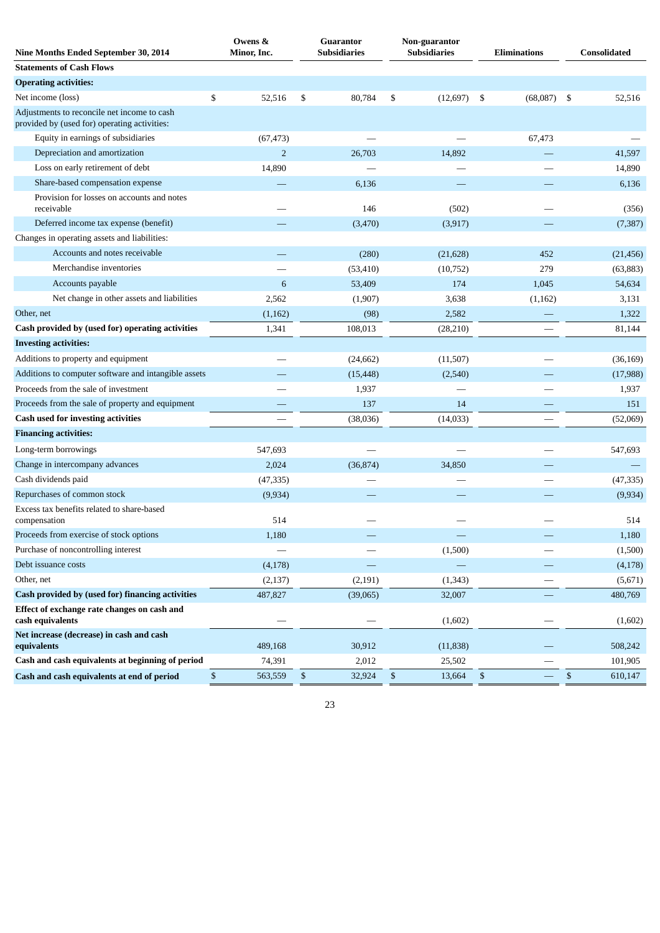| <b>Statements of Cash Flows</b><br><b>Operating activities:</b><br>Net income (loss)<br>\$<br>52,516<br>\$<br>80,784<br>\$<br>(12, 697)<br>\$<br>$(68,087)$ \$<br>Adjustments to reconcile net income to cash<br>provided by (used for) operating activities:<br>Equity in earnings of subsidiaries<br>67,473<br>(67, 473)<br>Depreciation and amortization<br>26,703<br>14,892<br>2<br>Loss on early retirement of debt<br>14,890<br>Share-based compensation expense<br>6,136<br>Provision for losses on accounts and notes<br>receivable<br>146<br>(502)<br>Deferred income tax expense (benefit)<br>(3,470)<br>(3,917)<br>Changes in operating assets and liabilities: | Nine Months Ended September 30, 2014 | Owens &<br>Minor, Inc. |  | <b>Guarantor</b><br><b>Subsidiaries</b> |  | Non-guarantor<br><b>Subsidiaries</b> |  | <b>Eliminations</b> |  | Consolidated |  |
|----------------------------------------------------------------------------------------------------------------------------------------------------------------------------------------------------------------------------------------------------------------------------------------------------------------------------------------------------------------------------------------------------------------------------------------------------------------------------------------------------------------------------------------------------------------------------------------------------------------------------------------------------------------------------|--------------------------------------|------------------------|--|-----------------------------------------|--|--------------------------------------|--|---------------------|--|--------------|--|
|                                                                                                                                                                                                                                                                                                                                                                                                                                                                                                                                                                                                                                                                            |                                      |                        |  |                                         |  |                                      |  |                     |  |              |  |
|                                                                                                                                                                                                                                                                                                                                                                                                                                                                                                                                                                                                                                                                            |                                      |                        |  |                                         |  |                                      |  |                     |  |              |  |
|                                                                                                                                                                                                                                                                                                                                                                                                                                                                                                                                                                                                                                                                            |                                      |                        |  |                                         |  |                                      |  |                     |  | 52,516       |  |
|                                                                                                                                                                                                                                                                                                                                                                                                                                                                                                                                                                                                                                                                            |                                      |                        |  |                                         |  |                                      |  |                     |  |              |  |
|                                                                                                                                                                                                                                                                                                                                                                                                                                                                                                                                                                                                                                                                            |                                      |                        |  |                                         |  |                                      |  |                     |  |              |  |
|                                                                                                                                                                                                                                                                                                                                                                                                                                                                                                                                                                                                                                                                            |                                      |                        |  |                                         |  |                                      |  |                     |  |              |  |
|                                                                                                                                                                                                                                                                                                                                                                                                                                                                                                                                                                                                                                                                            |                                      |                        |  |                                         |  |                                      |  |                     |  | 41,597       |  |
|                                                                                                                                                                                                                                                                                                                                                                                                                                                                                                                                                                                                                                                                            |                                      |                        |  |                                         |  |                                      |  |                     |  | 14,890       |  |
|                                                                                                                                                                                                                                                                                                                                                                                                                                                                                                                                                                                                                                                                            |                                      |                        |  |                                         |  |                                      |  |                     |  | 6,136        |  |
|                                                                                                                                                                                                                                                                                                                                                                                                                                                                                                                                                                                                                                                                            |                                      |                        |  |                                         |  |                                      |  |                     |  | (356)        |  |
|                                                                                                                                                                                                                                                                                                                                                                                                                                                                                                                                                                                                                                                                            |                                      |                        |  |                                         |  |                                      |  |                     |  | (7, 387)     |  |
|                                                                                                                                                                                                                                                                                                                                                                                                                                                                                                                                                                                                                                                                            |                                      |                        |  |                                         |  |                                      |  |                     |  |              |  |
|                                                                                                                                                                                                                                                                                                                                                                                                                                                                                                                                                                                                                                                                            | Accounts and notes receivable        |                        |  | (280)                                   |  | (21, 628)                            |  | 452                 |  | (21, 456)    |  |
| Merchandise inventories<br>279<br>(53, 410)<br>(10,752)                                                                                                                                                                                                                                                                                                                                                                                                                                                                                                                                                                                                                    |                                      |                        |  |                                         |  |                                      |  |                     |  | (63, 883)    |  |
| Accounts payable<br>174<br>6<br>53,409<br>1,045                                                                                                                                                                                                                                                                                                                                                                                                                                                                                                                                                                                                                            |                                      |                        |  |                                         |  |                                      |  |                     |  | 54,634       |  |
| Net change in other assets and liabilities<br>2,562<br>3,638<br>(1,907)<br>(1, 162)                                                                                                                                                                                                                                                                                                                                                                                                                                                                                                                                                                                        |                                      |                        |  |                                         |  |                                      |  |                     |  | 3,131        |  |
| Other, net<br>(1, 162)<br>(98)<br>2,582                                                                                                                                                                                                                                                                                                                                                                                                                                                                                                                                                                                                                                    |                                      |                        |  |                                         |  |                                      |  |                     |  | 1,322        |  |
| Cash provided by (used for) operating activities<br>1,341<br>108,013<br>(28, 210)                                                                                                                                                                                                                                                                                                                                                                                                                                                                                                                                                                                          |                                      |                        |  |                                         |  |                                      |  |                     |  | 81,144       |  |
| <b>Investing activities:</b>                                                                                                                                                                                                                                                                                                                                                                                                                                                                                                                                                                                                                                               |                                      |                        |  |                                         |  |                                      |  |                     |  |              |  |
| Additions to property and equipment<br>(11,507)<br>(24, 662)                                                                                                                                                                                                                                                                                                                                                                                                                                                                                                                                                                                                               |                                      |                        |  |                                         |  |                                      |  |                     |  | (36, 169)    |  |
| Additions to computer software and intangible assets<br>(15, 448)<br>(2,540)                                                                                                                                                                                                                                                                                                                                                                                                                                                                                                                                                                                               |                                      |                        |  |                                         |  |                                      |  |                     |  | (17,988)     |  |
| Proceeds from the sale of investment<br>1,937                                                                                                                                                                                                                                                                                                                                                                                                                                                                                                                                                                                                                              |                                      |                        |  |                                         |  |                                      |  |                     |  | 1,937        |  |
| Proceeds from the sale of property and equipment<br>137<br>14                                                                                                                                                                                                                                                                                                                                                                                                                                                                                                                                                                                                              |                                      |                        |  |                                         |  |                                      |  |                     |  | 151          |  |
| <b>Cash used for investing activities</b><br>(38,036)<br>(14, 033)                                                                                                                                                                                                                                                                                                                                                                                                                                                                                                                                                                                                         |                                      |                        |  |                                         |  |                                      |  |                     |  | (52,069)     |  |
| <b>Financing activities:</b>                                                                                                                                                                                                                                                                                                                                                                                                                                                                                                                                                                                                                                               |                                      |                        |  |                                         |  |                                      |  |                     |  |              |  |
| Long-term borrowings<br>547,693                                                                                                                                                                                                                                                                                                                                                                                                                                                                                                                                                                                                                                            |                                      |                        |  |                                         |  |                                      |  |                     |  | 547,693      |  |
| Change in intercompany advances<br>2,024<br>(36, 874)<br>34,850                                                                                                                                                                                                                                                                                                                                                                                                                                                                                                                                                                                                            |                                      |                        |  |                                         |  |                                      |  |                     |  |              |  |
| Cash dividends paid<br>(47, 335)                                                                                                                                                                                                                                                                                                                                                                                                                                                                                                                                                                                                                                           |                                      |                        |  |                                         |  |                                      |  |                     |  | (47, 335)    |  |
| Repurchases of common stock<br>(9,934)                                                                                                                                                                                                                                                                                                                                                                                                                                                                                                                                                                                                                                     |                                      |                        |  |                                         |  |                                      |  |                     |  | (9,934)      |  |
| Excess tax benefits related to share-based<br>514<br>compensation                                                                                                                                                                                                                                                                                                                                                                                                                                                                                                                                                                                                          |                                      |                        |  |                                         |  |                                      |  |                     |  | 514          |  |
| Proceeds from exercise of stock options<br>1,180                                                                                                                                                                                                                                                                                                                                                                                                                                                                                                                                                                                                                           |                                      |                        |  |                                         |  |                                      |  |                     |  | 1,180        |  |
| Purchase of noncontrolling interest<br>(1,500)                                                                                                                                                                                                                                                                                                                                                                                                                                                                                                                                                                                                                             |                                      |                        |  |                                         |  |                                      |  |                     |  | (1,500)      |  |
| Debt issuance costs<br>(4,178)                                                                                                                                                                                                                                                                                                                                                                                                                                                                                                                                                                                                                                             |                                      |                        |  |                                         |  |                                      |  |                     |  | (4,178)      |  |
| Other, net<br>(2, 137)<br>(2, 191)<br>(1, 343)                                                                                                                                                                                                                                                                                                                                                                                                                                                                                                                                                                                                                             |                                      |                        |  |                                         |  |                                      |  |                     |  | (5,671)      |  |
| Cash provided by (used for) financing activities<br>487,827<br>(39,065)<br>32,007                                                                                                                                                                                                                                                                                                                                                                                                                                                                                                                                                                                          |                                      |                        |  |                                         |  |                                      |  |                     |  | 480,769      |  |
| Effect of exchange rate changes on cash and<br>(1,602)<br>cash equivalents                                                                                                                                                                                                                                                                                                                                                                                                                                                                                                                                                                                                 |                                      |                        |  |                                         |  |                                      |  |                     |  | (1,602)      |  |
| Net increase (decrease) in cash and cash<br>equivalents<br>489,168<br>30,912<br>(11, 838)                                                                                                                                                                                                                                                                                                                                                                                                                                                                                                                                                                                  |                                      |                        |  |                                         |  |                                      |  |                     |  | 508,242      |  |
| Cash and cash equivalents at beginning of period<br>74,391<br>2,012<br>25,502                                                                                                                                                                                                                                                                                                                                                                                                                                                                                                                                                                                              |                                      |                        |  |                                         |  |                                      |  |                     |  | 101,905      |  |
| ${\mathbb S}$<br>$\mathbb{S}$<br>\$<br>$\$$<br>Cash and cash equivalents at end of period<br>\$<br>32,924<br>13,664<br>563,559                                                                                                                                                                                                                                                                                                                                                                                                                                                                                                                                             |                                      |                        |  |                                         |  |                                      |  |                     |  | 610,147      |  |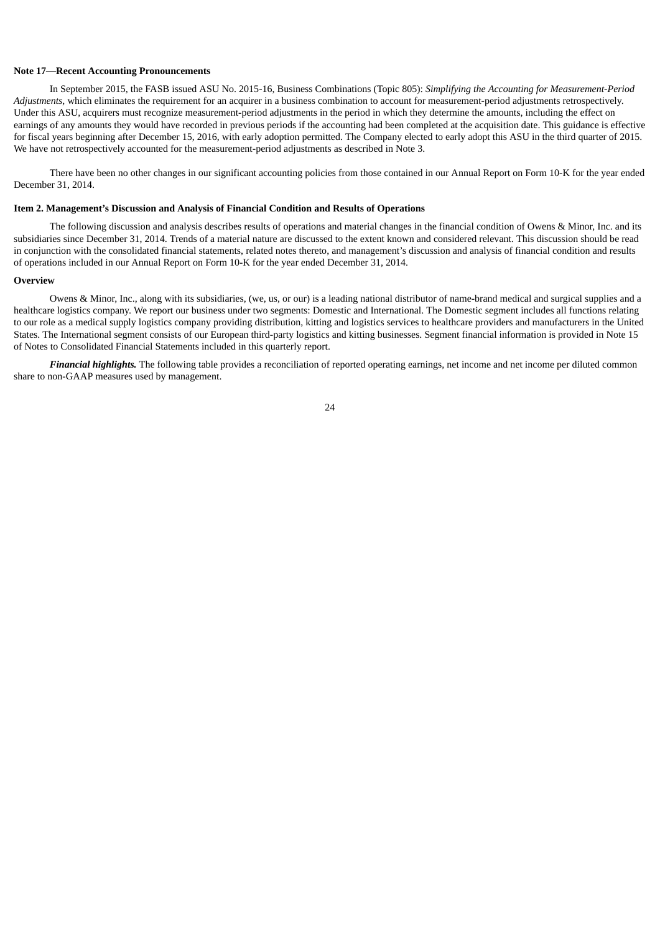#### **Note 17—Recent Accounting Pronouncements**

In September 2015, the FASB issued ASU No. 2015-16, Business Combinations (Topic 805): *Simplifying the Accounting for Measurement-Period Adjustments*, which eliminates the requirement for an acquirer in a business combination to account for measurement-period adjustments retrospectively. Under this ASU, acquirers must recognize measurement-period adjustments in the period in which they determine the amounts, including the effect on earnings of any amounts they would have recorded in previous periods if the accounting had been completed at the acquisition date. This guidance is effective for fiscal years beginning after December 15, 2016, with early adoption permitted. The Company elected to early adopt this ASU in the third quarter of 2015. We have not retrospectively accounted for the measurement-period adjustments as described in Note 3.

There have been no other changes in our significant accounting policies from those contained in our Annual Report on Form 10-K for the year ended December 31, 2014.

#### <span id="page-23-0"></span>**Item 2. Management's Discussion and Analysis of Financial Condition and Results of Operations**

The following discussion and analysis describes results of operations and material changes in the financial condition of Owens & Minor, Inc. and its subsidiaries since December 31, 2014. Trends of a material nature are discussed to the extent known and considered relevant. This discussion should be read in conjunction with the consolidated financial statements, related notes thereto, and management's discussion and analysis of financial condition and results of operations included in our Annual Report on Form 10-K for the year ended December 31, 2014.

#### **Overview**

Owens & Minor, Inc., along with its subsidiaries, (we, us, or our) is a leading national distributor of name-brand medical and surgical supplies and a healthcare logistics company. We report our business under two segments: Domestic and International. The Domestic segment includes all functions relating to our role as a medical supply logistics company providing distribution, kitting and logistics services to healthcare providers and manufacturers in the United States. The International segment consists of our European third-party logistics and kitting businesses. Segment financial information is provided in Note 15 of Notes to Consolidated Financial Statements included in this quarterly report.

*Financial highlights.* The following table provides a reconciliation of reported operating earnings, net income and net income per diluted common share to non-GAAP measures used by management.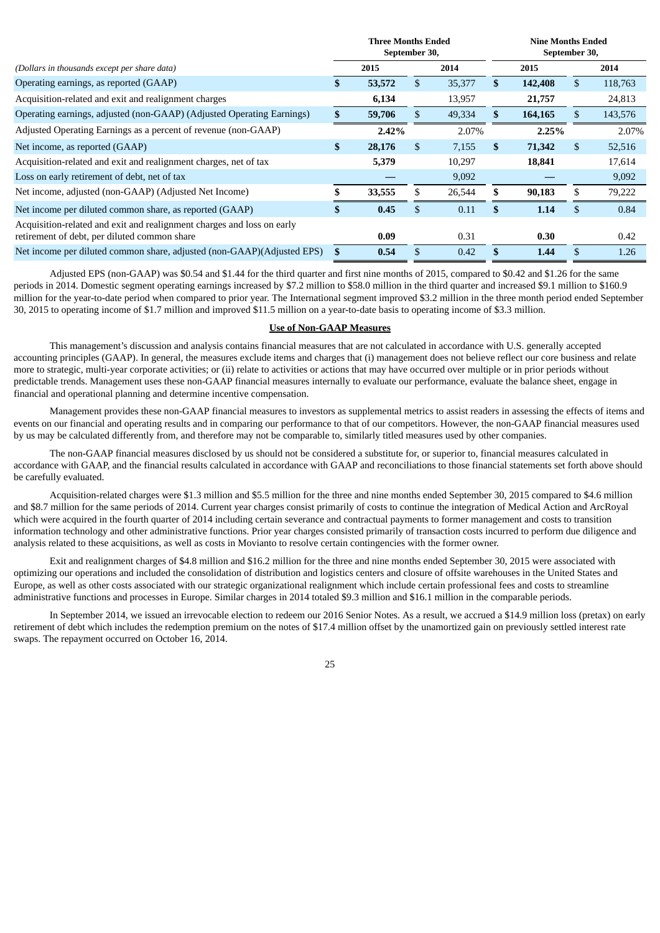|                                                                                                                        |               | <b>Three Months Ended</b><br>September 30, |    |        | <b>Nine Months Ended</b> | September 30, |         |  |
|------------------------------------------------------------------------------------------------------------------------|---------------|--------------------------------------------|----|--------|--------------------------|---------------|---------|--|
| (Dollars in thousands except per share data)                                                                           |               | 2015                                       |    | 2014   | 2015                     |               | 2014    |  |
| Operating earnings, as reported (GAAP)                                                                                 | \$.           | 53,572                                     | \$ | 35,377 | 142,408                  | \$            | 118,763 |  |
| Acquisition-related and exit and realignment charges                                                                   |               | 6,134                                      |    | 13,957 | 21,757                   |               | 24,813  |  |
| Operating earnings, adjusted (non-GAAP) (Adjusted Operating Earnings)                                                  |               | 59,706                                     |    | 49,334 | 164,165                  |               | 143,576 |  |
| Adjusted Operating Earnings as a percent of revenue (non-GAAP)                                                         |               | 2.42%                                      |    | 2.07%  | 2.25%                    |               | 2.07%   |  |
| Net income, as reported (GAAP)                                                                                         | \$            | 28,176                                     | \$ | 7,155  | \$<br>71,342             | \$            | 52,516  |  |
| Acquisition-related and exit and realignment charges, net of tax                                                       |               | 5,379                                      |    | 10,297 | 18,841                   |               | 17,614  |  |
| Loss on early retirement of debt, net of tax                                                                           |               |                                            |    | 9,092  |                          |               | 9,092   |  |
| Net income, adjusted (non-GAAP) (Adjusted Net Income)                                                                  |               | 33,555                                     |    | 26,544 | 90,183                   | S             | 79,222  |  |
| Net income per diluted common share, as reported (GAAP)                                                                | S.            | 0.45                                       | S. | 0.11   | 1.14                     | S             | 0.84    |  |
| Acquisition-related and exit and realignment charges and loss on early<br>retirement of debt, per diluted common share |               | 0.09                                       |    | 0.31   | 0.30                     |               | 0.42    |  |
| Net income per diluted common share, adjusted (non-GAAP)(Adjusted EPS)                                                 | <sup>\$</sup> | 0.54                                       | \$ | 0.42   | 1.44                     | \$            | 1.26    |  |

Adjusted EPS (non-GAAP) was \$0.54 and \$1.44 for the third quarter and first nine months of 2015, compared to \$0.42 and \$1.26 for the same periods in 2014. Domestic segment operating earnings increased by \$7.2 million to \$58.0 million in the third quarter and increased \$9.1 million to \$160.9 million for the year-to-date period when compared to prior year. The International segment improved \$3.2 million in the three month period ended September 30, 2015 to operating income of \$1.7 million and improved \$11.5 million on a year-to-date basis to operating income of \$3.3 million.

#### **Use of Non-GAAP Measures**

This management's discussion and analysis contains financial measures that are not calculated in accordance with U.S. generally accepted accounting principles (GAAP). In general, the measures exclude items and charges that (i) management does not believe reflect our core business and relate more to strategic, multi-year corporate activities; or (ii) relate to activities or actions that may have occurred over multiple or in prior periods without predictable trends. Management uses these non-GAAP financial measures internally to evaluate our performance, evaluate the balance sheet, engage in financial and operational planning and determine incentive compensation.

Management provides these non-GAAP financial measures to investors as supplemental metrics to assist readers in assessing the effects of items and events on our financial and operating results and in comparing our performance to that of our competitors. However, the non-GAAP financial measures used by us may be calculated differently from, and therefore may not be comparable to, similarly titled measures used by other companies.

The non-GAAP financial measures disclosed by us should not be considered a substitute for, or superior to, financial measures calculated in accordance with GAAP, and the financial results calculated in accordance with GAAP and reconciliations to those financial statements set forth above should be carefully evaluated.

Acquisition-related charges were \$1.3 million and \$5.5 million for the three and nine months ended September 30, 2015 compared to \$4.6 million and \$8.7 million for the same periods of 2014. Current year charges consist primarily of costs to continue the integration of Medical Action and ArcRoyal which were acquired in the fourth quarter of 2014 including certain severance and contractual payments to former management and costs to transition information technology and other administrative functions. Prior year charges consisted primarily of transaction costs incurred to perform due diligence and analysis related to these acquisitions, as well as costs in Movianto to resolve certain contingencies with the former owner.

Exit and realignment charges of \$4.8 million and \$16.2 million for the three and nine months ended September 30, 2015 were associated with optimizing our operations and included the consolidation of distribution and logistics centers and closure of offsite warehouses in the United States and Europe, as well as other costs associated with our strategic organizational realignment which include certain professional fees and costs to streamline administrative functions and processes in Europe. Similar charges in 2014 totaled \$9.3 million and \$16.1 million in the comparable periods.

In September 2014, we issued an irrevocable election to redeem our 2016 Senior Notes. As a result, we accrued a \$14.9 million loss (pretax) on early retirement of debt which includes the redemption premium on the notes of \$17.4 million offset by the unamortized gain on previously settled interest rate swaps. The repayment occurred on October 16, 2014.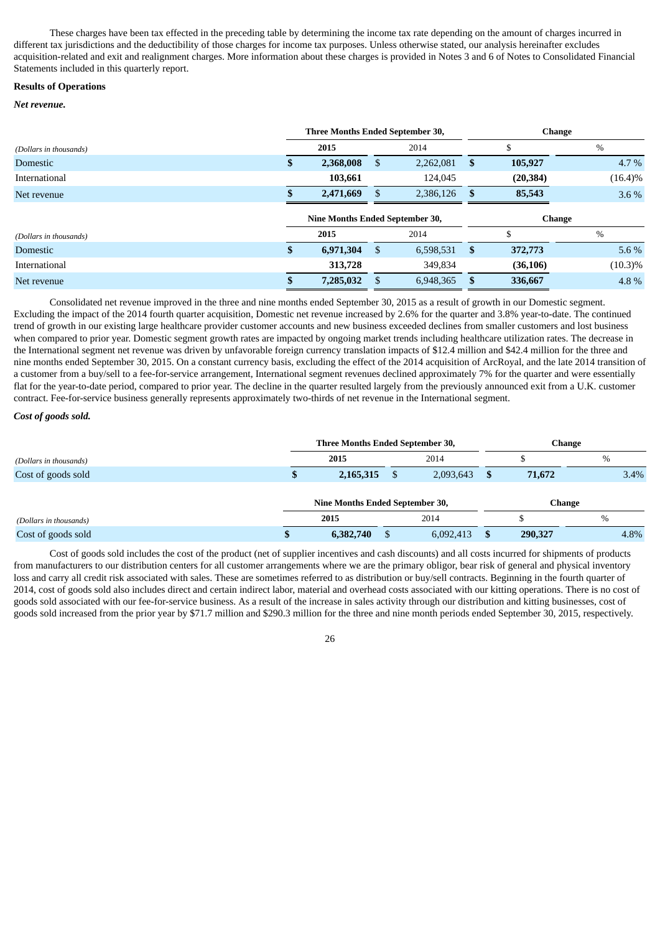These charges have been tax effected in the preceding table by determining the income tax rate depending on the amount of charges incurred in different tax jurisdictions and the deductibility of those charges for income tax purposes. Unless otherwise stated, our analysis hereinafter excludes acquisition-related and exit and realignment charges. More information about these charges is provided in Notes 3 and 6 of Notes to Consolidated Financial Statements included in this quarterly report.

#### **Results of Operations**

#### *Net revenue.*

|                        |   | Three Months Ended September 30, |    |           | <b>Change</b> |               |               |  |
|------------------------|---|----------------------------------|----|-----------|---------------|---------------|---------------|--|
| (Dollars in thousands) |   | 2015                             |    | 2014      |               | S             | $\frac{0}{0}$ |  |
| <b>Domestic</b>        | Æ | 2,368,008                        | S  | 2,262,081 | \$            | 105,927       | 4.7%          |  |
| International          |   | 103,661                          |    | 124,045   |               | (20, 384)     | $(16.4)\%$    |  |
| Net revenue            |   | 2,471,669                        | S  | 2,386,126 | -5            | 85,543        | $3.6\%$       |  |
|                        |   | Nine Months Ended September 30,  |    |           |               | <b>Change</b> |               |  |
| (Dollars in thousands) |   | 2015                             |    | 2014      |               |               | $\frac{0}{0}$ |  |
| <b>Domestic</b>        | Э | 6,971,304                        | \$ | 6,598,531 | S             | 372,773       | 5.6 %         |  |
| International          |   | 313,728                          |    | 349.834   |               | (36, 106)     | $(10.3)\%$    |  |
| Net revenue            |   | 7,285,032                        |    | 6,948,365 | Э             | 336,667       | 4.8%          |  |

Consolidated net revenue improved in the three and nine months ended September 30, 2015 as a result of growth in our Domestic segment. Excluding the impact of the 2014 fourth quarter acquisition, Domestic net revenue increased by 2.6% for the quarter and 3.8% year-to-date. The continued trend of growth in our existing large healthcare provider customer accounts and new business exceeded declines from smaller customers and lost business when compared to prior year. Domestic segment growth rates are impacted by ongoing market trends including healthcare utilization rates. The decrease in the International segment net revenue was driven by unfavorable foreign currency translation impacts of \$12.4 million and \$42.4 million for the three and nine months ended September 30, 2015. On a constant currency basis, excluding the effect of the 2014 acquisition of ArcRoyal, and the late 2014 transition of a customer from a buy/sell to a fee-for-service arrangement, International segment revenues declined approximately 7% for the quarter and were essentially flat for the year-to-date period, compared to prior year. The decline in the quarter resulted largely from the previously announced exit from a U.K. customer contract. Fee-for-service business generally represents approximately two-thirds of net revenue in the International segment.

#### *Cost of goods sold.*

|                        | Three Months Ended September 30, |                                 |           |      |  | Change |      |  |
|------------------------|----------------------------------|---------------------------------|-----------|------|--|--------|------|--|
| (Dollars in thousands) |                                  | 2015                            |           | 2014 |  |        | $\%$ |  |
| Cost of goods sold     | 2,165,315                        |                                 | 2,093,643 |      |  | 71,672 | 3.4% |  |
|                        |                                  | Nine Months Ended September 30, |           |      |  | Change |      |  |

| (Dollars in thousands) | 2015      | 2014 |           |  |         | $\%$ |  |  |
|------------------------|-----------|------|-----------|--|---------|------|--|--|
| Cost of goods sold     | 6,382,740 | ╜    | 6,092,413 |  | 290,327 | 4.8% |  |  |
|                        |           |      |           |  |         |      |  |  |

Cost of goods sold includes the cost of the product (net of supplier incentives and cash discounts) and all costs incurred for shipments of products from manufacturers to our distribution centers for all customer arrangements where we are the primary obligor, bear risk of general and physical inventory loss and carry all credit risk associated with sales. These are sometimes referred to as distribution or buy/sell contracts. Beginning in the fourth quarter of 2014, cost of goods sold also includes direct and certain indirect labor, material and overhead costs associated with our kitting operations. There is no cost of goods sold associated with our fee-for-service business. As a result of the increase in sales activity through our distribution and kitting businesses, cost of goods sold increased from the prior year by \$71.7 million and \$290.3 million for the three and nine month periods ended September 30, 2015, respectively.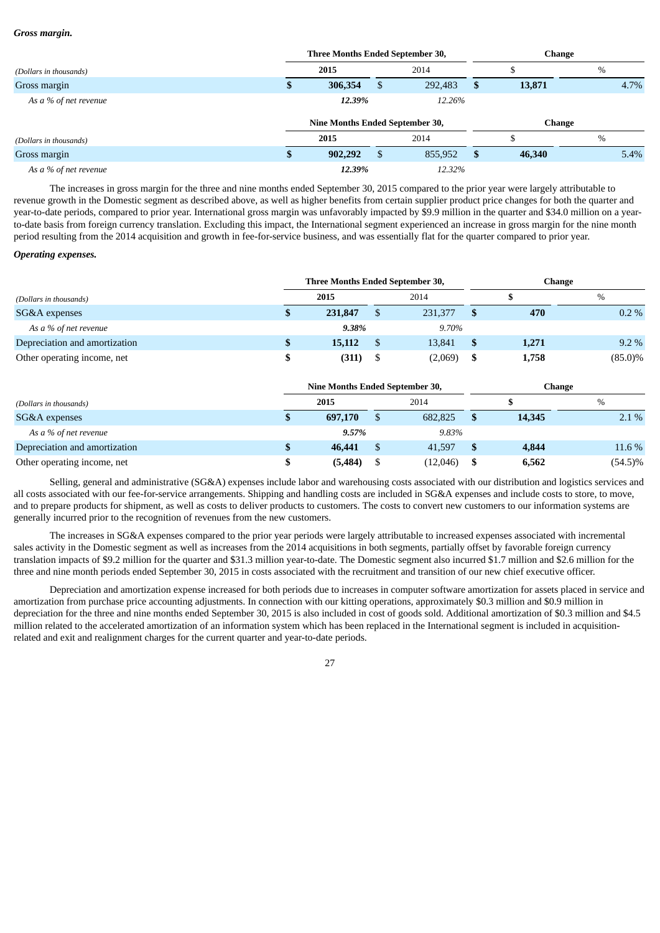#### *Gross margin.*

|                        |  |                                 | <b>Three Months Ended September 30,</b> |               |         |    | <b>Change</b> |      |      |  |
|------------------------|--|---------------------------------|-----------------------------------------|---------------|---------|----|---------------|------|------|--|
| (Dollars in thousands) |  | 2015                            |                                         |               | 2014    |    |               | $\%$ |      |  |
| Gross margin           |  | Ф                               | 306,354                                 | -S            | 292,483 | -S | 13,871        |      | 4.7% |  |
| As a % of net revenue  |  |                                 | 12.39%                                  |               | 12.26%  |    |               |      |      |  |
|                        |  | Nine Months Ended September 30, |                                         |               |         |    | Change        |      |      |  |
| (Dollars in thousands) |  |                                 | 2015                                    |               | 2014    |    |               | $\%$ |      |  |
| Gross margin           |  | Φ                               | 902,292                                 | <sup>\$</sup> | 855,952 | -S | 46,340        |      | 5.4% |  |
| As a % of net revenue  |  |                                 | 12.39%                                  |               | 12.32%  |    |               |      |      |  |

The increases in gross margin for the three and nine months ended September 30, 2015 compared to the prior year were largely attributable to revenue growth in the Domestic segment as described above, as well as higher benefits from certain supplier product price changes for both the quarter and year-to-date periods, compared to prior year. International gross margin was unfavorably impacted by \$9.9 million in the quarter and \$34.0 million on a yearto-date basis from foreign currency translation. Excluding this impact, the International segment experienced an increase in gross margin for the nine month period resulting from the 2014 acquisition and growth in fee-for-service business, and was essentially flat for the quarter compared to prior year.

#### *Operating expenses.*

|                               |  | <b>Three Months Ended September 30,</b> |         |  |         |  |       | Change        |  |  |  |
|-------------------------------|--|-----------------------------------------|---------|--|---------|--|-------|---------------|--|--|--|
| (Dollars in thousands)        |  |                                         | 2015    |  | 2014    |  |       | $\frac{0}{0}$ |  |  |  |
| SG&A expenses                 |  |                                         | 231,847 |  | 231,377 |  | 470   | $0.2\%$       |  |  |  |
| As a % of net revenue         |  |                                         | 9.38%   |  | 9.70%   |  |       |               |  |  |  |
| Depreciation and amortization |  |                                         | 15,112  |  | 13.841  |  | 1,271 | $9.2\%$       |  |  |  |
| Other operating income, net   |  |                                         | (311)   |  | (2,069) |  | 1,758 | (85.0)%       |  |  |  |

|                               |   | Nine Months Ended September 30, |          | Change |            |  |  |
|-------------------------------|---|---------------------------------|----------|--------|------------|--|--|
| (Dollars in thousands)        |   | 2015                            | 2014     |        | $\%$       |  |  |
| SG&A expenses                 | J | 697,170                         | 682,825  | 14,345 | $2.1\%$    |  |  |
| As a % of net revenue         |   | 9.57%                           | 9.83%    |        |            |  |  |
| Depreciation and amortization | S | 46,441                          | 41.597   | 4,844  | 11.6 %     |  |  |
| Other operating income, net   |   | (5,484)                         | (12,046) | 6,562  | $(54.5)\%$ |  |  |

Selling, general and administrative (SG&A) expenses include labor and warehousing costs associated with our distribution and logistics services and all costs associated with our fee-for-service arrangements. Shipping and handling costs are included in SG&A expenses and include costs to store, to move, and to prepare products for shipment, as well as costs to deliver products to customers. The costs to convert new customers to our information systems are generally incurred prior to the recognition of revenues from the new customers.

The increases in SG&A expenses compared to the prior year periods were largely attributable to increased expenses associated with incremental sales activity in the Domestic segment as well as increases from the 2014 acquisitions in both segments, partially offset by favorable foreign currency translation impacts of \$9.2 million for the quarter and \$31.3 million year-to-date. The Domestic segment also incurred \$1.7 million and \$2.6 million for the three and nine month periods ended September 30, 2015 in costs associated with the recruitment and transition of our new chief executive officer.

Depreciation and amortization expense increased for both periods due to increases in computer software amortization for assets placed in service and amortization from purchase price accounting adjustments. In connection with our kitting operations, approximately \$0.3 million and \$0.9 million in depreciation for the three and nine months ended September 30, 2015 is also included in cost of goods sold. Additional amortization of \$0.3 million and \$4.5 million related to the accelerated amortization of an information system which has been replaced in the International segment is included in acquisitionrelated and exit and realignment charges for the current quarter and year-to-date periods.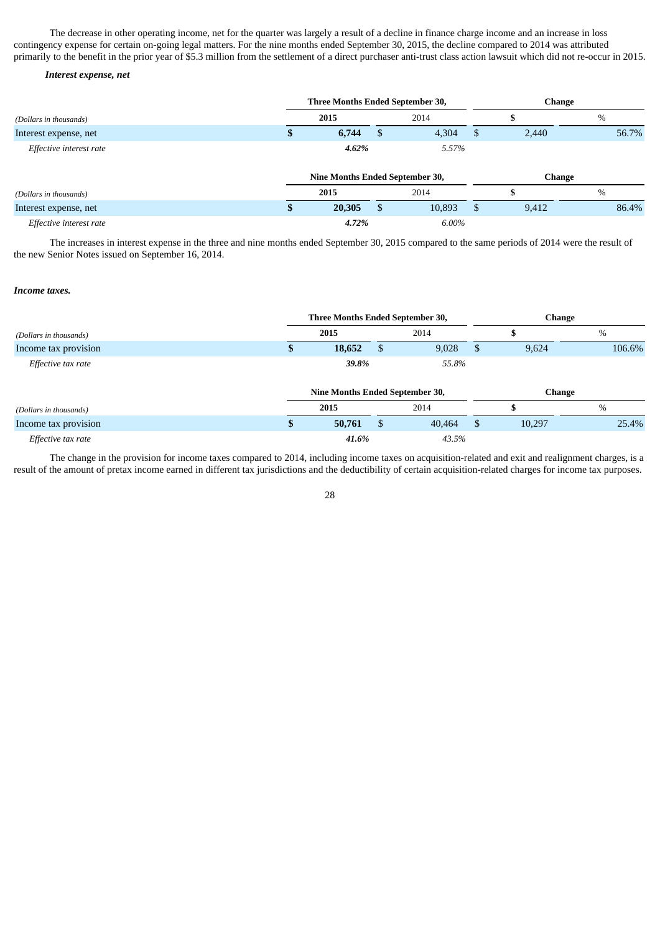The decrease in other operating income, net for the quarter was largely a result of a decline in finance charge income and an increase in loss contingency expense for certain on-going legal matters. For the nine months ended September 30, 2015, the decline compared to 2014 was attributed primarily to the benefit in the prior year of \$5.3 million from the settlement of a direct purchaser anti-trust class action lawsuit which did not re-occur in 2015.

#### *Interest expense, net*

|                         |  |   | Three Months Ended September 30,         |     |        |      | Change |       |
|-------------------------|--|---|------------------------------------------|-----|--------|------|--------|-------|
| (Dollars in thousands)  |  |   | 2015                                     |     | 2014   |      |        | $\%$  |
| Interest expense, net   |  | Φ | 6,744                                    | \$. | 4,304  | - \$ | 2,440  | 56.7% |
| Effective interest rate |  |   | 4.62%<br>Nine Months Ended September 30, |     | 5.57%  |      | Change |       |
|                         |  |   |                                          |     |        |      |        |       |
| (Dollars in thousands)  |  |   | 2015                                     |     | 2014   |      |        | $\%$  |
| Interest expense, net   |  | Φ | 20,305                                   | \$  | 10,893 | \$   | 9,412  | 86.4% |
| Effective interest rate |  |   | 4.72%                                    |     | 6.00%  |      |        |       |

The increases in interest expense in the three and nine months ended September 30, 2015 compared to the same periods of 2014 were the result of the new Senior Notes issued on September 16, 2014.

#### *Income taxes.*

|                        |                                 | Three Months Ended September 30, |      |        |      | <b>Change</b> |        |  |  |  |
|------------------------|---------------------------------|----------------------------------|------|--------|------|---------------|--------|--|--|--|
| (Dollars in thousands) |                                 | 2015                             |      | 2014   |      |               | $\%$   |  |  |  |
| Income tax provision   | D                               | 18,652                           | - \$ | 9,028  | - \$ | 9,624         | 106.6% |  |  |  |
| Effective tax rate     |                                 | 39.8%                            |      | 55.8%  |      |               |        |  |  |  |
|                        | Nine Months Ended September 30, |                                  |      |        |      | <b>Change</b> |        |  |  |  |
| (Dollars in thousands) |                                 | 2015                             |      | 2014   |      |               | $\%$   |  |  |  |
| Income tax provision   | S                               | 50,761                           | \$   | 40,464 | -\$  | 10,297        | 25.4%  |  |  |  |
| Effective tax rate     |                                 | 41.6%                            |      | 43.5%  |      |               |        |  |  |  |

The change in the provision for income taxes compared to 2014, including income taxes on acquisition-related and exit and realignment charges, is a result of the amount of pretax income earned in different tax jurisdictions and the deductibility of certain acquisition-related charges for income tax purposes.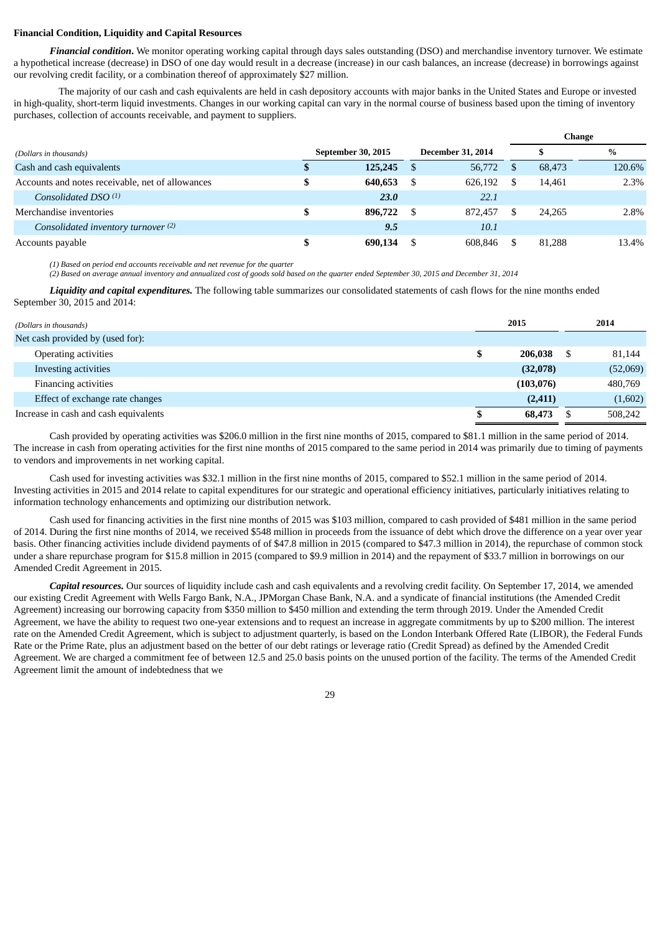#### **Financial Condition, Liquidity and Capital Resources**

*Financial condition***.** We monitor operating working capital through days sales outstanding (DSO) and merchandise inventory turnover. We estimate a hypothetical increase (decrease) in DSO of one day would result in a decrease (increase) in our cash balances, an increase (decrease) in borrowings against our revolving credit facility, or a combination thereof of approximately \$27 million.

The majority of our cash and cash equivalents are held in cash depository accounts with major banks in the United States and Europe or invested in high-quality, short-term liquid investments. Changes in our working capital can vary in the normal course of business based upon the timing of inventory purchases, collection of accounts receivable, and payment to suppliers.

|                                                  |    |                    |   |                          | <b>Change</b> |               |  |
|--------------------------------------------------|----|--------------------|---|--------------------------|---------------|---------------|--|
| (Dollars in thousands)                           |    | September 30, 2015 |   | <b>December 31, 2014</b> |               | $\frac{0}{0}$ |  |
| Cash and cash equivalents                        | Φ  | 125,245            |   | 56,772                   | 68.473        | 120.6%        |  |
| Accounts and notes receivable, net of allowances | ۰D | 640,653            |   | 626,192                  | 14,461        | 2.3%          |  |
| Consolidated DSO <sup>(1)</sup>                  |    | <b>23.0</b>        |   | 22.1                     |               |               |  |
| Merchandise inventories                          | Œ  | 896,722            | S | 872.457                  | 24.265        | 2.8%          |  |
| Consolidated inventory turnover <sup>(2)</sup>   |    | 9.5                |   | 10.1                     |               |               |  |
| Accounts payable                                 |    | 690.134            |   | 608.846                  | 81,288        | 13.4%         |  |

*(1) Based on period end accounts receivable and net revenue for the quarter*

(2) Based on average annual inventory and annualized cost of goods sold based on the quarter ended September 30, 2015 and December 31, 2014

*Liquidity and capital expenditures.* The following table summarizes our consolidated statements of cash flows for the nine months ended September 30, 2015 and 2014:

| (Dollars in thousands)                | 2015       |      | 2014     |
|---------------------------------------|------------|------|----------|
| Net cash provided by (used for):      |            |      |          |
| <b>Operating activities</b>           | 206.038    | - \$ | 81,144   |
| Investing activities                  | (32,078)   |      | (52,069) |
| <b>Financing activities</b>           | (103, 076) |      | 480,769  |
| Effect of exchange rate changes       | (2,411)    |      | (1,602)  |
| Increase in cash and cash equivalents | 68,473     |      | 508,242  |

Cash provided by operating activities was \$206.0 million in the first nine months of 2015, compared to \$81.1 million in the same period of 2014. The increase in cash from operating activities for the first nine months of 2015 compared to the same period in 2014 was primarily due to timing of payments to vendors and improvements in net working capital.

Cash used for investing activities was \$32.1 million in the first nine months of 2015, compared to \$52.1 million in the same period of 2014. Investing activities in 2015 and 2014 relate to capital expenditures for our strategic and operational efficiency initiatives, particularly initiatives relating to information technology enhancements and optimizing our distribution network.

Cash used for financing activities in the first nine months of 2015 was \$103 million, compared to cash provided of \$481 million in the same period of 2014. During the first nine months of 2014, we received \$548 million in proceeds from the issuance of debt which drove the difference on a year over year basis. Other financing activities include dividend payments of of \$47.8 million in 2015 (compared to \$47.3 million in 2014), the repurchase of common stock under a share repurchase program for \$15.8 million in 2015 (compared to \$9.9 million in 2014) and the repayment of \$33.7 million in borrowings on our Amended Credit Agreement in 2015.

*Capital resources.* Our sources of liquidity include cash and cash equivalents and a revolving credit facility. On September 17, 2014, we amended our existing Credit Agreement with Wells Fargo Bank, N.A., JPMorgan Chase Bank, N.A. and a syndicate of financial institutions (the Amended Credit Agreement) increasing our borrowing capacity from \$350 million to \$450 million and extending the term through 2019. Under the Amended Credit Agreement, we have the ability to request two one-year extensions and to request an increase in aggregate commitments by up to \$200 million. The interest rate on the Amended Credit Agreement, which is subject to adjustment quarterly, is based on the London Interbank Offered Rate (LIBOR), the Federal Funds Rate or the Prime Rate, plus an adjustment based on the better of our debt ratings or leverage ratio (Credit Spread) as defined by the Amended Credit Agreement. We are charged a commitment fee of between 12.5 and 25.0 basis points on the unused portion of the facility. The terms of the Amended Credit Agreement limit the amount of indebtedness that we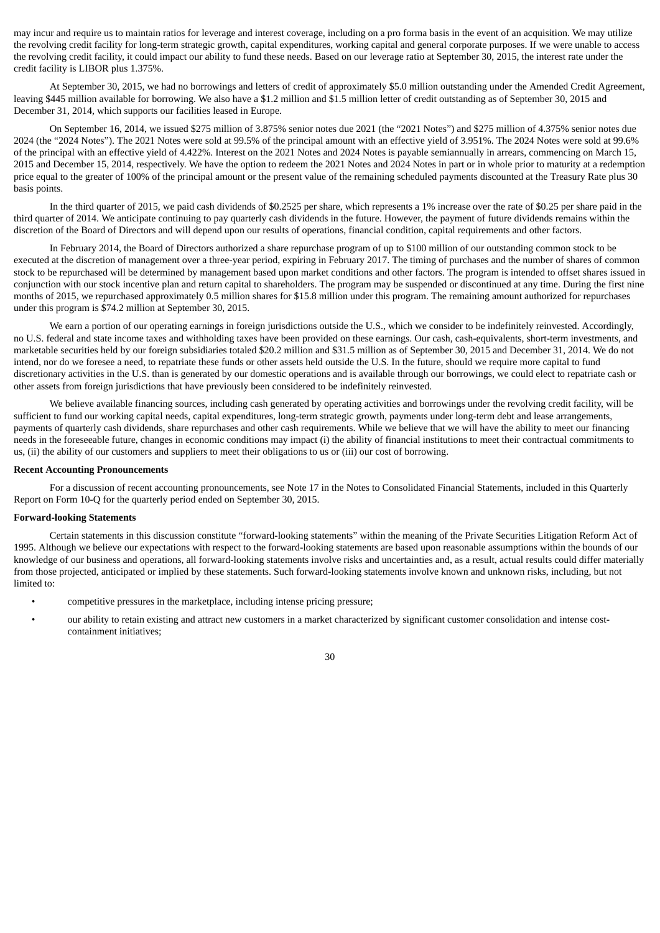may incur and require us to maintain ratios for leverage and interest coverage, including on a pro forma basis in the event of an acquisition. We may utilize the revolving credit facility for long-term strategic growth, capital expenditures, working capital and general corporate purposes. If we were unable to access the revolving credit facility, it could impact our ability to fund these needs. Based on our leverage ratio at September 30, 2015, the interest rate under the credit facility is LIBOR plus 1.375%.

At September 30, 2015, we had no borrowings and letters of credit of approximately \$5.0 million outstanding under the Amended Credit Agreement, leaving \$445 million available for borrowing. We also have a \$1.2 million and \$1.5 million letter of credit outstanding as of September 30, 2015 and December 31, 2014, which supports our facilities leased in Europe.

On September 16, 2014, we issued \$275 million of 3.875% senior notes due 2021 (the "2021 Notes") and \$275 million of 4.375% senior notes due 2024 (the "2024 Notes"). The 2021 Notes were sold at 99.5% of the principal amount with an effective yield of 3.951%. The 2024 Notes were sold at 99.6% of the principal with an effective yield of 4.422%. Interest on the 2021 Notes and 2024 Notes is payable semiannually in arrears, commencing on March 15, 2015 and December 15, 2014, respectively. We have the option to redeem the 2021 Notes and 2024 Notes in part or in whole prior to maturity at a redemption price equal to the greater of 100% of the principal amount or the present value of the remaining scheduled payments discounted at the Treasury Rate plus 30 basis points.

In the third quarter of 2015, we paid cash dividends of \$0.2525 per share, which represents a 1% increase over the rate of \$0.25 per share paid in the third quarter of 2014. We anticipate continuing to pay quarterly cash dividends in the future. However, the payment of future dividends remains within the discretion of the Board of Directors and will depend upon our results of operations, financial condition, capital requirements and other factors.

In February 2014, the Board of Directors authorized a share repurchase program of up to \$100 million of our outstanding common stock to be executed at the discretion of management over a three-year period, expiring in February 2017. The timing of purchases and the number of shares of common stock to be repurchased will be determined by management based upon market conditions and other factors. The program is intended to offset shares issued in conjunction with our stock incentive plan and return capital to shareholders. The program may be suspended or discontinued at any time. During the first nine months of 2015, we repurchased approximately 0.5 million shares for \$15.8 million under this program. The remaining amount authorized for repurchases under this program is \$74.2 million at September 30, 2015.

We earn a portion of our operating earnings in foreign jurisdictions outside the U.S., which we consider to be indefinitely reinvested. Accordingly, no U.S. federal and state income taxes and withholding taxes have been provided on these earnings. Our cash, cash-equivalents, short-term investments, and marketable securities held by our foreign subsidiaries totaled \$20.2 million and \$31.5 million as of September 30, 2015 and December 31, 2014. We do not intend, nor do we foresee a need, to repatriate these funds or other assets held outside the U.S. In the future, should we require more capital to fund discretionary activities in the U.S. than is generated by our domestic operations and is available through our borrowings, we could elect to repatriate cash or other assets from foreign jurisdictions that have previously been considered to be indefinitely reinvested.

We believe available financing sources, including cash generated by operating activities and borrowings under the revolving credit facility, will be sufficient to fund our working capital needs, capital expenditures, long-term strategic growth, payments under long-term debt and lease arrangements, payments of quarterly cash dividends, share repurchases and other cash requirements. While we believe that we will have the ability to meet our financing needs in the foreseeable future, changes in economic conditions may impact (i) the ability of financial institutions to meet their contractual commitments to us, (ii) the ability of our customers and suppliers to meet their obligations to us or (iii) our cost of borrowing.

#### **Recent Accounting Pronouncements**

For a discussion of recent accounting pronouncements, see Note 17 in the Notes to Consolidated Financial Statements, included in this Quarterly Report on Form 10-Q for the quarterly period ended on September 30, 2015.

#### **Forward-looking Statements**

Certain statements in this discussion constitute "forward-looking statements" within the meaning of the Private Securities Litigation Reform Act of 1995. Although we believe our expectations with respect to the forward-looking statements are based upon reasonable assumptions within the bounds of our knowledge of our business and operations, all forward-looking statements involve risks and uncertainties and, as a result, actual results could differ materially from those projected, anticipated or implied by these statements. Such forward-looking statements involve known and unknown risks, including, but not limited to:

- competitive pressures in the marketplace, including intense pricing pressure;
- our ability to retain existing and attract new customers in a market characterized by significant customer consolidation and intense costcontainment initiatives;

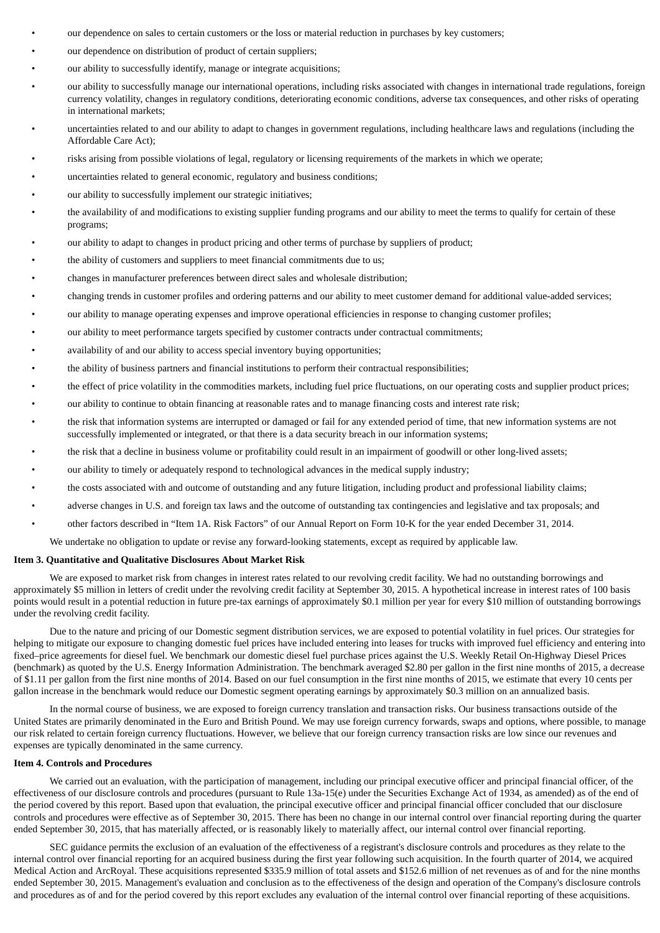- our dependence on sales to certain customers or the loss or material reduction in purchases by key customers;
- our dependence on distribution of product of certain suppliers;
- our ability to successfully identify, manage or integrate acquisitions;
- our ability to successfully manage our international operations, including risks associated with changes in international trade regulations, foreign currency volatility, changes in regulatory conditions, deteriorating economic conditions, adverse tax consequences, and other risks of operating in international markets;
- uncertainties related to and our ability to adapt to changes in government regulations, including healthcare laws and regulations (including the Affordable Care Act);
- risks arising from possible violations of legal, regulatory or licensing requirements of the markets in which we operate;
- uncertainties related to general economic, regulatory and business conditions;
- our ability to successfully implement our strategic initiatives;
- the availability of and modifications to existing supplier funding programs and our ability to meet the terms to qualify for certain of these programs;
- our ability to adapt to changes in product pricing and other terms of purchase by suppliers of product;
- the ability of customers and suppliers to meet financial commitments due to us;
- changes in manufacturer preferences between direct sales and wholesale distribution;
- changing trends in customer profiles and ordering patterns and our ability to meet customer demand for additional value-added services;
- our ability to manage operating expenses and improve operational efficiencies in response to changing customer profiles;
- our ability to meet performance targets specified by customer contracts under contractual commitments;
- availability of and our ability to access special inventory buying opportunities;
- the ability of business partners and financial institutions to perform their contractual responsibilities;
- the effect of price volatility in the commodities markets, including fuel price fluctuations, on our operating costs and supplier product prices;
- our ability to continue to obtain financing at reasonable rates and to manage financing costs and interest rate risk;
- the risk that information systems are interrupted or damaged or fail for any extended period of time, that new information systems are not successfully implemented or integrated, or that there is a data security breach in our information systems;
- the risk that a decline in business volume or profitability could result in an impairment of goodwill or other long-lived assets;
- our ability to timely or adequately respond to technological advances in the medical supply industry;
- the costs associated with and outcome of outstanding and any future litigation, including product and professional liability claims;
- adverse changes in U.S. and foreign tax laws and the outcome of outstanding tax contingencies and legislative and tax proposals; and
	- other factors described in "Item 1A. Risk Factors" of our Annual Report on Form 10-K for the year ended December 31, 2014.
		- We undertake no obligation to update or revise any forward-looking statements, except as required by applicable law.

### <span id="page-30-0"></span>**Item 3. Quantitative and Qualitative Disclosures About Market Risk**

We are exposed to market risk from changes in interest rates related to our revolving credit facility. We had no outstanding borrowings and approximately \$5 million in letters of credit under the revolving credit facility at September 30, 2015. A hypothetical increase in interest rates of 100 basis points would result in a potential reduction in future pre-tax earnings of approximately \$0.1 million per year for every \$10 million of outstanding borrowings under the revolving credit facility.

Due to the nature and pricing of our Domestic segment distribution services, we are exposed to potential volatility in fuel prices. Our strategies for helping to mitigate our exposure to changing domestic fuel prices have included entering into leases for trucks with improved fuel efficiency and entering into fixed–price agreements for diesel fuel. We benchmark our domestic diesel fuel purchase prices against the U.S. Weekly Retail On-Highway Diesel Prices (benchmark) as quoted by the U.S. Energy Information Administration. The benchmark averaged \$2.80 per gallon in the first nine months of 2015, a decrease of \$1.11 per gallon from the first nine months of 2014. Based on our fuel consumption in the first nine months of 2015, we estimate that every 10 cents per gallon increase in the benchmark would reduce our Domestic segment operating earnings by approximately \$0.3 million on an annualized basis.

In the normal course of business, we are exposed to foreign currency translation and transaction risks. Our business transactions outside of the United States are primarily denominated in the Euro and British Pound. We may use foreign currency forwards, swaps and options, where possible, to manage our risk related to certain foreign currency fluctuations. However, we believe that our foreign currency transaction risks are low since our revenues and expenses are typically denominated in the same currency.

#### <span id="page-30-1"></span>**Item 4. Controls and Procedures**

We carried out an evaluation, with the participation of management, including our principal executive officer and principal financial officer, of the effectiveness of our disclosure controls and procedures (pursuant to Rule 13a-15(e) under the Securities Exchange Act of 1934, as amended) as of the end of the period covered by this report. Based upon that evaluation, the principal executive officer and principal financial officer concluded that our disclosure controls and procedures were effective as of September 30, 2015. There has been no change in our internal control over financial reporting during the quarter ended September 30, 2015, that has materially affected, or is reasonably likely to materially affect, our internal control over financial reporting.

<span id="page-30-2"></span>SEC guidance permits the exclusion of an evaluation of the effectiveness of a registrant's disclosure controls and procedures as they relate to the internal control over financial reporting for an acquired business during the first year following such acquisition. In the fourth quarter of 2014, we acquired Medical Action and ArcRoyal. These acquisitions represented \$335.9 million of total assets and \$152.6 million of net revenues as of and for the nine months ended September 30, 2015. Management's evaluation and conclusion as to the effectiveness of the design and operation of the Company's disclosure controls and procedures as of and for the period covered by this report excludes any evaluation of the internal control over financial reporting of these acquisitions.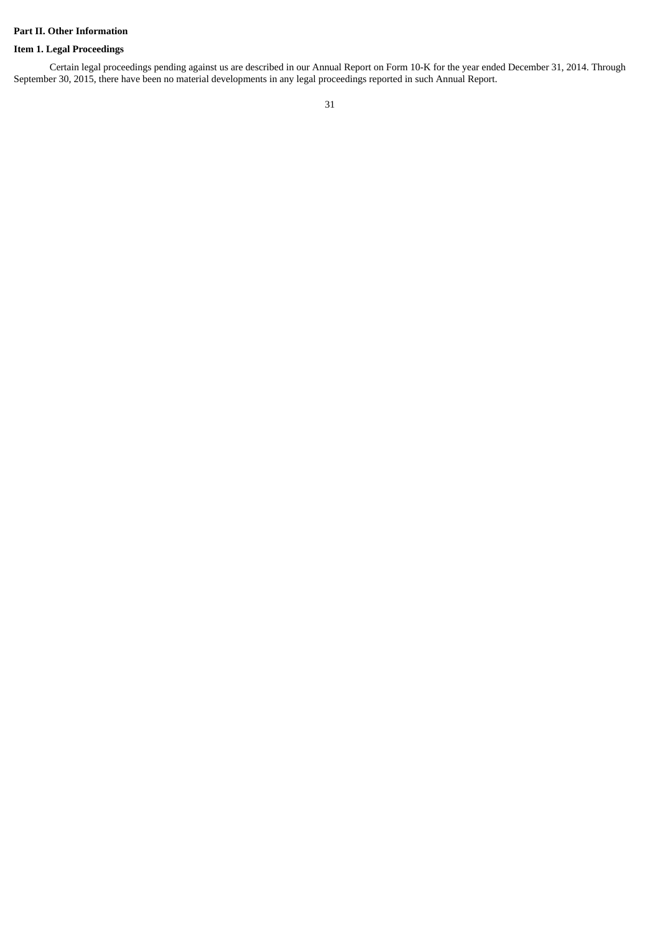## **Part II. Other Information**

## <span id="page-31-0"></span>**Item 1. Legal Proceedings**

<span id="page-31-1"></span>Certain legal proceedings pending against us are described in our Annual Report on Form 10-K for the year ended December 31, 2014. Through September 30, 2015, there have been no material developments in any legal proceedings reported in such Annual Report.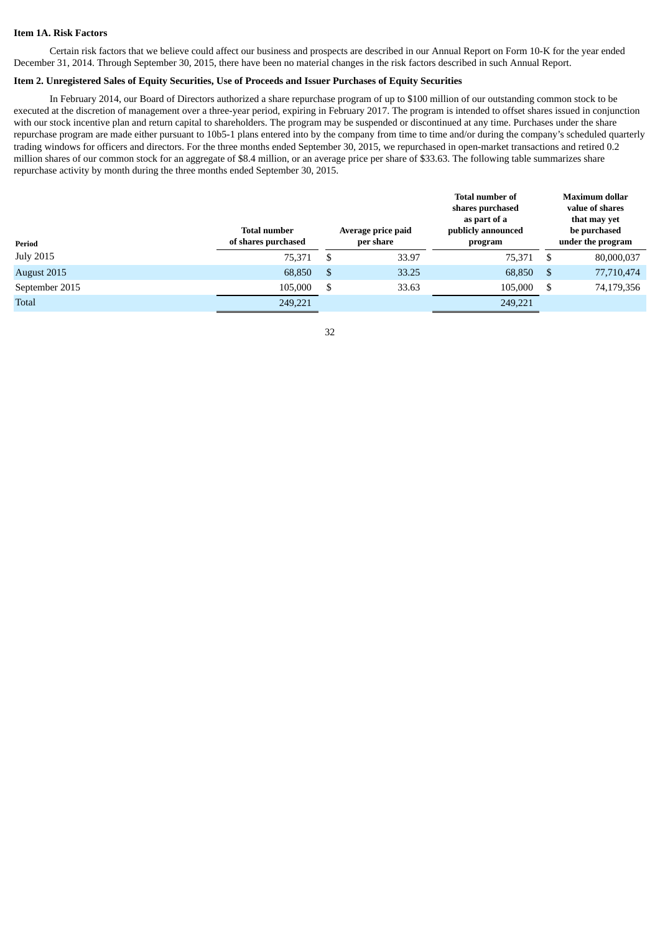#### **Item 1A. Risk Factors**

Certain risk factors that we believe could affect our business and prospects are described in our Annual Report on Form 10-K for the year ended December 31, 2014. Through September 30, 2015, there have been no material changes in the risk factors described in such Annual Report.

## <span id="page-32-0"></span>**Item 2. Unregistered Sales of Equity Securities, Use of Proceeds and Issuer Purchases of Equity Securities**

In February 2014, our Board of Directors authorized a share repurchase program of up to \$100 million of our outstanding common stock to be executed at the discretion of management over a three-year period, expiring in February 2017. The program is intended to offset shares issued in conjunction with our stock incentive plan and return capital to shareholders. The program may be suspended or discontinued at any time. Purchases under the share repurchase program are made either pursuant to 10b5-1 plans entered into by the company from time to time and/or during the company's scheduled quarterly trading windows for officers and directors. For the three months ended September 30, 2015, we repurchased in open-market transactions and retired 0.2 million shares of our common stock for an aggregate of \$8.4 million, or an average price per share of \$33.63. The following table summarizes share repurchase activity by month during the three months ended September 30, 2015.

<span id="page-32-1"></span>

| Period           | <b>Total number</b><br>of shares purchased |              | Average price paid<br>per share | <b>Total number of</b><br>shares purchased<br>as part of a<br>publicly announced<br>program |              | <b>Maximum dollar</b><br>value of shares<br>that may yet<br>be purchased<br>under the program |
|------------------|--------------------------------------------|--------------|---------------------------------|---------------------------------------------------------------------------------------------|--------------|-----------------------------------------------------------------------------------------------|
| <b>July 2015</b> | 75,371                                     | S            | 33.97                           | 75,371                                                                                      | S.           | 80,000,037                                                                                    |
| August 2015      | 68,850                                     | $\mathbf{S}$ | 33.25                           | 68,850                                                                                      | <sup>S</sup> | 77,710,474                                                                                    |
| September 2015   | 105,000                                    | -S           | 33.63                           | 105,000                                                                                     | S            | 74,179,356                                                                                    |
| <b>Total</b>     | 249,221                                    |              |                                 | 249,221                                                                                     |              |                                                                                               |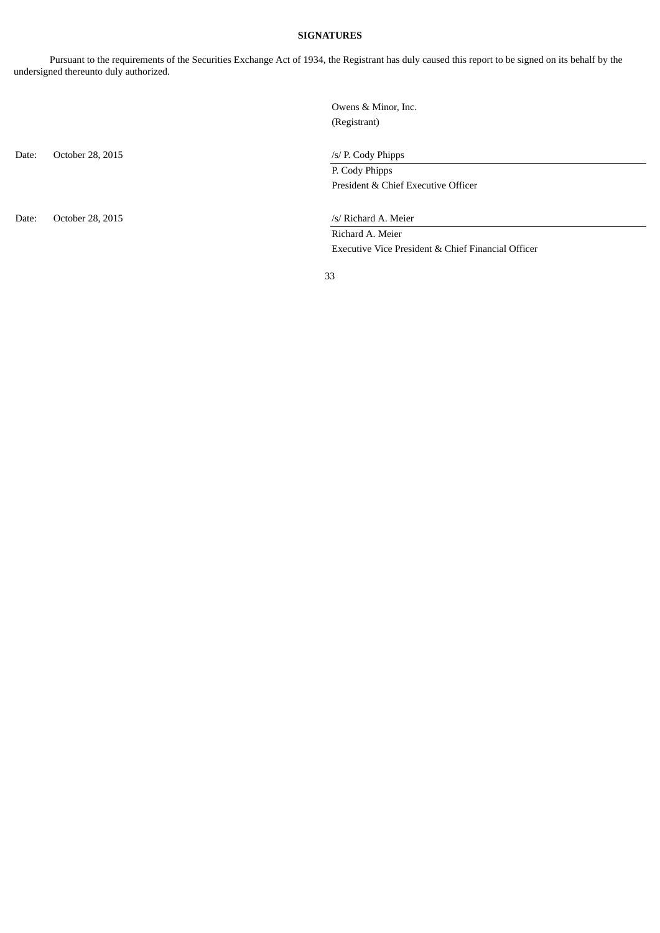## **SIGNATURES**

Pursuant to the requirements of the Securities Exchange Act of 1934, the Registrant has duly caused this report to be signed on its behalf by the undersigned thereunto duly authorized.

Date: October 28, 2015 /s/ P. Cody Phipps

<span id="page-33-0"></span>Date: October 28, 2015 /s/ Richard A. Meier

Owens & Minor, Inc. (Registrant)

P. Cody Phipps President & Chief Executive Officer

Richard A. Meier Executive Vice President & Chief Financial Officer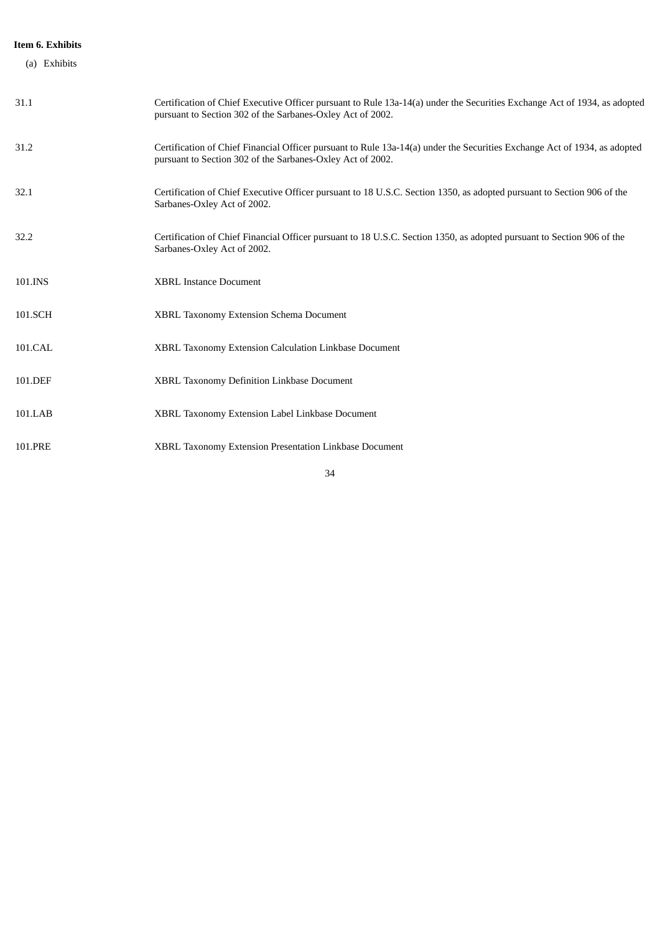## **Item 6. Exhibits**

(a) Exhibits

| 31.1    | Certification of Chief Executive Officer pursuant to Rule 13a-14(a) under the Securities Exchange Act of 1934, as adopted<br>pursuant to Section 302 of the Sarbanes-Oxley Act of 2002. |
|---------|-----------------------------------------------------------------------------------------------------------------------------------------------------------------------------------------|
| 31.2    | Certification of Chief Financial Officer pursuant to Rule 13a-14(a) under the Securities Exchange Act of 1934, as adopted<br>pursuant to Section 302 of the Sarbanes-Oxley Act of 2002. |
| 32.1    | Certification of Chief Executive Officer pursuant to 18 U.S.C. Section 1350, as adopted pursuant to Section 906 of the<br>Sarbanes-Oxley Act of 2002.                                   |
| 32.2    | Certification of Chief Financial Officer pursuant to 18 U.S.C. Section 1350, as adopted pursuant to Section 906 of the<br>Sarbanes-Oxley Act of 2002.                                   |
| 101.INS | <b>XBRL Instance Document</b>                                                                                                                                                           |
| 101.SCH | XBRL Taxonomy Extension Schema Document                                                                                                                                                 |
| 101.CAL | XBRL Taxonomy Extension Calculation Linkbase Document                                                                                                                                   |
| 101.DEF | XBRL Taxonomy Definition Linkbase Document                                                                                                                                              |
| 101.LAB | XBRL Taxonomy Extension Label Linkbase Document                                                                                                                                         |
| 101.PRE | XBRL Taxonomy Extension Presentation Linkbase Document                                                                                                                                  |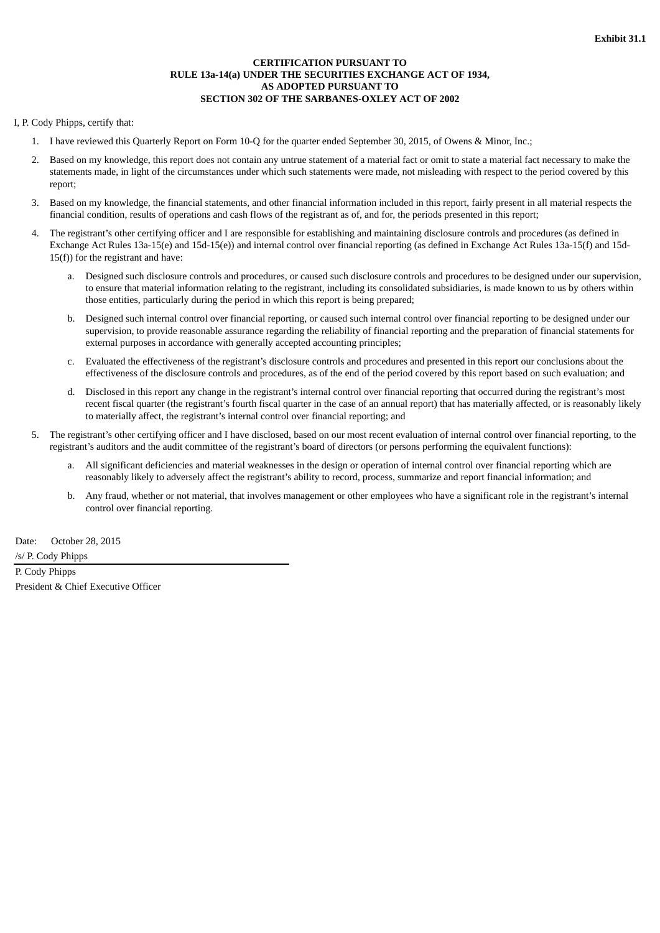## **CERTIFICATION PURSUANT TO RULE 13a-14(a) UNDER THE SECURITIES EXCHANGE ACT OF 1934, AS ADOPTED PURSUANT TO SECTION 302 OF THE SARBANES-OXLEY ACT OF 2002**

## I, P. Cody Phipps, certify that:

- 1. I have reviewed this Quarterly Report on Form 10-Q for the quarter ended September 30, 2015, of Owens & Minor, Inc.;
- 2. Based on my knowledge, this report does not contain any untrue statement of a material fact or omit to state a material fact necessary to make the statements made, in light of the circumstances under which such statements were made, not misleading with respect to the period covered by this report;
- 3. Based on my knowledge, the financial statements, and other financial information included in this report, fairly present in all material respects the financial condition, results of operations and cash flows of the registrant as of, and for, the periods presented in this report;
- 4. The registrant's other certifying officer and I are responsible for establishing and maintaining disclosure controls and procedures (as defined in Exchange Act Rules 13a-15(e) and 15d-15(e)) and internal control over financial reporting (as defined in Exchange Act Rules 13a-15(f) and 15d- $15(f)$ ) for the registrant and have:
	- a. Designed such disclosure controls and procedures, or caused such disclosure controls and procedures to be designed under our supervision, to ensure that material information relating to the registrant, including its consolidated subsidiaries, is made known to us by others within those entities, particularly during the period in which this report is being prepared;
	- b. Designed such internal control over financial reporting, or caused such internal control over financial reporting to be designed under our supervision, to provide reasonable assurance regarding the reliability of financial reporting and the preparation of financial statements for external purposes in accordance with generally accepted accounting principles;
	- c. Evaluated the effectiveness of the registrant's disclosure controls and procedures and presented in this report our conclusions about the effectiveness of the disclosure controls and procedures, as of the end of the period covered by this report based on such evaluation; and
	- d. Disclosed in this report any change in the registrant's internal control over financial reporting that occurred during the registrant's most recent fiscal quarter (the registrant's fourth fiscal quarter in the case of an annual report) that has materially affected, or is reasonably likely to materially affect, the registrant's internal control over financial reporting; and
- 5. The registrant's other certifying officer and I have disclosed, based on our most recent evaluation of internal control over financial reporting, to the registrant's auditors and the audit committee of the registrant's board of directors (or persons performing the equivalent functions):
	- a. All significant deficiencies and material weaknesses in the design or operation of internal control over financial reporting which are reasonably likely to adversely affect the registrant's ability to record, process, summarize and report financial information; and
	- b. Any fraud, whether or not material, that involves management or other employees who have a significant role in the registrant's internal control over financial reporting.

Date: October 28, 2015 /s/ P. Cody Phipps

P. Cody Phipps President & Chief Executive Officer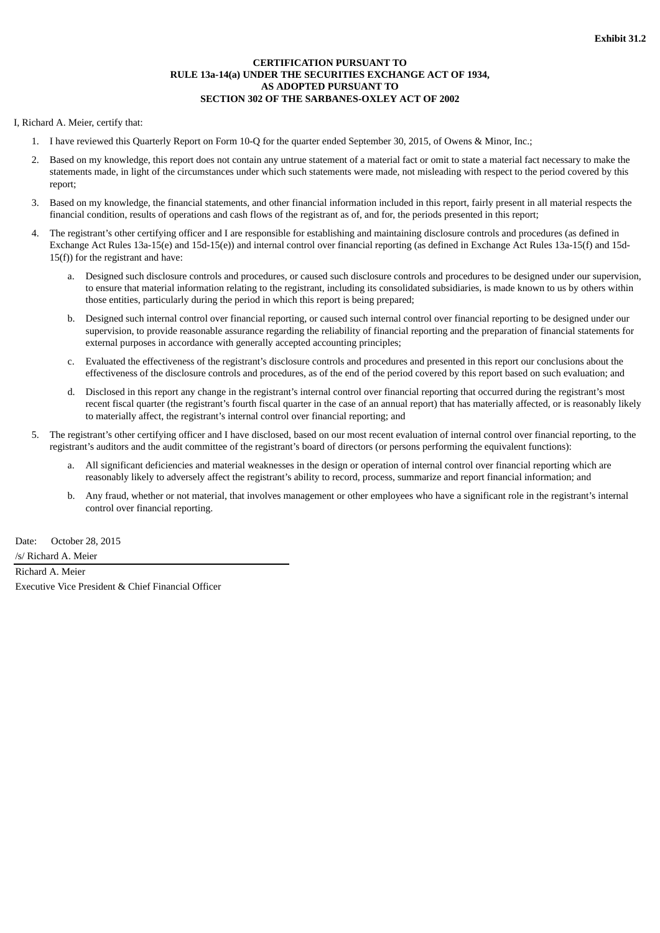## **CERTIFICATION PURSUANT TO RULE 13a-14(a) UNDER THE SECURITIES EXCHANGE ACT OF 1934, AS ADOPTED PURSUANT TO SECTION 302 OF THE SARBANES-OXLEY ACT OF 2002**

## I, Richard A. Meier, certify that:

- 1. I have reviewed this Quarterly Report on Form 10-Q for the quarter ended September 30, 2015, of Owens & Minor, Inc.;
- 2. Based on my knowledge, this report does not contain any untrue statement of a material fact or omit to state a material fact necessary to make the statements made, in light of the circumstances under which such statements were made, not misleading with respect to the period covered by this report;
- 3. Based on my knowledge, the financial statements, and other financial information included in this report, fairly present in all material respects the financial condition, results of operations and cash flows of the registrant as of, and for, the periods presented in this report;
- 4. The registrant's other certifying officer and I are responsible for establishing and maintaining disclosure controls and procedures (as defined in Exchange Act Rules 13a-15(e) and 15d-15(e)) and internal control over financial reporting (as defined in Exchange Act Rules 13a-15(f) and 15d- $15(f)$ ) for the registrant and have:
	- a. Designed such disclosure controls and procedures, or caused such disclosure controls and procedures to be designed under our supervision, to ensure that material information relating to the registrant, including its consolidated subsidiaries, is made known to us by others within those entities, particularly during the period in which this report is being prepared;
	- b. Designed such internal control over financial reporting, or caused such internal control over financial reporting to be designed under our supervision, to provide reasonable assurance regarding the reliability of financial reporting and the preparation of financial statements for external purposes in accordance with generally accepted accounting principles;
	- c. Evaluated the effectiveness of the registrant's disclosure controls and procedures and presented in this report our conclusions about the effectiveness of the disclosure controls and procedures, as of the end of the period covered by this report based on such evaluation; and
	- d. Disclosed in this report any change in the registrant's internal control over financial reporting that occurred during the registrant's most recent fiscal quarter (the registrant's fourth fiscal quarter in the case of an annual report) that has materially affected, or is reasonably likely to materially affect, the registrant's internal control over financial reporting; and
- 5. The registrant's other certifying officer and I have disclosed, based on our most recent evaluation of internal control over financial reporting, to the registrant's auditors and the audit committee of the registrant's board of directors (or persons performing the equivalent functions):
	- a. All significant deficiencies and material weaknesses in the design or operation of internal control over financial reporting which are reasonably likely to adversely affect the registrant's ability to record, process, summarize and report financial information; and
	- b. Any fraud, whether or not material, that involves management or other employees who have a significant role in the registrant's internal control over financial reporting.

Date: October 28, 2015 /s/ Richard A. Meier

Richard A. Meier Executive Vice President & Chief Financial Officer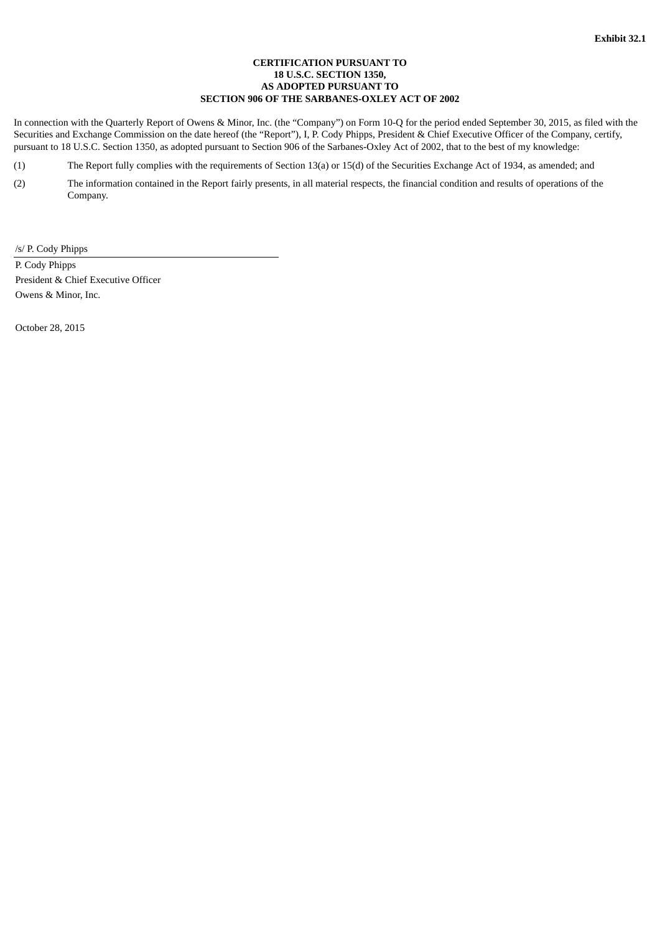## **CERTIFICATION PURSUANT TO 18 U.S.C. SECTION 1350, AS ADOPTED PURSUANT TO SECTION 906 OF THE SARBANES-OXLEY ACT OF 2002**

In connection with the Quarterly Report of Owens & Minor, Inc. (the "Company") on Form 10-Q for the period ended September 30, 2015, as filed with the Securities and Exchange Commission on the date hereof (the "Report"), I, P. Cody Phipps, President & Chief Executive Officer of the Company, certify, pursuant to 18 U.S.C. Section 1350, as adopted pursuant to Section 906 of the Sarbanes-Oxley Act of 2002, that to the best of my knowledge:

(1) The Report fully complies with the requirements of Section 13(a) or 15(d) of the Securities Exchange Act of 1934, as amended; and

(2) The information contained in the Report fairly presents, in all material respects, the financial condition and results of operations of the Company.

/s/ P. Cody Phipps

P. Cody Phipps President & Chief Executive Officer Owens & Minor, Inc.

October 28, 2015